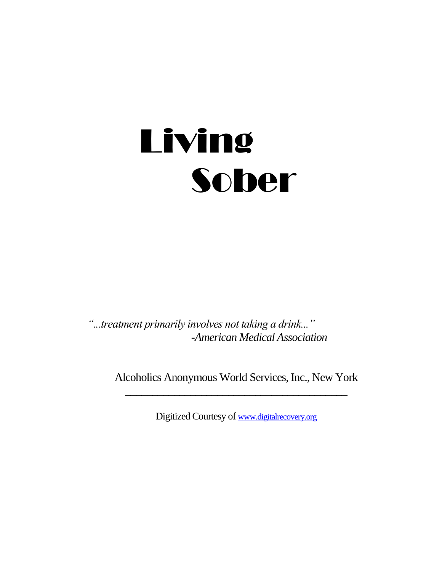# Living Sober

*"...treatment primarily involves not taking a drink..." -American Medical Association*

> Alcoholics Anonymous World Services, Inc., New York \_\_\_\_\_\_\_\_\_\_\_\_\_\_\_\_\_\_\_\_\_\_\_\_\_\_\_\_\_\_\_\_\_\_\_\_\_\_\_\_\_

> > Digitized Courtesy of <www.digitalrecovery.org>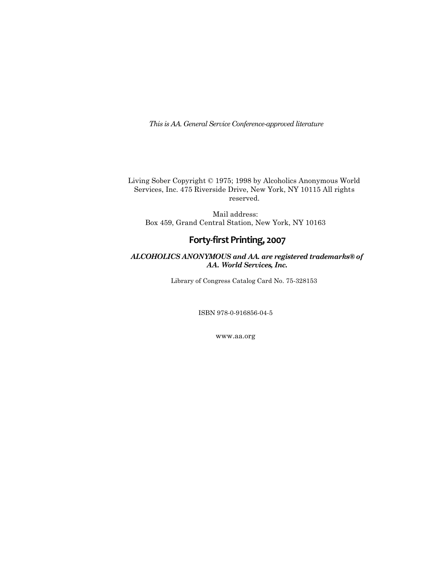*This is AA. General Service Conference-approved literature*

Living Sober Copyright © 1975; 1998 by Alcoholics Anonymous World Services, Inc. 475 Riverside Drive, New York, NY 10115 All rights reserved.

Mail address: Box 459, Grand Central Station, New York, NY 10163

## **Forty-first Printing, 2007**

#### *ALCOHOLICS ANONYMOUS and AA. are registered trademarks® of AA. World Services, Inc.*

Library of Congress Catalog Card No. 75-328153

ISBN 978-0-916856-04-5

[www.aa.org](http://www.aa.org/)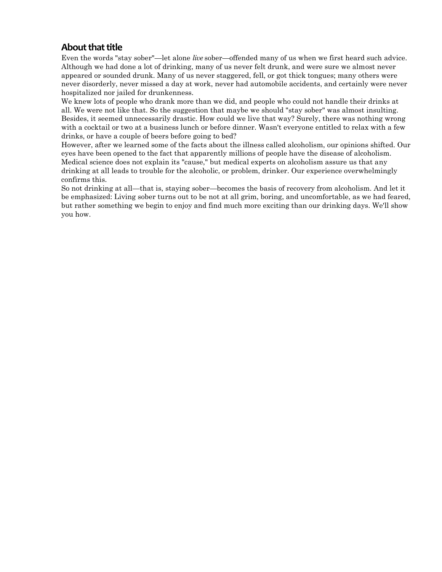## **About that title**

Even the words "stay sober"—let alone *live* sober—offended many of us when we first heard such advice. Although we had done a lot of drinking, many of us never felt drunk, and were sure we almost never appeared or sounded drunk. Many of us never staggered, fell, or got thick tongues; many others were never disorderly, never missed a day at work, never had automobile accidents, and certainly were never hospitalized nor jailed for drunkenness.

We knew lots of people who drank more than we did, and people who could not handle their drinks at all. We were not like that. So the suggestion that maybe we should "stay sober" was almost insulting. Besides, it seemed unnecessarily drastic. How could we live that way? Surely, there was nothing wrong with a cocktail or two at a business lunch or before dinner. Wasn't everyone entitled to relax with a few drinks, or have a couple of beers before going to bed?

However, after we learned some of the facts about the illness called alcoholism, our opinions shifted. Our eyes have been opened to the fact that apparently millions of people have the disease of alcoholism. Medical science does not explain its "cause," but medical experts on alcoholism assure us that any drinking at all leads to trouble for the alcoholic, or problem, drinker. Our experience overwhelmingly confirms this.

So not drinking at all—that is, staying sober—becomes the basis of recovery from alcoholism. And let it be emphasized: Living sober turns out to be not at all grim, boring, and uncomfortable, as we had feared, but rather something we begin to enjoy and find much more exciting than our drinking days. We'll show you how.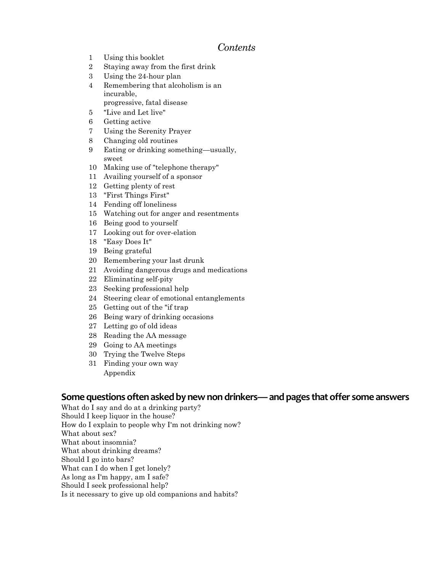## *Contents*

- Using this booklet
- Staying away from the first drink
- Using the 24-hour plan
- Remembering that alcoholism is an incurable, progressive, fatal disease
- "Live and Let live"
- Getting active
- Using the Serenity Prayer
- Changing old routines
- Eating or drinking something—usually, sweet
- Making use of "telephone therapy"
- Availing yourself of a sponsor
- Getting plenty of rest
- "First Things First"
- Fending off loneliness
- Watching out for anger and resentments
- Being good to yourself
- Looking out for over-elation
- "Easy Does It"
- Being grateful
- Remembering your last drunk
- Avoiding dangerous drugs and medications
- Eliminating self-pity
- Seeking professional help
- Steering clear of emotional entanglements
- Getting out of the "if trap
- Being wary of drinking occasions
- Letting go of old ideas
- Reading the AA message
- Going to AA meetings
- Trying the Twelve Steps
- Finding your own way Appendix

## **Some questions often asked by new non drinkers—and pages that offer some answers**

What do I say and do at a drinking party? Should I keep liquor in the house? How do I explain to people why I'm not drinking now? What about sex? What about insomnia? What about drinking dreams? Should I go into bars? What can I do when I get lonely? As long as I'm happy, am I safe? Should I seek professional help? Is it necessary to give up old companions and habits?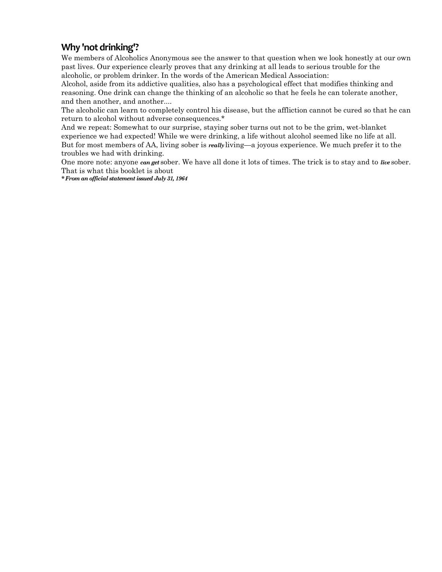# **Why 'not drinking'?**

We members of Alcoholics Anonymous see the answer to that question when we look honestly at our own past lives. Our experience clearly proves that any drinking at all leads to serious trouble for the alcoholic, or problem drinker. In the words of the American Medical Association:

Alcohol, aside from its addictive qualities, also has a psychological effect that modifies thinking and reasoning. One drink can change the thinking of an alcoholic so that he feels he can tolerate another, and then another, and another....

The alcoholic can learn to completely control his disease, but the affliction cannot be cured so that he can return to alcohol without adverse consequences.\*

And we repeat: Somewhat to our surprise, staying sober turns out not to be the grim, wet-blanket experience we had expected! While we were drinking, a life without alcohol seemed like no life at all. But for most members of AA, living sober is *really* living—a joyous experience. We much prefer it to the troubles we had with drinking.

One more note: anyone *can get* sober. We have all done it lots of times. The trick is to stay and to *live* sober. That is what this booklet is about

*\* From an official statement issued July 31, 1964*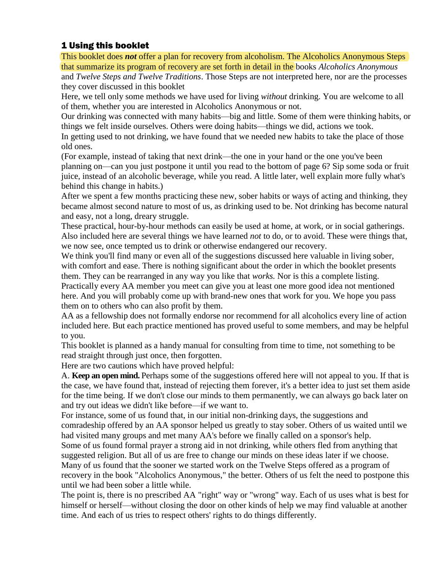# 1 Using this booklet

This booklet does *not* offer a plan for recovery from alcoholism. The Alcoholics Anonymous Steps that summarize its program of recovery are set forth in detail in the books *Alcoholics Anonymous* and *Twelve Steps and Twelve Traditions*. Those Steps are not interpreted here, nor are the processes they cover discussed in this booklet

Here, we tell only some methods we have used for living *without* drinking. You are welcome to all of them, whether you are interested in Alcoholics Anonymous or not.

Our drinking was connected with many habits—big and little. Some of them were thinking habits, or things we felt inside ourselves. Others were doing habits—things we did, actions we took.

In getting used to not drinking, we have found that we needed new habits to take the place of those old ones.

(For example, instead of taking that next drink—the one in your hand or the one you've been planning on—can you just postpone it until you read to the bottom of page 6? Sip some soda or fruit juice, instead of an alcoholic beverage, while you read. A little later, well explain more fully what's behind this change in habits.)

After we spent a few months practicing these new, sober habits or ways of acting and thinking, they became almost second nature to most of us, as drinking used to be. Not drinking has become natural and easy, not a long, dreary struggle.

These practical, hour-by-hour methods can easily be used at home, at work, or in social gatherings. Also included here are several things we have learned *not* to do, or to avoid. These were things that, we now see, once tempted us to drink or otherwise endangered our recovery.

We think you'll find many or even all of the suggestions discussed here valuable in living sober, with comfort and ease. There is nothing significant about the order in which the booklet presents them. They can be rearranged in any way you like that *works.* Nor is this a complete listing.

Practically every AA member you meet can give you at least one more good idea not mentioned here. And you will probably come up with brand-new ones that work for you. We hope you pass them on to others who can also profit by them.

AA as a fellowship does not formally endorse nor recommend for all alcoholics every line of action included here. But each practice mentioned has proved useful to some members, and may be helpful to you.

This booklet is planned as a handy manual for consulting from time to time, not something to be read straight through just once, then forgotten.

Here are two cautions which have proved helpful:

A. **Keep an open mind.** Perhaps some of the suggestions offered here will not appeal to you. If that is the case, we have found that, instead of rejecting them forever, it's a better idea to just set them aside for the time being. If we don't close our minds to them permanently, we can always go back later on and try out ideas we didn't like before—if we want to.

For instance, some of us found that, in our initial non-drinking days, the suggestions and comradeship offered by an AA sponsor helped us greatly to stay sober. Others of us waited until we had visited many groups and met many AA's before we finally called on a sponsor's help.

Some of us found formal prayer a strong aid in not drinking, while others fled from anything that suggested religion. But all of us are free to change our minds on these ideas later if we choose.

Many of us found that the sooner we started work on the Twelve Steps offered as a program of recovery in the book "Alcoholics Anonymous," the better. Others of us felt the need to postpone this until we had been sober a little while.

The point is, there is no prescribed AA "right" way or "wrong" way. Each of us uses what is best for himself or herself—without closing the door on other kinds of help we may find valuable at another time. And each of us tries to respect others' rights to do things differently.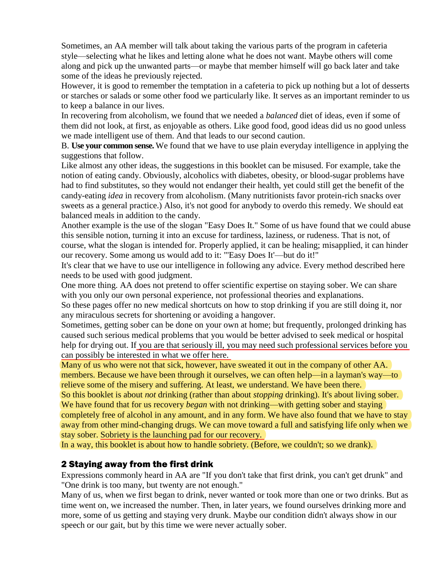Sometimes, an AA member will talk about taking the various parts of the program in cafeteria style—selecting what he likes and letting alone what he does not want. Maybe others will come along and pick up the unwanted parts—or maybe that member himself will go back later and take some of the ideas he previously rejected.

However, it is good to remember the temptation in a cafeteria to pick up nothing but a lot of desserts or starches or salads or some other food we particularly like. It serves as an important reminder to us to keep a balance in our lives.

In recovering from alcoholism, we found that we needed a *balanced* diet of ideas, even if some of them did not look, at first, as enjoyable as others. Like good food, good ideas did us no good unless we made intelligent use of them. And that leads to our second caution.

B. **Use your common sense.** We found that we have to use plain everyday intelligence in applying the suggestions that follow.

Like almost any other ideas, the suggestions in this booklet can be misused. For example, take the notion of eating candy. Obviously, alcoholics with diabetes, obesity, or blood-sugar problems have had to find substitutes, so they would not endanger their health, yet could still get the benefit of the candy-eating *idea* in recovery from alcoholism. (Many nutritionists favor protein-rich snacks over sweets as a general practice.) Also, it's not good for anybody to overdo this remedy. We should eat balanced meals in addition to the candy.

Another example is the use of the slogan "Easy Does It." Some of us have found that we could abuse this sensible notion, turning it into an excuse for tardiness, laziness, or rudeness. That is not, of course, what the slogan is intended for. Properly applied, it can be healing; misapplied, it can hinder our recovery. Some among us would add to it: "'Easy Does It'—but do it!"

It's clear that we have to use our intelligence in following any advice. Every method described here needs to be used with good judgment.

One more thing. AA does not pretend to offer scientific expertise on staying sober. We can share with you only our own personal experience, not professional theories and explanations.

So these pages offer no new medical shortcuts on how to stop drinking if you are still doing it, nor any miraculous secrets for shortening or avoiding a hangover.

Sometimes, getting sober can be done on your own at home; but frequently, prolonged drinking has caused such serious medical problems that you would be better advised to seek medical or hospital help for drying out. If you are that seriously ill, you may need such professional services before you can possibly be interested in what we offer here.

Many of us who were not that sick, however, have sweated it out in the company of other AA. members. Because we have been through it ourselves, we can often help—in a layman's way—to relieve some of the misery and suffering. At least, we understand. We have been there.

So this booklet is about *not* drinking (rather than about *stopping* drinking). It's about living sober. We have found that for us recovery *began* with not drinking—with getting sober and staying completely free of alcohol in any amount, and in any form. We have also found that we have to stay away from other mind-changing drugs. We can move toward a full and satisfying life only when we stay sober. Sobriety is the launching pad for our recovery.

In a way, this booklet is about how to handle sobriety. (Before, we couldn't; so we drank).

## 2 Staying away from the first drink

Expressions commonly heard in AA are "If you don't take that first drink, you can't get drunk" and "One drink is too many, but twenty are not enough."

Many of us, when we first began to drink, never wanted or took more than one or two drinks. But as time went on, we increased the number. Then, in later years, we found ourselves drinking more and more, some of us getting and staying very drunk. Maybe our condition didn't always show in our speech or our gait, but by this time we were never actually sober.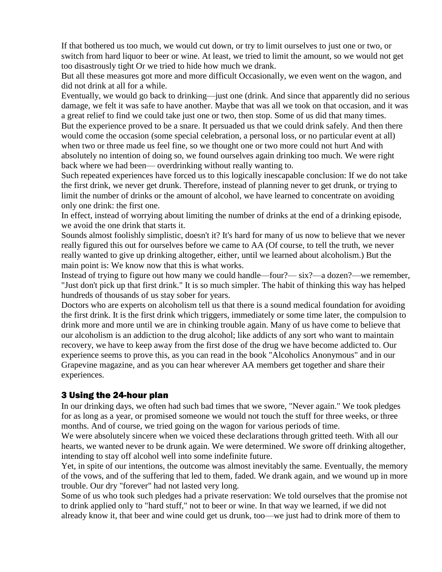If that bothered us too much, we would cut down, or try to limit ourselves to just one or two, or switch from hard liquor to beer or wine. At least, we tried to limit the amount, so we would not get too disastrously tight Or we tried to hide how much we drank.

But all these measures got more and more difficult Occasionally, we even went on the wagon, and did not drink at all for a while.

Eventually, we would go back to drinking—just one (drink. And since that apparently did no serious damage, we felt it was safe to have another. Maybe that was all we took on that occasion, and it was a great relief to find we could take just one or two, then stop. Some of us did that many times. But the experience proved to be a snare. It persuaded us that we could drink safely. And then there would come the occasion (some special celebration, a personal loss, or no particular event at all) when two or three made us feel fine, so we thought one or two more could not hurt And with absolutely no intention of doing so, we found ourselves again drinking too much. We were right back where we had been— overdrinking without really wanting to.

Such repeated experiences have forced us to this logically inescapable conclusion: If we do not take the first drink, we never get drunk. Therefore, instead of planning never to get drunk, or trying to limit the number of drinks or the amount of alcohol, we have learned to concentrate on avoiding only one drink: the first one.

In effect, instead of worrying about limiting the number of drinks at the end of a drinking episode, we avoid the one drink that starts it.

Sounds almost foolishly simplistic, doesn't it? It's hard for many of us now to believe that we never really figured this out for ourselves before we came to AA (Of course, to tell the truth, we never really wanted to give up drinking altogether, either, until we learned about alcoholism.) But the main point is: We know now that this is what works.

Instead of trying to figure out how many we could handle—four?— six?—a dozen?—we remember, "Just don't pick up that first drink." It is so much simpler. The habit of thinking this way has helped hundreds of thousands of us stay sober for years.

Doctors who are experts on alcoholism tell us that there is a sound medical foundation for avoiding the first drink. It is the first drink which triggers, immediately or some time later, the compulsion to drink more and more until we are in chinking trouble again. Many of us have come to believe that our alcoholism is an addiction to the drug alcohol; like addicts of any sort who want to maintain recovery, we have to keep away from the first dose of the drug we have become addicted to. Our experience seems to prove this, as you can read in the book "Alcoholics Anonymous" and in our Grapevine magazine, and as you can hear wherever AA members get together and share their experiences.

#### 3 Using the 24-hour plan

In our drinking days, we often had such bad times that we swore, "Never again." We took pledges for as long as a year, or promised someone we would not touch the stuff for three weeks, or three months. And of course, we tried going on the wagon for various periods of time.

We were absolutely sincere when we voiced these declarations through gritted teeth. With all our hearts, we wanted never to be drunk again. We were determined. We swore off drinking altogether, intending to stay off alcohol well into some indefinite future.

Yet, in spite of our intentions, the outcome was almost inevitably the same. Eventually, the memory of the vows, and of the suffering that led to them, faded. We drank again, and we wound up in more trouble. Our dry "forever" had not lasted very long.

Some of us who took such pledges had a private reservation: We told ourselves that the promise not to drink applied only to "hard stuff," not to beer or wine. In that way we learned, if we did not already know it, that beer and wine could get us drunk, too—we just had to drink more of them to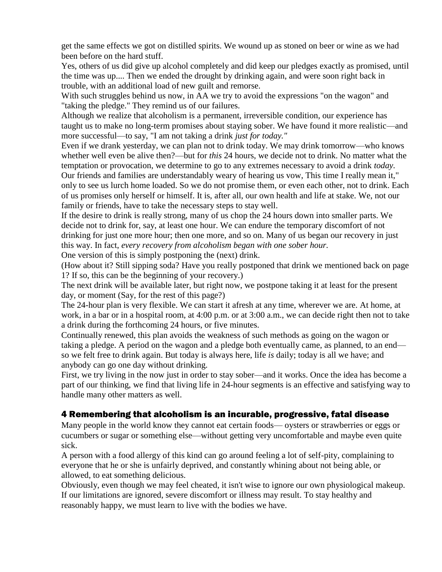get the same effects we got on distilled spirits. We wound up as stoned on beer or wine as we had been before on the hard stuff.

Yes, others of us did give up alcohol completely and did keep our pledges exactly as promised, until the time was up.... Then we ended the drought by drinking again, and were soon right back in trouble, with an additional load of new guilt and remorse.

With such struggles behind us now, in AA we try to avoid the expressions "on the wagon" and "taking the pledge." They remind us of our failures.

Although we realize that alcoholism is a permanent, irreversible condition, our experience has taught us to make no long-term promises about staying sober. We have found it more realistic—and more successful—to say, "I am not taking a drink *just for today."*

Even if we drank yesterday, we can plan not to drink today. We may drink tomorrow—who knows whether well even be alive then?—but for *this* 24 hours, we decide not to drink. No matter what the temptation or provocation, we determine to go to any extremes necessary to avoid a drink *today.* Our friends and families are understandably weary of hearing us vow, This time I really mean it," only to see us lurch home loaded. So we do not promise them, or even each other, not to drink. Each of us promises only herself or himself. It is, after all, our own health and life at stake. We, not our family or friends, have to take the necessary steps to stay well.

If the desire to drink is really strong, many of us chop the 24 hours down into smaller parts. We decide not to drink for, say, at least one hour. We can endure the temporary discomfort of not drinking for just one more hour; then one more, and so on. Many of us began our recovery in just this way. In fact, *every recovery from alcoholism began with one sober hour.*

One version of this is simply postponing the (next) drink.

(How about it? Still sipping soda? Have you really postponed that drink we mentioned back on page 1? If so, this can be the beginning of your recovery.)

The next drink will be available later, but right now, we postpone taking it at least for the present day, or moment (Say, for the rest of this page?)

The 24-hour plan is very flexible. We can start it afresh at any time, wherever we are. At home, at work, in a bar or in a hospital room, at 4:00 p.m. or at 3:00 a.m., we can decide right then not to take a drink during the forthcoming 24 hours, or five minutes.

Continually renewed, this plan avoids the weakness of such methods as going on the wagon or taking a pledge. A period on the wagon and a pledge both eventually came, as planned, to an end so we felt free to drink again. But today is always here, life *is* daily; today is all we have; and anybody can go one day without drinking.

First, we try living in the now just in order to stay sober—and it works. Once the idea has become a part of our thinking, we find that living life in 24-hour segments is an effective and satisfying way to handle many other matters as well.

## 4 Remembering that alcoholism is an incurable, progressive, fatal disease

Many people in the world know they cannot eat certain foods— oysters or strawberries or eggs or cucumbers or sugar or something else—without getting very uncomfortable and maybe even quite sick.

A person with a food allergy of this kind can go around feeling a lot of self-pity, complaining to everyone that he or she is unfairly deprived, and constantly whining about not being able, or allowed, to eat something delicious.

Obviously, even though we may feel cheated, it isn't wise to ignore our own physiological makeup. If our limitations are ignored, severe discomfort or illness may result. To stay healthy and reasonably happy, we must learn to live with the bodies we have.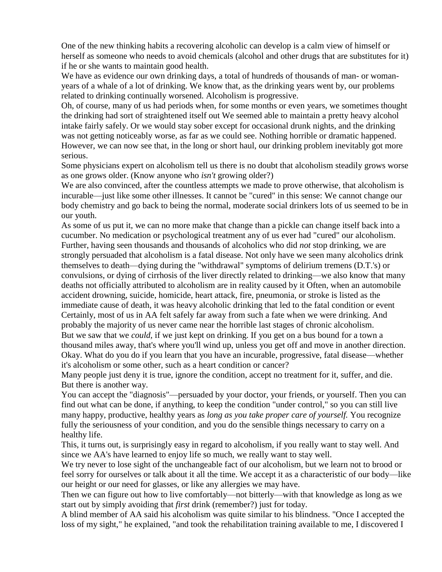One of the new thinking habits a recovering alcoholic can develop is a calm view of himself or herself as someone who needs to avoid chemicals (alcohol and other drugs that are substitutes for it) if he or she wants to maintain good health.

We have as evidence our own drinking days, a total of hundreds of thousands of man- or womanyears of a whale of a lot of drinking. We know that, as the drinking years went by, our problems related to drinking continually worsened. Alcoholism is progressive.

Oh, of course, many of us had periods when, for some months or even years, we sometimes thought the drinking had sort of straightened itself out We seemed able to maintain a pretty heavy alcohol intake fairly safely. Or we would stay sober except for occasional drunk nights, and the drinking was not getting noticeably worse, as far as we could see. Nothing horrible or dramatic happened. However, we can now see that, in the long or short haul, our drinking problem inevitably got more serious.

Some physicians expert on alcoholism tell us there is no doubt that alcoholism steadily grows worse as one grows older. (Know anyone who *isn't* growing older?)

We are also convinced, after the countless attempts we made to prove otherwise, that alcoholism is incurable—just like some other illnesses. It cannot be "cured" in this sense: We cannot change our body chemistry and go back to being the normal, moderate social drinkers lots of us seemed to be in our youth.

As some of us put it, we can no more make that change than a pickle can change itself back into a cucumber. No medication or psychological treatment any of us ever had "cured" our alcoholism. Further, having seen thousands and thousands of alcoholics who did *not* stop drinking, we are strongly persuaded that alcoholism is a fatal disease. Not only have we seen many alcoholics drink themselves to death—dying during the "withdrawal" symptoms of delirium tremens (D.T.'s) or convulsions, or dying of cirrhosis of the liver directly related to drinking—we also know that many deaths not officially attributed to alcoholism are in reality caused by it Often, when an automobile accident drowning, suicide, homicide, heart attack, fire, pneumonia, or stroke is listed as the immediate cause of death, it was heavy alcoholic drinking that led to the fatal condition or event Certainly, most of us in AA felt safely far away from such a fate when we were drinking. And probably the majority of us never came near the horrible last stages of chronic alcoholism. But we saw that we *could,* if we just kept on drinking. If you get on a bus bound for a town a thousand miles away, that's where you'll wind up, unless you get off and move in another direction. Okay. What do you do if you learn that you have an incurable, progressive, fatal disease—whether it's alcoholism or some other, such as a heart condition or cancer?

Many people just deny it is true, ignore the condition, accept no treatment for it, suffer, and die. But there is another way.

You can accept the "diagnosis"—persuaded by your doctor, your friends, or yourself. Then you can find out what can be done, if anything, to keep the condition "under control," so you can still live many happy, productive, healthy years as *long as you take proper care of yourself.* You recognize fully the seriousness of your condition, and you do the sensible things necessary to carry on a healthy life.

This, it turns out, is surprisingly easy in regard to alcoholism, if you really want to stay well. And since we AA's have learned to enjoy life so much, we really want to stay well.

We try never to lose sight of the unchangeable fact of our alcoholism, but we learn not to brood or feel sorry for ourselves or talk about it all the time. We accept it as a characteristic of our body—like our height or our need for glasses, or like any allergies we may have.

Then we can figure out how to live comfortably—not bitterly—with that knowledge as long as we start out by simply avoiding that *first* drink (remember?) just for today.

A blind member of AA said his alcoholism was quite similar to his blindness. "Once I accepted the loss of my sight," he explained, "and took the rehabilitation training available to me, I discovered I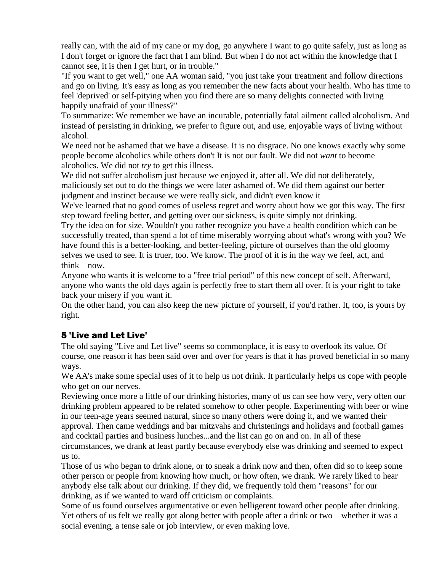really can, with the aid of my cane or my dog, go anywhere I want to go quite safely, just as long as I don't forget or ignore the fact that I am blind. But when I do not act within the knowledge that I cannot see, it is then I get hurt, or in trouble."

"If you want to get well," one AA woman said, "you just take your treatment and follow directions and go on living. It's easy as long as you remember the new facts about your health. Who has time to feel 'deprived' or self-pitying when you find there are so many delights connected with living happily unafraid of your illness?"

To summarize: We remember we have an incurable, potentially fatal ailment called alcoholism. And instead of persisting in drinking, we prefer to figure out, and use, enjoyable ways of living without alcohol.

We need not be ashamed that we have a disease. It is no disgrace. No one knows exactly why some people become alcoholics while others don't It is not our fault. We did not *want* to become alcoholics. We did not *try* to get this illness.

We did not suffer alcoholism just because we enjoyed it, after all. We did not deliberately, maliciously set out to do the things we were later ashamed of. We did them against our better judgment and instinct because we were really sick, and didn't even know it

We've learned that no good comes of useless regret and worry about how we got this way. The first step toward feeling better, and getting over our sickness, is quite simply not drinking.

Try the idea on for size. Wouldn't you rather recognize you have a health condition which can be successfully treated, than spend a lot of time miserably worrying about what's wrong with you? We have found this is a better-looking, and better-feeling, picture of ourselves than the old gloomy selves we used to see. It is truer, too. We know. The proof of it is in the way we feel, act, and think—now.

Anyone who wants it is welcome to a "free trial period" of this new concept of self. Afterward, anyone who wants the old days again is perfectly free to start them all over. It is your right to take back your misery if you want it.

On the other hand, you can also keep the new picture of yourself, if you'd rather. It, too, is yours by right.

## 5 'Live and Let Live'

The old saying "Live and Let live" seems so commonplace, it is easy to overlook its value. Of course, one reason it has been said over and over for years is that it has proved beneficial in so many ways.

We AA's make some special uses of it to help us not drink. It particularly helps us cope with people who get on our nerves.

Reviewing once more a little of our drinking histories, many of us can see how very, very often our drinking problem appeared to be related somehow to other people. Experimenting with beer or wine in our teen-age years seemed natural, since so many others were doing it, and we wanted their approval. Then came weddings and bar mitzvahs and christenings and holidays and football games and cocktail parties and business lunches...and the list can go on and on. In all of these circumstances, we drank at least partly because everybody else was drinking and seemed to expect us to.

Those of us who began to drink alone, or to sneak a drink now and then, often did so to keep some other person or people from knowing how much, or how often, we drank. We rarely liked to hear anybody else talk about our drinking. If they did, we frequently told them "reasons" for our drinking, as if we wanted to ward off criticism or complaints.

Some of us found ourselves argumentative or even belligerent toward other people after drinking. Yet others of us felt we really got along better with people after a drink or two—whether it was a social evening, a tense sale or job interview, or even making love.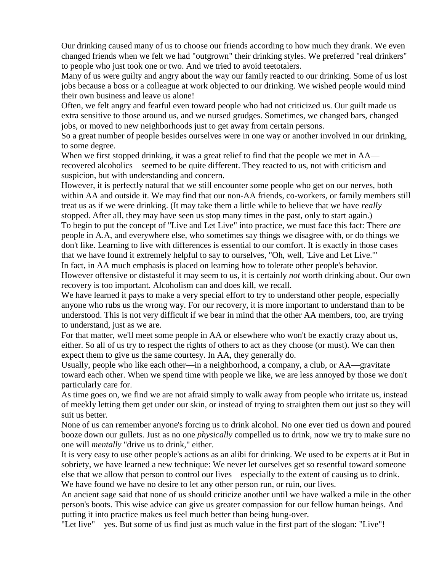Our drinking caused many of us to choose our friends according to how much they drank. We even changed friends when we felt we had "outgrown" their drinking styles. We preferred "real drinkers" to people who just took one or two. And we tried to avoid teetotalers.

Many of us were guilty and angry about the way our family reacted to our drinking. Some of us lost jobs because a boss or a colleague at work objected to our drinking. We wished people would mind their own business and leave us alone!

Often, we felt angry and fearful even toward people who had not criticized us. Our guilt made us extra sensitive to those around us, and we nursed grudges. Sometimes, we changed bars, changed jobs, or moved to new neighborhoods just to get away from certain persons.

So a great number of people besides ourselves were in one way or another involved in our drinking, to some degree.

When we first stopped drinking, it was a great relief to find that the people we met in AA recovered alcoholics—seemed to be quite different. They reacted to us, not with criticism and suspicion, but with understanding and concern.

However, it is perfectly natural that we still encounter some people who get on our nerves, both within AA and outside it. We may find that our non-AA friends, co-workers, or family members still treat us as if we were drinking. (It may take them a little while to believe that we have *really*  stopped. After all, they may have seen us stop many times in the past, only to start again.) To begin to put the concept of "Live and Let Live" into practice, we must face this fact: There *are*  people in A.A, and everywhere else, who sometimes say things we disagree with, or do things we don't like. Learning to live with differences is essential to our comfort. It is exactly in those cases that we have found it extremely helpful to say to ourselves, "Oh, well, 'Live and Let Live.'" In fact, in AA much emphasis is placed on learning how to tolerate other people's behavior. However offensive or distasteful it may seem to us, it is certainly *not* worth drinking about. Our own

recovery is too important. Alcoholism can and does kill, we recall. We have learned it pays to make a very special effort to try to understand other people, especially anyone who rubs us the wrong way. For our recovery, it is more important to understand than to be understood. This is not very difficult if we bear in mind that the other AA members, too, are trying to understand, just as we are.

For that matter, we'll meet some people in AA or elsewhere who won't be exactly crazy about us, either. So all of us try to respect the rights of others to act as they choose (or must). We can then expect them to give us the same courtesy. In AA, they generally do.

Usually, people who like each other—in a neighborhood, a company, a club, or AA—gravitate toward each other. When we spend time with people we like, we are less annoyed by those we don't particularly care for.

As time goes on, we find we are not afraid simply to walk away from people who irritate us, instead of meekly letting them get under our skin, or instead of trying to straighten them out just so they will suit us better.

None of us can remember anyone's forcing us to drink alcohol. No one ever tied us down and poured booze down our gullets. Just as no one *physically* compelled us to drink, now we try to make sure no one will *mentally* "drive us to drink," either.

It is very easy to use other people's actions as an alibi for drinking. We used to be experts at it But in sobriety, we have learned a new technique: We never let ourselves get so resentful toward someone else that we allow that person to control our lives—especially to the extent of causing us to drink. We have found we have no desire to let any other person run, or ruin, our lives.

An ancient sage said that none of us should criticize another until we have walked a mile in the other person's boots. This wise advice can give us greater compassion for our fellow human beings. And putting it into practice makes us feel much better than being hung-over.

"Let live"—yes. But some of us find just as much value in the first part of the slogan: "Live"!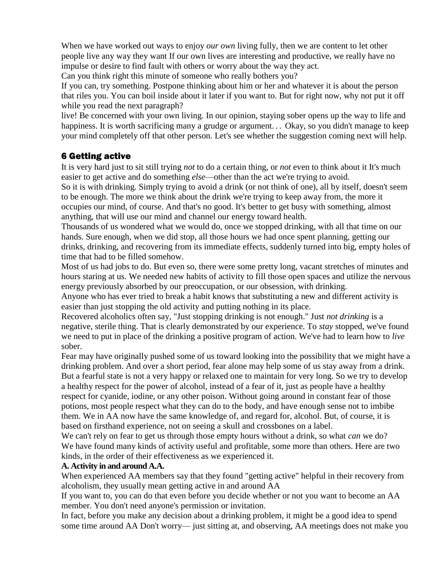When we have worked out ways to enjoy *our own* living fully, then we are content to let other people live any way they want If our own lives are interesting and productive, we really have no impulse or desire to find fault with others or worry about the way they act.

Can you think right this minute of someone who really bothers you?

If you can, try something. Postpone thinking about him or her and whatever it is about the person that riles you. You can boil inside about it later if you want to. But for right now, why not put it off while you read the next paragraph?

live! Be concerned with your own living. In our opinion, staying sober opens up the way to life and happiness. It is worth sacrificing many a grudge or argument... Okay, so you didn't manage to keep your mind completely off that other person. Let's see whether the suggestion coming next will help.

## 6 Getting active

It is very hard just to sit still trying *not* to do a certain thing, or *not* even to think about it It's much easier to get active and do something *else*—other than the act we're trying to avoid.

So it is with drinking. Simply trying to avoid a drink (or not think of one), all by itself, doesn't seem to be enough. The more we think about the drink we're trying to keep away from, the more it occupies our mind, of course. And that's no good. It's better to get busy with something, almost anything, that will use our mind and channel our energy toward health.

Thousands of us wondered what we would do, once we stopped drinking, with all that time on our hands. Sure enough, when we did stop, all those hours we had once spent planning, getting our drinks, drinking, and recovering from its immediate effects, suddenly turned into big, empty holes of time that had to be filled somehow.

Most of us had jobs to do. But even so, there were some pretty long, vacant stretches of minutes and hours staring at us. We needed new habits of activity to fill those open spaces and utilize the nervous energy previously absorbed by our preoccupation, or our obsession, with drinking.

Anyone who has ever tried to break a habit knows that substituting a new and different activity is easier than just stopping the old activity and putting nothing in its place.

Recovered alcoholics often say, "Just stopping drinking is not enough." Just *not drinking* is a negative, sterile thing. That is clearly demonstrated by our experience. To *stay* stopped, we've found we need to put in place of the drinking a positive program of action. We've had to learn how to *live*  sober.

Fear may have originally pushed some of us toward looking into the possibility that we might have a drinking problem. And over a short period, fear alone may help some of us stay away from a drink. But a fearful state is not a very happy or relaxed one to maintain for very long. So we try to develop a healthy respect for the power of alcohol, instead of a fear of it, just as people have a healthy respect for cyanide, iodine, or any other poison. Without going around in constant fear of those potions, most people respect what they can do to the body, and have enough sense not to imbibe them. We in AA now have the same knowledge of, and regard for, alcohol. But, of course, it is based on firsthand experience, not on seeing a skull and crossbones on a label.

We can't rely on fear to get us through those empty hours without a drink, so what *can* we do? We have found many kinds of activity useful and profitable, some more than others. Here are two kinds, in the order of their effectiveness as we experienced it.

#### **A. Activity in and around A.A.**

When experienced AA members say that they found "getting active" helpful in their recovery from alcoholism, they usually mean getting active in and around AA

If you want to, you can do that even before you decide whether or not you want to become an AA member. You don't need anyone's permission or invitation.

In fact, before you make any decision about a drinking problem, it might be a good idea to spend some time around AA Don't worry— just sitting at, and observing, AA meetings does not make you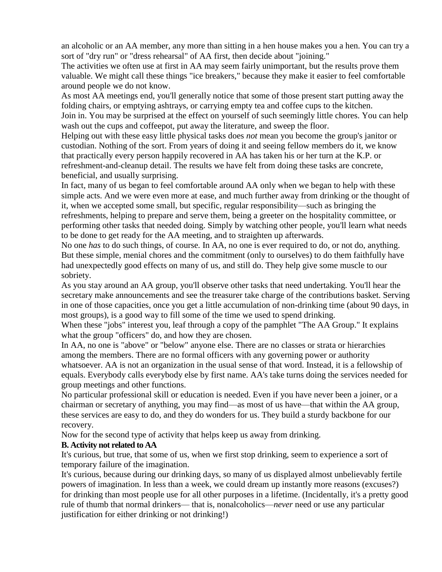an alcoholic or an AA member, any more than sitting in a hen house makes you a hen. You can try a sort of "dry run" or "dress rehearsal" of AA first, then decide about "joining."

The activities we often use at first in AA may seem fairly unimportant, but the results prove them valuable. We might call these things "ice breakers," because they make it easier to feel comfortable around people we do not know.

As most AA meetings end, you'll generally notice that some of those present start putting away the folding chairs, or emptying ashtrays, or carrying empty tea and coffee cups to the kitchen.

Join in. You may be surprised at the effect on yourself of such seemingly little chores. You can help wash out the cups and coffeepot, put away the literature, and sweep the floor.

Helping out with these easy little physical tasks does *not* mean you become the group's janitor or custodian. Nothing of the sort. From years of doing it and seeing fellow members do it, we know that practically every person happily recovered in AA has taken his or her turn at the K.P. or refreshment-and-cleanup detail. The results we have felt from doing these tasks are concrete, beneficial, and usually surprising.

In fact, many of us began to feel comfortable around AA only when we began to help with these simple acts. And we were even more at ease, and much further away from drinking or the thought of it, when we accepted some small, but specific, regular responsibility—such as bringing the refreshments, helping to prepare and serve them, being a greeter on the hospitality committee, or performing other tasks that needed doing. Simply by watching other people, you'll learn what needs to be done to get ready for the AA meeting, and to straighten up afterwards.

No one *has* to do such things, of course. In AA, no one is ever required to do, or not do, anything. But these simple, menial chores and the commitment (only to ourselves) to do them faithfully have had unexpectedly good effects on many of us, and still do. They help give some muscle to our sobriety.

As you stay around an AA group, you'll observe other tasks that need undertaking. You'll hear the secretary make announcements and see the treasurer take charge of the contributions basket. Serving in one of those capacities, once you get a little accumulation of non-drinking time (about 90 days, in most groups), is a good way to fill some of the time we used to spend drinking.

When these "jobs" interest you, leaf through a copy of the pamphlet "The AA Group." It explains what the group "officers" do, and how they are chosen.

In AA, no one is "above" or "below" anyone else. There are no classes or strata or hierarchies among the members. There are no formal officers with any governing power or authority whatsoever. AA is not an organization in the usual sense of that word. Instead, it is a fellowship of equals. Everybody calls everybody else by first name. AA's take turns doing the services needed for group meetings and other functions.

No particular professional skill or education is needed. Even if you have never been a joiner, or a chairman or secretary of anything, you may find—as most of us have—that within the AA group, these services are easy to do, and they do wonders for us. They build a sturdy backbone for our recovery.

Now for the second type of activity that helps keep us away from drinking.

#### **B. Activity not related to AA**

It's curious, but true, that some of us, when we first stop drinking, seem to experience a sort of temporary failure of the imagination.

It's curious, because during our drinking days, so many of us displayed almost unbelievably fertile powers of imagination. In less than a week, we could dream up instantly more reasons (excuses?) for drinking than most people use for all other purposes in a lifetime. (Incidentally, it's a pretty good rule of thumb that normal drinkers— that is, nonalcoholics—*never* need or use any particular justification for either drinking or not drinking!)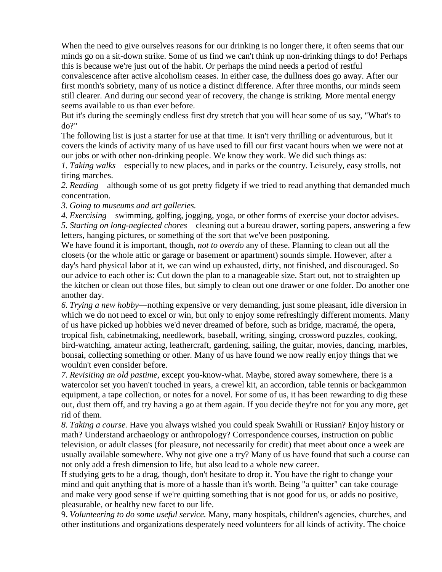When the need to give ourselves reasons for our drinking is no longer there, it often seems that our minds go on a sit-down strike. Some of us find we can't think up non-drinking things to do! Perhaps this is because we're just out of the habit. Or perhaps the mind needs a period of restful convalescence after active alcoholism ceases. In either case, the dullness does go away. After our first month's sobriety, many of us notice a distinct difference. After three months, our minds seem still clearer. And during our second year of recovery, the change is striking. More mental energy seems available to us than ever before.

But it's during the seemingly endless first dry stretch that you will hear some of us say, "What's to do?"

The following list is just a starter for use at that time. It isn't very thrilling or adventurous, but it covers the kinds of activity many of us have used to fill our first vacant hours when we were not at our jobs or with other non-drinking people. We know they work. We did such things as:

*1. Taking walks*—especially to new places, and in parks or the country. Leisurely, easy strolls, not tiring marches.

*2. Reading*—although some of us got pretty fidgety if we tried to read anything that demanded much concentration.

*3. Going to museums and art galleries.*

*4. Exercising*—swimming, golfing, jogging, yoga, or other forms of exercise your doctor advises.

*5. Starting on long-neglected chores*—cleaning out a bureau drawer, sorting papers, answering a few letters, hanging pictures, or something of the sort that we've been postponing.

We have found it is important, though, *not to overdo* any of these. Planning to clean out all the closets (or the whole attic or garage or basement or apartment) sounds simple. However, after a day's hard physical labor at it, we can wind up exhausted, dirty, not finished, and discouraged. So our advice to each other is: Cut down the plan to a manageable size. Start out, not to straighten up the kitchen or clean out those files, but simply to clean out one drawer or one folder. Do another one another day.

*6. Trying a new hobby*—nothing expensive or very demanding, just some pleasant, idle diversion in which we do not need to excel or win, but only to enjoy some refreshingly different moments. Many of us have picked up hobbies we'd never dreamed of before, such as bridge, macramé, the opera, tropical fish, cabinetmaking, needlework, baseball, writing, singing, crossword puzzles, cooking, bird-watching, amateur acting, leathercraft, gardening, sailing, the guitar, movies, dancing, marbles, bonsai, collecting something or other. Many of us have found we now really enjoy things that we wouldn't even consider before.

*7. Revisiting an old pastime,* except you-know-what. Maybe, stored away somewhere, there is a watercolor set you haven't touched in years, a crewel kit, an accordion, table tennis or backgammon equipment, a tape collection, or notes for a novel. For some of us, it has been rewarding to dig these out, dust them off, and try having a go at them again. If you decide they're not for you any more, get rid of them.

*8. Taking a course.* Have you always wished you could speak Swahili or Russian? Enjoy history or math? Understand archaeology or anthropology? Correspondence courses, instruction on public television, or adult classes (for pleasure, not necessarily for credit) that meet about once a week are usually available somewhere. Why not give one a try? Many of us have found that such a course can not only add a fresh dimension to life, but also lead to a whole new career.

If studying gets to be a drag, though, don't hesitate to drop it. You have the right to change your mind and quit anything that is more of a hassle than it's worth. Being "a quitter" can take courage and make very good sense if we're quitting something that is not good for us, or adds no positive, pleasurable, or healthy new facet to our life.

9. *Volunteering to do some useful service.* Many, many hospitals, children's agencies, churches, and other institutions and organizations desperately need volunteers for all kinds of activity. The choice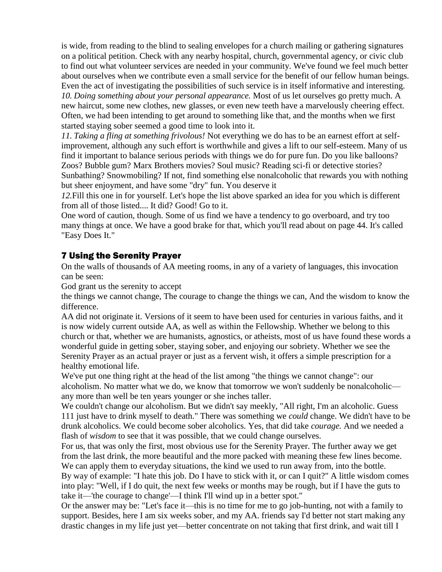is wide, from reading to the blind to sealing envelopes for a church mailing or gathering signatures on a political petition. Check with any nearby hospital, church, governmental agency, or civic club to find out what volunteer services are needed in your community. We've found we feel much better about ourselves when we contribute even a small service for the benefit of our fellow human beings. Even the act of investigating the possibilities of such service is in itself informative and interesting. *10. Doing something about your personal appearance.* Most of us let ourselves go pretty much. A new haircut, some new clothes, new glasses, or even new teeth have a marvelously cheering effect. Often, we had been intending to get around to something like that, and the months when we first started staying sober seemed a good time to look into it.

*11. Taking a fling at something frivolous!* Not everything we do has to be an earnest effort at selfimprovement, although any such effort is worthwhile and gives a lift to our self-esteem. Many of us find it important to balance serious periods with things we do for pure fun. Do you like balloons? Zoos? Bubble gum? Marx Brothers movies? Soul music? Reading sci-fi or detective stories? Sunbathing? Snowmobiling? If not, find something else nonalcoholic that rewards you with nothing but sheer enjoyment, and have some "dry" fun. You deserve it

*12.*Fill this one in for yourself. Let's hope the list above sparked an idea for you which is different from all of those listed.... It did? Good! Go to it.

One word of caution, though. Some of us find we have a tendency to go overboard, and try too many things at once. We have a good brake for that, which you'll read about on page 44. It's called "Easy Does It."

## 7 Using the Serenity Prayer

On the walls of thousands of AA meeting rooms, in any of a variety of languages, this invocation can be seen:

God grant us the serenity to accept

the things we cannot change, The courage to change the things we can, And the wisdom to know the difference.

AA did not originate it. Versions of it seem to have been used for centuries in various faiths, and it is now widely current outside AA, as well as within the Fellowship. Whether we belong to this church or that, whether we are humanists, agnostics, or atheists, most of us have found these words a wonderful guide in getting sober, staying sober, and enjoying our sobriety. Whether we see the Serenity Prayer as an actual prayer or just as a fervent wish, it offers a simple prescription for a healthy emotional life.

We've put one thing right at the head of the list among "the things we cannot change": our alcoholism. No matter what we do, we know that tomorrow we won't suddenly be nonalcoholic any more than well be ten years younger or she inches taller.

We couldn't change our alcoholism. But we didn't say meekly, "All right, I'm an alcoholic. Guess 111 just have to drink myself to death." There was something we *could* change. We didn't have to be drunk alcoholics. We could become sober alcoholics. Yes, that did take *courage.* And we needed a flash of *wisdom* to see that it was possible, that we could change ourselves.

For us, that was only the first, most obvious use for the Serenity Prayer. The further away we get from the last drink, the more beautiful and the more packed with meaning these few lines become. We can apply them to everyday situations, the kind we used to run away from, into the bottle.

By way of example: "I hate this job. Do I have to stick with it, or can I quit?" A little wisdom comes into play: "Well, if I do quit, the next few weeks or months may be rough, but if I have the guts to take it—'the courage to change'—I think I'll wind up in a better spot."

Or the answer may be: "Let's face it—this is no time for me to go job-hunting, not with a family to support. Besides, here I am six weeks sober, and my AA. friends say I'd better not start making any drastic changes in my life just yet—better concentrate on not taking that first drink, and wait till I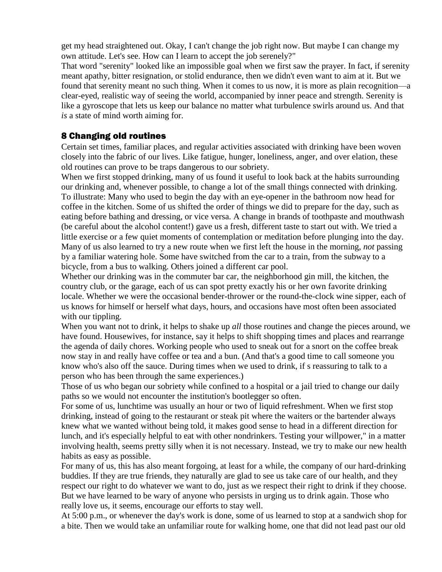get my head straightened out. Okay, I can't change the job right now. But maybe I can change my own attitude. Let's see. How can I learn to accept the job serenely?"

That word "serenity" looked like an impossible goal when we first saw the prayer. In fact, if serenity meant apathy, bitter resignation, or stolid endurance, then we didn't even want to aim at it. But we found that serenity meant no such thing. When it comes to us now, it is more as plain recognition—a clear-eyed, realistic way of seeing the world, accompanied by inner peace and strength. Serenity is like a gyroscope that lets us keep our balance no matter what turbulence swirls around us. And that *is* a state of mind worth aiming for.

#### 8 Changing old routines

Certain set times, familiar places, and regular activities associated with drinking have been woven closely into the fabric of our lives. Like fatigue, hunger, loneliness, anger, and over elation, these old routines can prove to be traps dangerous to our sobriety.

When we first stopped drinking, many of us found it useful to look back at the habits surrounding our drinking and, whenever possible, to change a lot of the small things connected with drinking. To illustrate: Many who used to begin the day with an eye-opener in the bathroom now head for coffee in the kitchen. Some of us shifted the order of things we did to prepare for the day, such as eating before bathing and dressing, or vice versa. A change in brands of toothpaste and mouthwash (be careful about the alcohol content!) gave us a fresh, different taste to start out with. We tried a little exercise or a few quiet moments of contemplation or meditation before plunging into the day. Many of us also learned to try a new route when we first left the house in the morning, *not* passing by a familiar watering hole. Some have switched from the car to a train, from the subway to a bicycle, from a bus to walking. Others joined a different car pool.

Whether our drinking was in the commuter bar car, the neighborhood gin mill, the kitchen, the country club, or the garage, each of us can spot pretty exactly his or her own favorite drinking locale. Whether we were the occasional bender-thrower or the round-the-clock wine sipper, each of us knows for himself or herself what days, hours, and occasions have most often been associated with our tippling.

When you want not to drink, it helps to shake up *all* those routines and change the pieces around, we have found. Housewives, for instance, say it helps to shift shopping times and places and rearrange the agenda of daily chores. Working people who used to sneak out for a snort on the coffee break now stay in and really have coffee or tea and a bun. (And that's a good time to call someone you know who's also off the sauce. During times when we used to drink, if s reassuring to talk to a person who has been through the same experiences.)

Those of us who began our sobriety while confined to a hospital or a jail tried to change our daily paths so we would not encounter the institution's bootlegger so often.

For some of us, lunchtime was usually an hour or two of liquid refreshment. When we first stop drinking, instead of going to the restaurant or steak pit where the waiters or the bartender always knew what we wanted without being told, it makes good sense to head in a different direction for lunch, and it's especially helpful to eat with other nondrinkers. Testing your willpower," in a matter involving health, seems pretty silly when it is not necessary. Instead, we try to make our new health habits as easy as possible.

For many of us, this has also meant forgoing, at least for a while, the company of our hard-drinking buddies. If they are true friends, they naturally are glad to see us take care of our health, and they respect our right to do whatever we want to do, just as we respect their right to drink if they choose. But we have learned to be wary of anyone who persists in urging us to drink again. Those who really love us, it seems, encourage our efforts to stay well.

At 5:00 p.m., or whenever the day's work is done, some of us learned to stop at a sandwich shop for a bite. Then we would take an unfamiliar route for walking home, one that did not lead past our old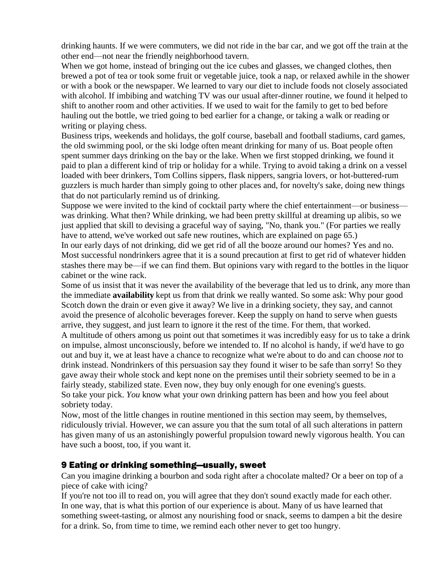drinking haunts. If we were commuters, we did not ride in the bar car, and we got off the train at the other end—not near the friendly neighborhood tavern.

When we got home, instead of bringing out the ice cubes and glasses, we changed clothes, then brewed a pot of tea or took some fruit or vegetable juice, took a nap, or relaxed awhile in the shower or with a book or the newspaper. We learned to vary our diet to include foods not closely associated with alcohol. If imbibing and watching TV was our usual after-dinner routine, we found it helped to shift to another room and other activities. If we used to wait for the family to get to bed before hauling out the bottle, we tried going to bed earlier for a change, or taking a walk or reading or writing or playing chess.

Business trips, weekends and holidays, the golf course, baseball and football stadiums, card games, the old swimming pool, or the ski lodge often meant drinking for many of us. Boat people often spent summer days drinking on the bay or the lake. When we first stopped drinking, we found it paid to plan a different kind of trip or holiday for a while. Trying to avoid taking a drink on a vessel loaded with beer drinkers, Tom Collins sippers, flask nippers, sangria lovers, or hot-buttered-rum guzzlers is much harder than simply going to other places and, for novelty's sake, doing new things that do not particularly remind us of drinking.

Suppose we were invited to the kind of cocktail party where the chief entertainment—or business was drinking. What then? While drinking, we had been pretty skillful at dreaming up alibis, so we just applied that skill to devising a graceful way of saying, "No, thank you." (For parties we really have to attend, we've worked out safe new routines, which are explained on page 65.)

In our early days of not drinking, did we get rid of all the booze around our homes? Yes and no. Most successful nondrinkers agree that it is a sound precaution at first to get rid of whatever hidden stashes there may be—if we can find them. But opinions vary with regard to the bottles in the liquor cabinet or the wine rack.

Some of us insist that it was never the availability of the beverage that led us to drink, any more than the immediate **availability** kept us from that drink we really wanted. So some ask: Why pour good Scotch down the drain or even give it away? We live in a drinking society, they say, and cannot avoid the presence of alcoholic beverages forever. Keep the supply on hand to serve when guests arrive, they suggest, and just learn to ignore it the rest of the time. For them, that worked. A multitude of others among us point out that sometimes it was incredibly easy for us to take a drink on impulse, almost unconsciously, before we intended to. If no alcohol is handy, if we'd have to go out and buy it, we at least have a chance to recognize what we're about to do and can choose *not* to drink instead. Nondrinkers of this persuasion say they found it wiser to be safe than sorry! So they gave away their whole stock and kept none on the premises until their sobriety seemed to be in a fairly steady, stabilized state. Even now, they buy only enough for one evening's guests. So take your pick. *You* know what your own drinking pattern has been and how you feel about sobriety today.

Now, most of the little changes in routine mentioned in this section may seem, by themselves, ridiculously trivial. However, we can assure you that the sum total of all such alterations in pattern has given many of us an astonishingly powerful propulsion toward newly vigorous health. You can have such a boost, too, if you want it.

#### 9 Eating or drinking something—usually, sweet

Can you imagine drinking a bourbon and soda right after a chocolate malted? Or a beer on top of a piece of cake with icing?

If you're not too ill to read on, you will agree that they don't sound exactly made for each other. In one way, that is what this portion of our experience is about. Many of us have learned that something sweet-tasting, or almost any nourishing food or snack, seems to dampen a bit the desire for a drink. So, from time to time, we remind each other never to get too hungry.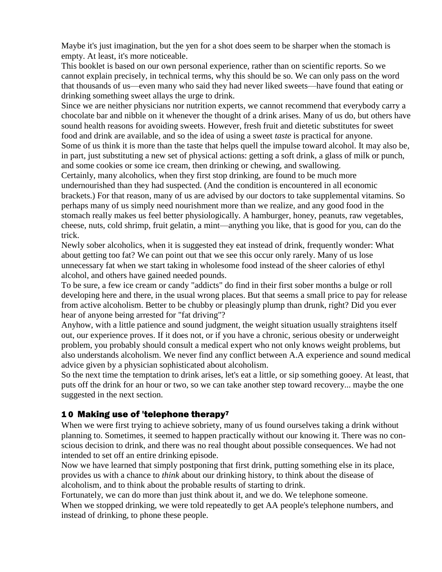Maybe it's just imagination, but the yen for a shot does seem to be sharper when the stomach is empty. At least, it's more noticeable.

This booklet is based on our own personal experience, rather than on scientific reports. So we cannot explain precisely, in technical terms, why this should be so. We can only pass on the word that thousands of us—even many who said they had never liked sweets—have found that eating or drinking something sweet allays the urge to drink.

Since we are neither physicians nor nutrition experts, we cannot recommend that everybody carry a chocolate bar and nibble on it whenever the thought of a drink arises. Many of us do, but others have sound health reasons for avoiding sweets. However, fresh fruit and dietetic substitutes for sweet food and drink are available, and so the idea of using a sweet *taste* is practical for anyone. Some of us think it is more than the taste that helps quell the impulse toward alcohol. It may also be, in part, just substituting a new set of physical actions: getting a soft drink, a glass of milk or punch,

and some cookies or some ice cream, then drinking or chewing, and swallowing. Certainly, many alcoholics, when they first stop drinking, are found to be much more undernourished than they had suspected. (And the condition is encountered in all economic brackets.) For that reason, many of us are advised by our doctors to take supplemental vitamins. So perhaps many of us simply need nourishment more than we realize, and any good food in the stomach really makes us feel better physiologically. A hamburger, honey, peanuts, raw vegetables, cheese, nuts, cold shrimp, fruit gelatin, a mint—anything you like, that is good for you, can do the trick.

Newly sober alcoholics, when it is suggested they eat instead of drink, frequently wonder: What about getting too fat? We can point out that we see this occur only rarely. Many of us lose unnecessary fat when we start taking in wholesome food instead of the sheer calories of ethyl alcohol, and others have gained needed pounds.

To be sure, a few ice cream or candy "addicts" do find in their first sober months a bulge or roll developing here and there, in the usual wrong places. But that seems a small price to pay for release from active alcoholism. Better to be chubby or pleasingly plump than drunk, right? Did you ever hear of anyone being arrested for "fat driving"?

Anyhow, with a little patience and sound judgment, the weight situation usually straightens itself out, our experience proves. If it does not, or if you have a chronic, serious obesity or underweight problem, you probably should consult a medical expert who not only knows weight problems, but also understands alcoholism. We never find any conflict between A.A experience and sound medical advice given by a physician sophisticated about alcoholism.

So the next time the temptation to drink arises, let's eat a little, or sip something gooey. At least, that puts off the drink for an hour or two, so we can take another step toward recovery... maybe the one suggested in the next section.

## 1 0 Making use of 'telephone therapy<sup>7</sup>

When we were first trying to achieve sobriety, many of us found ourselves taking a drink without planning to. Sometimes, it seemed to happen practically without our knowing it. There was no conscious decision to drink, and there was no real thought about possible consequences. We had not intended to set off an entire drinking episode.

Now we have learned that simply postponing that first drink, putting something else in its place, provides us with a chance to *think* about our drinking history, to think about the disease of alcoholism, and to think about the probable results of starting to drink.

Fortunately, we can do more than just think about it, and we do. We telephone someone.

When we stopped drinking, we were told repeatedly to get AA people's telephone numbers, and instead of drinking, to phone these people.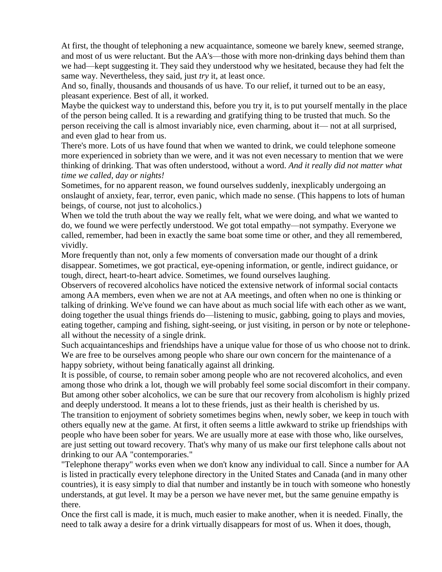At first, the thought of telephoning a new acquaintance, someone we barely knew, seemed strange, and most of us were reluctant. But the AA's—those with more non-drinking days behind them than we had—kept suggesting it. They said they understood why we hesitated, because they had felt the same way. Nevertheless, they said, just *try* it, at least once.

And so, finally, thousands and thousands of us have. To our relief, it turned out to be an easy, pleasant experience. Best of all, it worked.

Maybe the quickest way to understand this, before you try it, is to put yourself mentally in the place of the person being called. It is a rewarding and gratifying thing to be trusted that much. So the person receiving the call is almost invariably nice, even charming, about it— not at all surprised, and even glad to hear from us.

There's more. Lots of us have found that when we wanted to drink, we could telephone someone more experienced in sobriety than we were, and it was not even necessary to mention that we were thinking of drinking. That was often understood, without a word. *And it really did not matter what time we called, day or nights!*

Sometimes, for no apparent reason, we found ourselves suddenly, inexplicably undergoing an onslaught of anxiety, fear, terror, even panic, which made no sense. (This happens to lots of human beings, of course, not just to alcoholics.)

When we told the truth about the way we really felt, what we were doing, and what we wanted to do, we found we were perfectly understood. We got total empathy—not sympathy. Everyone we called, remember, had been in exactly the same boat some time or other, and they all remembered, vividly.

More frequently than not, only a few moments of conversation made our thought of a drink disappear. Sometimes, we got practical, eye-opening information, or gentle, indirect guidance, or tough, direct, heart-to-heart advice. Sometimes, we found ourselves laughing.

Observers of recovered alcoholics have noticed the extensive network of informal social contacts among AA members, even when we are not at AA meetings, and often when no one is thinking or talking of drinking. We've found we can have about as much social life with each other as we want, doing together the usual things friends do—listening to music, gabbing, going to plays and movies, eating together, camping and fishing, sight-seeing, or just visiting, in person or by note or telephoneall without the necessity of a single drink.

Such acquaintanceships and friendships have a unique value for those of us who choose not to drink. We are free to be ourselves among people who share our own concern for the maintenance of a happy sobriety, without being fanatically against all drinking.

It is possible, of course, to remain sober among people who are not recovered alcoholics, and even among those who drink a lot, though we will probably feel some social discomfort in their company. But among other sober alcoholics, we can be sure that our recovery from alcoholism is highly prized and deeply understood. It means a lot to these friends, just as their health is cherished by us.

The transition to enjoyment of sobriety sometimes begins when, newly sober, we keep in touch with others equally new at the game. At first, it often seems a little awkward to strike up friendships with people who have been sober for years. We are usually more at ease with those who, like ourselves, are just setting out toward recovery. That's why many of us make our first telephone calls about not drinking to our AA "contemporaries."

"Telephone therapy" works even when we don't know any individual to call. Since a number for AA is listed in practically every telephone directory in the United States and Canada (and in many other countries), it is easy simply to dial that number and instantly be in touch with someone who honestly understands, at gut level. It may be a person we have never met, but the same genuine empathy is there.

Once the first call is made, it is much, much easier to make another, when it is needed. Finally, the need to talk away a desire for a drink virtually disappears for most of us. When it does, though,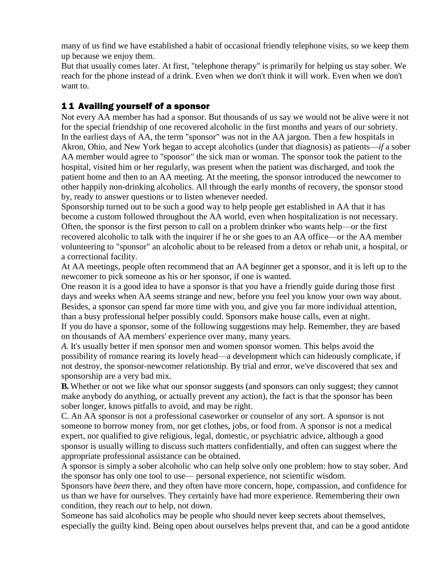many of us find we have established a habit of occasional friendly telephone visits, so we keep them up because we enjoy them.

But that usually comes later. At first, "telephone therapy" is primarily for helping us stay sober. We reach for the phone instead of a drink. Even when we don't think it will work. Even when we don't want to.

## 1 1 Availing yourself of a sponsor

Not every AA member has had a sponsor. But thousands of us say we would not be alive were it not for the special friendship of one recovered alcoholic in the first months and years of our sobriety. In the earliest days of AA, the term "sponsor" was not in the AA jargon. Then a few hospitals in Akron, Ohio, and New York began to accept alcoholics (under that diagnosis) as patients—*if* a sober AA member would agree to "sponsor" the sick man or woman. The sponsor took the patient to the hospital, visited him or her regularly, was present when the patient was discharged, and took the patient home and then to an AA meeting. At the meeting, the sponsor introduced the newcomer to other happily non-drinking alcoholics. All through the early months of recovery, the sponsor stood by, ready to answer questions or to listen whenever needed.

Sponsorship turned out to be such a good way to help people get established in AA that it has become a custom followed throughout the AA world, even when hospitalization is not necessary. Often, the sponsor is the first person to call on a problem drinker who wants help—or the first recovered alcoholic to talk with the inquirer if he or she goes to an AA office—or the AA member volunteering to "sponsor" an alcoholic about to be released from a detox or rehab unit, a hospital, or a correctional facility.

At AA meetings, people often recommend that an AA beginner get a sponsor, and it is left up to the newcomer to pick someone as his or her sponsor, if one is wanted.

One reason it is a good idea to have a sponsor is that you have a friendly guide during those first days and weeks when AA seems strange and new, before you feel you know your own way about. Besides, a sponsor can spend far more time with you, and give you far more individual attention, than a busy professional helper possibly could. Sponsors make house calls, even at night.

If you do have a sponsor, some of the following suggestions may help. Remember, they are based on thousands of AA members' experience over many, many years.

*A.* It's usually better if men sponsor men and women sponsor women. This helps avoid the possibility of romance rearing its lovely head—a development which can hideously complicate, if not destroy, the sponsor-newcomer relationship. By trial and error, we've discovered that sex and sponsorship are a very bad mix.

**B.** Whether or not we like what our sponsor suggests (and sponsors can only suggest; they cannot make anybody do anything, or actually prevent any action), the fact is that the sponsor has been sober longer, knows pitfalls to avoid, and may be right.

C. An AA sponsor is not a professional caseworker or counselor of any sort. A sponsor is not someone to borrow money from, nor get clothes, jobs, or food from. A sponsor is not a medical expert, nor qualified to give religious, legal, domestic, or psychiatric advice, although a good sponsor is usually willing to discuss such matters confidentially, and often can suggest where the appropriate professional assistance can be obtained.

A sponsor is simply a sober alcoholic who can help solve only one problem: how to stay sober. And the sponsor has only one tool to use— personal experience, not scientific wisdom.

Sponsors have *been* there, and they often have more concern, hope, compassion, and confidence for us than we have for ourselves. They certainly have had more experience. Remembering their own condition, they reach *out* to help, not down.

Someone has said alcoholics may be people who should never keep secrets about themselves, especially the guilty kind. Being open about ourselves helps prevent that, and can be a good antidote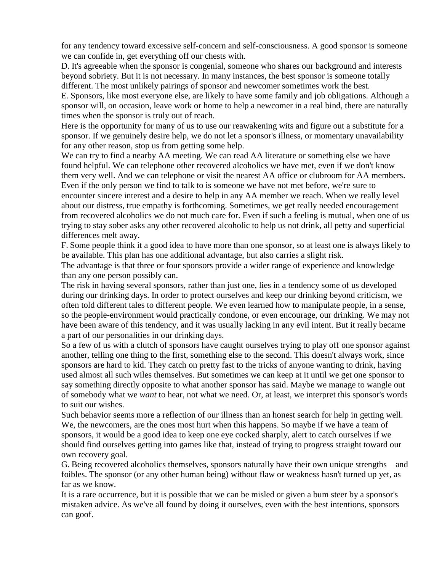for any tendency toward excessive self-concern and self-consciousness. A good sponsor is someone we can confide in, get everything off our chests with.

D. It's agreeable when the sponsor is congenial, someone who shares our background and interests beyond sobriety. But it is not necessary. In many instances, the best sponsor is someone totally different. The most unlikely pairings of sponsor and newcomer sometimes work the best.

E. Sponsors, like most everyone else, are likely to have some family and job obligations. Although a sponsor will, on occasion, leave work or home to help a newcomer in a real bind, there are naturally times when the sponsor is truly out of reach.

Here is the opportunity for many of us to use our reawakening wits and figure out a substitute for a sponsor. If we genuinely desire help, we do not let a sponsor's illness, or momentary unavailability for any other reason, stop us from getting some help.

We can try to find a nearby AA meeting. We can read AA literature or something else we have found helpful. We can telephone other recovered alcoholics we have met, even if we don't know them very well. And we can telephone or visit the nearest AA office or clubroom for AA members. Even if the only person we find to talk to is someone we have not met before, we're sure to encounter sincere interest and a desire to help in any AA member we reach. When we really level about our distress, true empathy is forthcoming. Sometimes, we get really needed encouragement from recovered alcoholics we do not much care for. Even if such a feeling is mutual, when one of us trying to stay sober asks any other recovered alcoholic to help us not drink, all petty and superficial differences melt away.

F. Some people think it a good idea to have more than one sponsor, so at least one is always likely to be available. This plan has one additional advantage, but also carries a slight risk.

The advantage is that three or four sponsors provide a wider range of experience and knowledge than any one person possibly can.

The risk in having several sponsors, rather than just one, lies in a tendency some of us developed during our drinking days. In order to protect ourselves and keep our drinking beyond criticism, we often told different tales to different people. We even learned how to manipulate people, in a sense, so the people-environment would practically condone, or even encourage, our drinking. We may not have been aware of this tendency, and it was usually lacking in any evil intent. But it really became a part of our personalities in our drinking days.

So a few of us with a clutch of sponsors have caught ourselves trying to play off one sponsor against another, telling one thing to the first, something else to the second. This doesn't always work, since sponsors are hard to kid. They catch on pretty fast to the tricks of anyone wanting to drink, having used almost all such wiles themselves. But sometimes we can keep at it until we get one sponsor to say something directly opposite to what another sponsor has said. Maybe we manage to wangle out of somebody what we *want* to hear, not what we need. Or, at least, we interpret this sponsor's words to suit our wishes.

Such behavior seems more a reflection of our illness than an honest search for help in getting well. We, the newcomers, are the ones most hurt when this happens. So maybe if we have a team of sponsors, it would be a good idea to keep one eye cocked sharply, alert to catch ourselves if we should find ourselves getting into games like that, instead of trying to progress straight toward our own recovery goal.

G. Being recovered alcoholics themselves, sponsors naturally have their own unique strengths—and foibles. The sponsor (or any other human being) without flaw or weakness hasn't turned up yet, as far as we know.

It is a rare occurrence, but it is possible that we can be misled or given a bum steer by a sponsor's mistaken advice. As we've all found by doing it ourselves, even with the best intentions, sponsors can goof.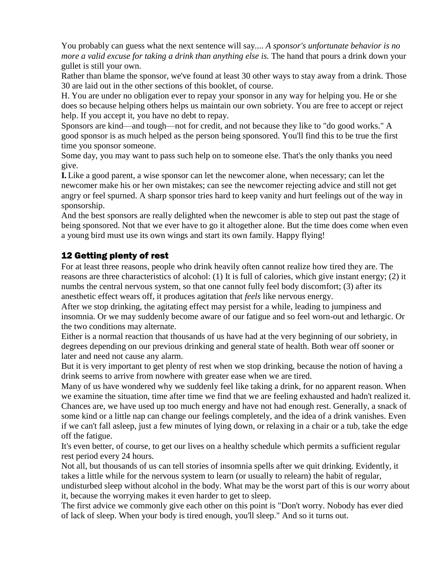You probably can guess what the next sentence will say.... *A sponsor's unfortunate behavior is no more a valid excuse for taking a drink than anything else is.* The hand that pours a drink down your gullet is still your own.

Rather than blame the sponsor, we've found at least 30 other ways to stay away from a drink. Those 30 are laid out in the other sections of this booklet, of course.

H. You are under no obligation ever to repay your sponsor in any way for helping you. He or she does so because helping others helps us maintain our own sobriety. You are free to accept or reject help. If you accept it, you have no debt to repay.

Sponsors are kind—and tough—not for credit, and not because they like to "do good works." A good sponsor is as much helped as the person being sponsored. You'll find this to be true the first time you sponsor someone.

Some day, you may want to pass such help on to someone else. That's the only thanks you need give.

**I.** Like a good parent, a wise sponsor can let the newcomer alone, when necessary; can let the newcomer make his or her own mistakes; can see the newcomer rejecting advice and still not get angry or feel spurned. A sharp sponsor tries hard to keep vanity and hurt feelings out of the way in sponsorship.

And the best sponsors are really delighted when the newcomer is able to step out past the stage of being sponsored. Not that we ever have to go it altogether alone. But the time does come when even a young bird must use its own wings and start its own family. Happy flying!

## 12 Getting plenty of rest

For at least three reasons, people who drink heavily often cannot realize how tired they are. The reasons are three characteristics of alcohol: (1) It is full of calories, which give instant energy; (2) it numbs the central nervous system, so that one cannot fully feel body discomfort; (3) after its anesthetic effect wears off, it produces agitation that *feels* like nervous energy.

After we stop drinking, the agitating effect may persist for a while, leading to jumpiness and insomnia. Or we may suddenly become aware of our fatigue and so feel worn-out and lethargic. Or the two conditions may alternate.

Either is a normal reaction that thousands of us have had at the very beginning of our sobriety, in degrees depending on our previous drinking and general state of health. Both wear off sooner or later and need not cause any alarm.

But it is very important to get plenty of rest when we stop drinking, because the notion of having a drink seems to arrive from nowhere with greater ease when we are tired.

Many of us have wondered why we suddenly feel like taking a drink, for no apparent reason. When we examine the situation, time after time we find that we are feeling exhausted and hadn't realized it. Chances are, we have used up too much energy and have not had enough rest. Generally, a snack of some kind or a little nap can change our feelings completely, and the idea of a drink vanishes. Even if we can't fall asleep, just a few minutes of lying down, or relaxing in a chair or a tub, take the edge off the fatigue.

It's even better, of course, to get our lives on a healthy schedule which permits a sufficient regular rest period every 24 hours.

Not all, but thousands of us can tell stories of insomnia spells after we quit drinking. Evidently, it takes a little while for the nervous system to learn (or usually to relearn) the habit of regular,

undisturbed sleep without alcohol in the body. What may be the worst part of this is our worry about it, because the worrying makes it even harder to get to sleep.

The first advice we commonly give each other on this point is "Don't worry. Nobody has ever died of lack of sleep. When your body is tired enough, you'll sleep." And so it turns out.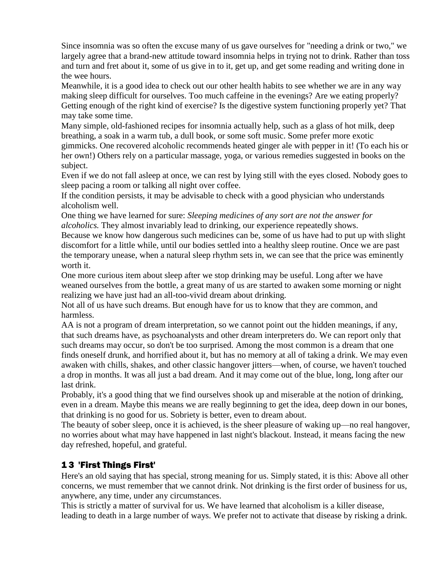Since insomnia was so often the excuse many of us gave ourselves for "needing a drink or two," we largely agree that a brand-new attitude toward insomnia helps in trying not to drink. Rather than toss and turn and fret about it, some of us give in to it, get up, and get some reading and writing done in the wee hours.

Meanwhile, it is a good idea to check out our other health habits to see whether we are in any way making sleep difficult for ourselves. Too much caffeine in the evenings? Are we eating properly? Getting enough of the right kind of exercise? Is the digestive system functioning properly yet? That may take some time.

Many simple, old-fashioned recipes for insomnia actually help, such as a glass of hot milk, deep breathing, a soak in a warm tub, a dull book, or some soft music. Some prefer more exotic gimmicks. One recovered alcoholic recommends heated ginger ale with pepper in it! (To each his or her own!) Others rely on a particular massage, yoga, or various remedies suggested in books on the

subject. Even if we do not fall asleep at once, we can rest by lying still with the eyes closed. Nobody goes to sleep pacing a room or talking all night over coffee.

If the condition persists, it may be advisable to check with a good physician who understands alcoholism well.

One thing we have learned for sure: *Sleeping medicines of any sort are not the answer for alcoholics.* They almost invariably lead to drinking, our experience repeatedly shows.

Because we know how dangerous such medicines can be, some of us have had to put up with slight discomfort for a little while, until our bodies settled into a healthy sleep routine. Once we are past the temporary unease, when a natural sleep rhythm sets in, we can see that the price was eminently worth it.

One more curious item about sleep after we stop drinking may be useful. Long after we have weaned ourselves from the bottle, a great many of us are started to awaken some morning or night realizing we have just had an all-too-vivid dream about drinking.

Not all of us have such dreams. But enough have for us to know that they are common, and harmless.

AA is not a program of dream interpretation, so we cannot point out the hidden meanings, if any, that such dreams have, as psychoanalysts and other dream interpreters do. We can report only that such dreams may occur, so don't be too surprised. Among the most common is a dream that one finds oneself drunk, and horrified about it, but has no memory at all of taking a drink. We may even awaken with chills, shakes, and other classic hangover jitters—when, of course, we haven't touched a drop in months. It was all just a bad dream. And it may come out of the blue, long, long after our last drink.

Probably, it's a good thing that we find ourselves shook up and miserable at the notion of drinking, even in a dream. Maybe this means we are really beginning to get the idea, deep down in our bones, that drinking is no good for us. Sobriety is better, even to dream about.

The beauty of sober sleep, once it is achieved, is the sheer pleasure of waking up—no real hangover, no worries about what may have happened in last night's blackout. Instead, it means facing the new day refreshed, hopeful, and grateful.

## 1 3 'First Things First'

Here's an old saying that has special, strong meaning for us. Simply stated, it is this: Above all other concerns, we must remember that we cannot drink. Not drinking is the first order of business for us, anywhere, any time, under any circumstances.

This is strictly a matter of survival for us. We have learned that alcoholism is a killer disease, leading to death in a large number of ways. We prefer not to activate that disease by risking a drink.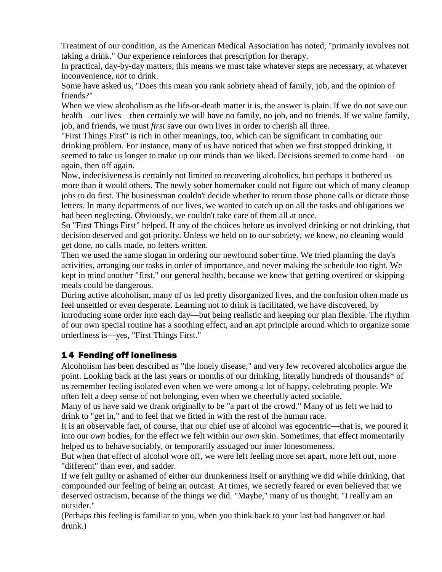Treatment of our condition, as the American Medical Association has noted, "primarily involves not taking a drink." Our experience reinforces that prescription for therapy.

In practical, day-by-day matters, this means we must take whatever steps are necessary, at whatever inconvenience, *not* to drink.

Some have asked us, "Does this mean you rank sobriety ahead of family, job, and the opinion of friends?"

When we view alcoholism as the life-or-death matter it is, the answer is plain. If we do not save our health—our lives—then certainly we will have no family, no job, and no friends. If we value family, job, and friends, we must *first* save our own lives in order to cherish all three.

"First Things First" is rich in other meanings, too, which can be significant in combating our drinking problem. For instance, many of us have noticed that when we first stopped drinking, it seemed to take us longer to make up our minds than we liked. Decisions seemed to come hard—on again, then off again.

Now, indecisiveness is certainly not limited to recovering alcoholics, but perhaps it bothered us more than it would others. The newly sober homemaker could not figure out which of many cleanup jobs to do first. The businessman couldn't decide whether to return those phone calls or dictate those letters. In many departments of our lives, we wanted to catch up on all the tasks and obligations we had been neglecting. Obviously, we couldn't take care of them all at once.

So "First Things First" helped. If any of the choices before us involved drinking or not drinking, that decision deserved and got priority. Unless we held on to our sobriety, we knew, *no* cleaning would get done, no calls made, no letters written.

Then we used the same slogan in ordering our newfound sober time. We tried planning the day's activities, arranging our tasks in order of importance, and never making the schedule too tight. We kept in mind another "first," our general health, because we knew that getting overtired or skipping meals could be dangerous.

During active alcoholism, many of us led pretty disorganized lives, and the confusion often made us feel unsettled or even desperate. Learning not to drink is facilitated, we have discovered, by introducing some order into each day—but being realistic and keeping our plan flexible. The rhythm of our own special routine has a soothing effect, and an apt principle around which to organize some orderliness is—yes, "First Things First."

## 1 4 Fending off loneliness

Alcoholism has been described as "the lonely disease," and very few recovered alcoholics argue the point. Looking back at the last years or months of our drinking, literally hundreds of thousands\* of us remember feeling isolated even when we were among a lot of happy, celebrating people. We often felt a deep sense of not belonging, even when we cheerfully acted sociable.

Many of us have said we drank originally to be "a part of the crowd." Many of us felt we had to drink to "get in," and to feel that we fitted in with the rest of the human race.

It is an observable fact, of course, that our chief use of alcohol was egocentric—that is, we poured it into our *own* bodies, for the effect we felt within our *own* skin. Sometimes, that effect momentarily helped us to behave sociably, or temporarily assuaged our inner lonesomeness.

But when that effect of alcohol wore off, we were left feeling more set apart, more left out, more "different" than ever, and sadder.

If we felt guilty or ashamed of either our drunkenness itself or anything we did while drinking, that compounded our feeling of being an outcast. At times, we secretly feared or even believed that we deserved ostracism, because of the things we did. "Maybe," many of us thought, "I really am an outsider."

(Perhaps this feeling is familiar to you, when you think back to your last bad hangover or bad drunk.)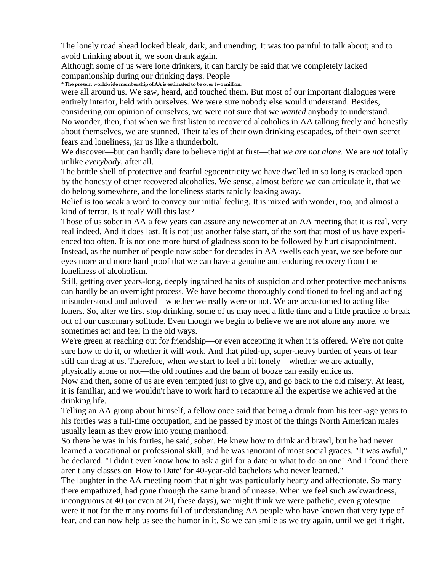The lonely road ahead looked bleak, dark, and unending. It was too painful to talk about; and to avoid thinking about it, we soon drank again.

Although some of us were lone drinkers, it can hardly be said that we completely lacked companionship during our drinking days. People

**\* The present worldwide membership of AA is estimated to be over two million.**

were all around us. We saw, heard, and touched them. But most of our important dialogues were entirely interior, held with ourselves. We were sure nobody else would understand. Besides,

considering our opinion of ourselves, we were not sure that we *wanted* anybody to understand. No wonder, then, that when we first listen to recovered alcoholics in AA talking freely and honestly about themselves, we are stunned. Their tales of their own drinking escapades, of their own secret fears and loneliness, jar us like a thunderbolt.

We discover—but can hardly dare to believe right at first—that *we are not alone.* We are *not* totally unlike *everybody,* after all.

The brittle shell of protective and fearful egocentricity we have dwelled in so long is cracked open by the honesty of other recovered alcoholics. We sense, almost before we can articulate it, that we do belong somewhere, and the loneliness starts rapidly leaking away.

Relief is too weak a word to convey our initial feeling. It is mixed with wonder, too, and almost a kind of terror. Is it real? Will this last?

Those of us sober in AA a few years can assure any newcomer at an AA meeting that it *is* real, very real indeed. And it does last. It is not just another false start, of the sort that most of us have experienced too often. It is not one more burst of gladness soon to be followed by hurt disappointment. Instead, as the number of people now sober for decades in AA swells each year, we see before our eyes more and more hard proof that we can have a genuine and enduring recovery from the loneliness of alcoholism.

Still, getting over years-long, deeply ingrained habits of suspicion and other protective mechanisms can hardly be an overnight process. We have become thoroughly conditioned to feeling and acting misunderstood and unloved—whether we really were or not. We are accustomed to acting like loners. So, after we first stop drinking, some of us may need a little time and a little practice to break out of our customary solitude. Even though we begin to believe we are not alone any more, we sometimes act and feel in the old ways.

We're green at reaching out for friendship—or even accepting it when it is offered. We're not quite sure how to do it, or whether it will work. And that piled-up, super-heavy burden of years of fear still can drag at us. Therefore, when we start to feel a bit lonely—whether we are actually, physically alone or not—the old routines and the balm of booze can easily entice us.

Now and then, some of us are even tempted just to give up, and go back to the old misery. At least, it is familiar, and we wouldn't have to work hard to recapture all the expertise we achieved at the drinking life.

Telling an AA group about himself, a fellow once said that being a drunk from his teen-age years to his forties was a full-time occupation, and he passed by most of the things North American males usually learn as they grow into young manhood.

So there he was in his forties, he said, sober. He knew how to drink and brawl, but he had never learned a vocational or professional skill, and he was ignorant of most social graces. "It was awful," he declared. "I didn't even know how to ask a girl for a date or what to do on one! And I found there aren't any classes on 'How to Date' for 40-year-old bachelors who never learned."

The laughter in the AA meeting room that night was particularly hearty and affectionate. So many there empathized, had gone through the same brand of unease. When we feel such awkwardness, incongruous at 40 (or even at 20, these days), we might think we were pathetic, even grotesque were it not for the many rooms full of understanding AA people who have known that very type of fear, and can now help us see the humor in it. So we can smile as we try again, until we get it right.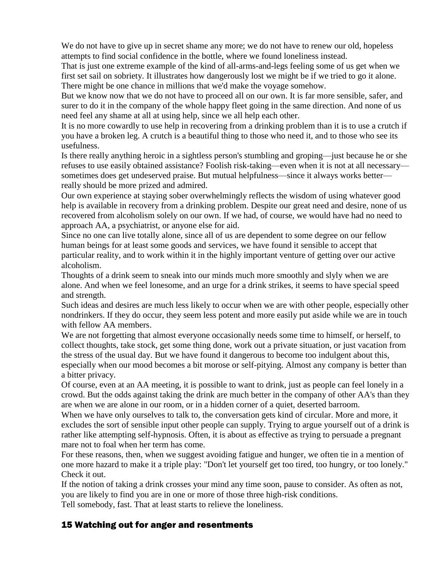We do not have to give up in secret shame any more; we do not have to renew our old, hopeless attempts to find social confidence in the bottle, where we found loneliness instead.

That is just one extreme example of the kind of all-arms-and-legs feeling some of us get when we first set sail on sobriety. It illustrates how dangerously lost we might be if we tried to go it alone. There might be one chance in millions that we'd make the voyage somehow.

But we know now that we do not have to proceed all on our own. It is far more sensible, safer, and surer to do it in the company of the whole happy fleet going in the same direction. And none of us need feel any shame at all at using help, since we all help each other.

It is no more cowardly to use help in recovering from a drinking problem than it is to use a crutch if you have a broken leg. A crutch is a beautiful thing to those who need it, and to those who see its usefulness.

Is there really anything heroic in a sightless person's stumbling and groping—just because he or she refuses to use easily obtained assistance? Foolish risk-taking—even when it is not at all necessary sometimes does get undeserved praise. But mutual helpfulness—since it always works better really should be more prized and admired.

Our own experience at staying sober overwhelmingly reflects the wisdom of using whatever good help is available in recovery from a drinking problem. Despite our great need and desire, none of us recovered from alcoholism solely on our own. If we had, of course, we would have had no need to approach AA, a psychiatrist, or anyone else for aid.

Since no one can live totally alone, since all of us are dependent to some degree on our fellow human beings for at least some goods and services, we have found it sensible to accept that particular reality, and to work within it in the highly important venture of getting over our active alcoholism.

Thoughts of a drink seem to sneak into our minds much more smoothly and slyly when we are alone. And when we feel lonesome, and an urge for a drink strikes, it seems to have special speed and strength.

Such ideas and desires are much less likely to occur when we are with other people, especially other nondrinkers. If they do occur, they seem less potent and more easily put aside while we are in touch with fellow AA members.

We are not forgetting that almost everyone occasionally needs some time to himself, or herself, to collect thoughts, take stock, get some thing done, work out a private situation, or just vacation from the stress of the usual day. But we have found it dangerous to become too indulgent about this, especially when our mood becomes a bit morose or self-pitying. Almost any company is better than a bitter privacy.

Of course, even at an AA meeting, it is possible to want to drink, just as people can feel lonely in a crowd. But the odds against taking the drink are much better in the company of other AA's than they are when we are alone in our room, or in a hidden corner of a quiet, deserted barroom.

When we have only ourselves to talk to, the conversation gets kind of circular. More and more, it excludes the sort of sensible input other people can supply. Trying to argue yourself out of a drink is rather like attempting self-hypnosis. Often, it is about as effective as trying to persuade a pregnant mare not to foal when her term has come.

For these reasons, then, when we suggest avoiding fatigue and hunger, we often tie in a mention of one more hazard to make it a triple play: "Don't let yourself get too tired, too hungry, or too lonely." Check it out.

If the notion of taking a drink crosses your mind any time soon, pause to consider. As often as not, you are likely to find you are in one or more of those three high-risk conditions. Tell somebody, fast. That at least starts to relieve the loneliness.

## 15 Watching out for anger and resentments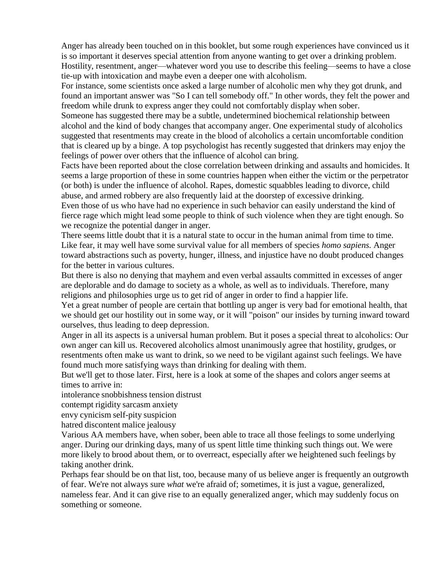Anger has already been touched on in this booklet, but some rough experiences have convinced us it is so important it deserves special attention from anyone wanting to get over a drinking problem. Hostility, resentment, anger—whatever word you use to describe this feeling—seems to have a close tie-up with intoxication and maybe even a deeper one with alcoholism.

For instance, some scientists once asked a large number of alcoholic men why they got drunk, and found an important answer was "So I can tell somebody off." In other words, they felt the power and freedom while drunk to express anger they could not comfortably display when sober.

Someone has suggested there may be a subtle, undetermined biochemical relationship between alcohol and the kind of body changes that accompany anger. One experimental study of alcoholics suggested that resentments may create in the blood of alcoholics a certain uncomfortable condition that is cleared up by a binge. A top psychologist has recently suggested that drinkers may enjoy the feelings of power over others that the influence of alcohol can bring.

Facts have been reported about the close correlation between drinking and assaults and homicides. It seems a large proportion of these in some countries happen when either the victim or the perpetrator (or both) is under the influence of alcohol. Rapes, domestic squabbles leading to divorce, child abuse, and armed robbery are also frequently laid at the doorstep of excessive drinking.

Even those of us who have had no experience in such behavior can easily understand the kind of fierce rage which might lead some people to think of such violence when they are tight enough. So we recognize the potential danger in anger.

There seems little doubt that it is a natural state to occur in the human animal from time to time. Like fear, it may well have some survival value for all members of species *homo sapiens.* Anger toward abstractions such as poverty, hunger, illness, and injustice have no doubt produced changes for the better in various cultures.

But there is also no denying that mayhem and even verbal assaults committed in excesses of anger are deplorable and do damage to society as a whole, as well as to individuals. Therefore, many religions and philosophies urge us to get rid of anger in order to find a happier life.

Yet a great number of people are certain that bottling up anger is very bad for emotional health, that we should get our hostility out in some way, or it will "poison" our insides by turning inward toward ourselves, thus leading to deep depression.

Anger in all its aspects is a universal human problem. But it poses a special threat to alcoholics: Our own anger can kill us. Recovered alcoholics almost unanimously agree that hostility, grudges, or resentments often make us want to drink, so we need to be vigilant against such feelings. We have found much more satisfying ways than drinking for dealing with them.

But we'll get to those later. First, here is a look at some of the shapes and colors anger seems at times to arrive in:

intolerance snobbishness tension distrust

contempt rigidity sarcasm anxiety

envy cynicism self-pity suspicion

hatred discontent malice jealousy

Various AA members have, when sober, been able to trace all those feelings to some underlying anger. During our drinking days, many of us spent little time thinking such things out. We were more likely to brood about them, or to overreact, especially after we heightened such feelings by taking another drink.

Perhaps fear should be on that list, too, because many of us believe anger is frequently an outgrowth of fear. We're not always sure *what* we're afraid of; sometimes, it is just a vague, generalized, nameless fear. And it can give rise to an equally generalized anger, which may suddenly focus on something or someone.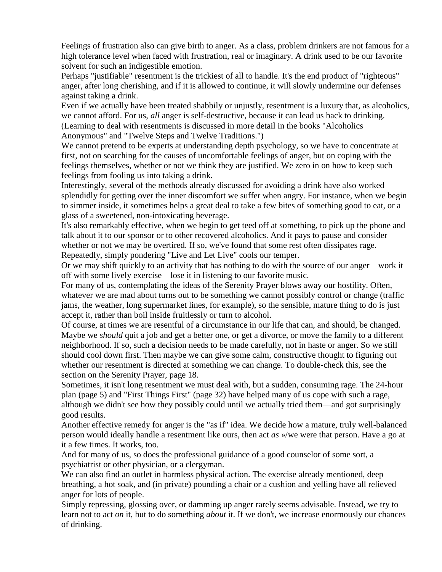Feelings of frustration also can give birth to anger. As a class, problem drinkers are not famous for a high tolerance level when faced with frustration, real or imaginary. A drink used to be our favorite solvent for such an indigestible emotion.

Perhaps "justifiable" resentment is the trickiest of all to handle. It's the end product of "righteous" anger, after long cherishing, and if it is allowed to continue, it will slowly undermine our defenses against taking a drink.

Even if we actually have been treated shabbily or unjustly, resentment is a luxury that, as alcoholics, we cannot afford. For us, *all* anger is self-destructive, because it can lead us back to drinking. (Learning to deal with resentments is discussed in more detail in the books "Alcoholics Anonymous" and "Twelve Steps and Twelve Traditions.")

We cannot pretend to be experts at understanding depth psychology, so we have to concentrate at first, not on searching for the causes of uncomfortable feelings of anger, but on coping with the feelings themselves, whether or not we think they are justified. We zero in on how to keep such feelings from fooling us into taking a drink.

Interestingly, several of the methods already discussed for avoiding a drink have also worked splendidly for getting over the inner discomfort we suffer when angry. For instance, when we begin to simmer inside, it sometimes helps a great deal to take a few bites of something good to eat, or a glass of a sweetened, non-intoxicating beverage.

It's also remarkably effective, when we begin to get teed off at something, to pick up the phone and talk about it to our sponsor or to other recovered alcoholics. And it pays to pause and consider whether or not we may be overtired. If so, we've found that some rest often dissipates rage.

Repeatedly, simply pondering "Live and Let Live" cools our temper.

Or we may shift quickly to an activity that has nothing to do with the source of our anger—work it off with some lively exercise—lose it in listening to our favorite music.

For many of us, contemplating the ideas of the Serenity Prayer blows away our hostility. Often, whatever we are mad about turns out to be something we cannot possibly control or change (traffic jams, the weather, long supermarket lines, for example), so the sensible, mature thing to do is just accept it, rather than boil inside fruitlessly or turn to alcohol.

Of course, at times we are resentful of a circumstance in our life that can, and should, be changed. Maybe we *should* quit a job and get a better one, or get a divorce, or move the family to a different neighborhood. If so, such a decision needs to be made carefully, not in haste or anger. So we still should cool down first. Then maybe we can give some calm, constructive thought to figuring out whether our resentment is directed at something we can change. To double-check this, see the section on the Serenity Prayer, page 18.

Sometimes, it isn't long resentment we must deal with, but a sudden, consuming rage. The 24-hour plan (page 5) and "First Things First" (page 32) have helped many of us cope with such a rage, although we didn't see how they possibly could until we actually tried them—and got surprisingly good results.

Another effective remedy for anger is the "as if" idea. We decide how a mature, truly well-balanced person would ideally handle a resentment like ours, then act *as* »/we were that person. Have a go at it a few times. It works, too.

And for many of us, so does the professional guidance of a good counselor of some sort, a psychiatrist or other physician, or a clergyman.

We can also find an outlet in harmless physical action. The exercise already mentioned, deep breathing, a hot soak, and (in private) pounding a chair or a cushion and yelling have all relieved anger for lots of people.

Simply repressing, glossing over, or damming up anger rarely seems advisable. Instead, we try to learn not to act *on* it, but to do something *about* it. If we don't, we increase enormously our chances of drinking.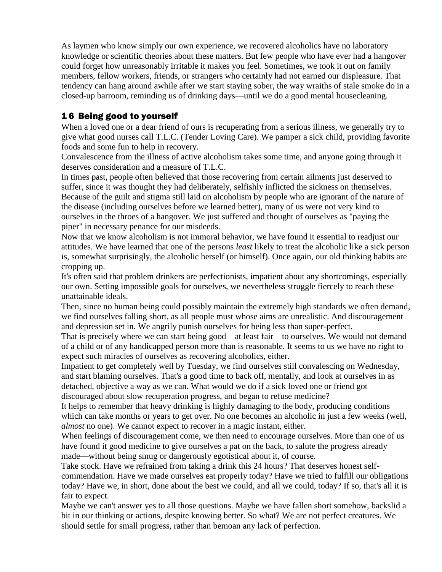As laymen who know simply our own experience, we recovered alcoholics have no laboratory knowledge or scientific theories about these matters. But few people who have ever had a hangover could forget how unreasonably irritable it makes you feel. Sometimes, we took it out on family members, fellow workers, friends, or strangers who certainly had not earned our displeasure. That tendency can hang around awhile after we start staying sober, the way wraiths of stale smoke do in a closed-up barroom, reminding us of drinking days—until we do a good mental housecleaning.

## 1 6 Being good to yourself

When a loved one or a dear friend of ours is recuperating from a serious illness, we generally try to give what good nurses call T.L.C. (Tender Loving Care). We pamper a sick child, providing favorite foods and some fun to help in recovery.

Convalescence from the illness of active alcoholism takes some time, and anyone going through it deserves consideration and a measure of T.L.C.

In times past, people often believed that those recovering from certain ailments just deserved to suffer, since it was thought they had deliberately, selfishly inflicted the sickness on themselves. Because of the guilt and stigma still laid on alcoholism by people who are ignorant of the nature of the disease (including ourselves before we learned better), many of us were not very kind to ourselves in the throes of a hangover. We just suffered and thought of ourselves as "paying the piper" in necessary penance for our misdeeds.

Now that we know alcoholism is not immoral behavior, we have found it essential to readjust our attitudes. We have learned that one of the persons *least* likely to treat the alcoholic like a sick person is, somewhat surprisingly, the alcoholic herself (or himself). Once again, our old thinking habits are cropping up.

It's often said that problem drinkers are perfectionists, impatient about any shortcomings, especially our own. Setting impossible goals for ourselves, we nevertheless struggle fiercely to reach these unattainable ideals.

Then, since no human being could possibly maintain the extremely high standards we often demand, we find ourselves falling short, as all people must whose aims are unrealistic. And discouragement and depression set in. We angrily punish ourselves for being less than super-perfect.

That is precisely where we can start being good—at least fair—to ourselves. We would not demand of a child or of any handicapped person more than is reasonable. It seems to us we have no right to expect such miracles of ourselves as recovering alcoholics, either.

Impatient to get completely well by Tuesday, we find ourselves still convalescing on Wednesday, and start blaming ourselves. That's a good time to back off, mentally, and look at ourselves in as detached, objective a way as we can. What would we do if a sick loved one or friend got discouraged about slow recuperation progress, and began to refuse medicine?

It helps to remember that heavy drinking is highly damaging to the body, producing conditions which can take months or years to get over. No one becomes an alcoholic in just a few weeks (well, *almost* no one). We cannot expect to recover in a magic instant, either.

When feelings of discouragement come, we then need to encourage ourselves. More than one of us have found it good medicine to give ourselves a pat on the back, to salute the progress already made—without being smug or dangerously egotistical about it, of course.

Take stock. Have we refrained from taking a drink this 24 hours? That deserves honest selfcommendation. Have we made ourselves eat properly today? Have we tried to fulfill our obligations today? Have we, in short, done about the best we could, and all we could, today? If so, that's all it is fair to expect.

Maybe we can't answer yes to all those questions. Maybe we have fallen short somehow, backslid a bit in our thinking or actions, despite knowing better. So what? We are not perfect creatures. We should settle for small progress, rather than bemoan any lack of perfection.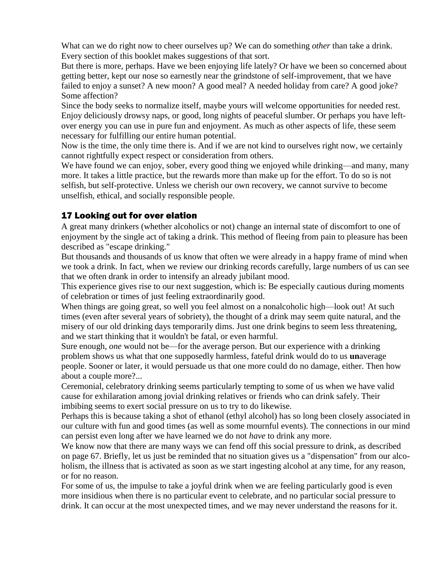What can we do right now to cheer ourselves up? We can do something *other* than take a drink. Every section of this booklet makes suggestions of that sort.

But there is more, perhaps. Have we been enjoying life lately? Or have we been so concerned about getting better, kept our nose so earnestly near the grindstone of self-improvement, that we have failed to enjoy a sunset? A new moon? A good meal? A needed holiday from care? A good joke? Some affection?

Since the body seeks to normalize itself, maybe yours will welcome opportunities for needed rest. Enjoy deliciously drowsy naps, or good, long nights of peaceful slumber. Or perhaps you have leftover energy you can use in pure fun and enjoyment. As much as other aspects of life, these seem necessary for fulfilling our entire human potential.

Now is the time, the only time there is. And if we are not kind to ourselves right now, we certainly cannot rightfully expect respect or consideration from others.

We have found we can enjoy, sober, every good thing we enjoyed while drinking—and many, many more. It takes a little practice, but the rewards more than make up for the effort. To do so is not selfish, but self-protective. Unless we cherish our own recovery, we cannot survive to become unselfish, ethical, and socially responsible people.

# 17 Looking out for over elation

A great many drinkers (whether alcoholics or not) change an internal state of discomfort to one of enjoyment by the single act of taking a drink. This method of fleeing from pain to pleasure has been described as "escape drinking."

But thousands and thousands of us know that often we were already in a happy frame of mind when we took a drink. In fact, when we review our drinking records carefully, large numbers of us can see that we often drank in order to intensify an already jubilant mood.

This experience gives rise to our next suggestion, which is: Be especially cautious during moments of celebration or times of just feeling extraordinarily good.

When things are going great, so well you feel almost on a nonalcoholic high—look out! At such times (even after several years of sobriety), the thought of a drink may seem quite natural, and the misery of our old drinking days temporarily dims. Just one drink begins to seem less threatening, and we start thinking that it wouldn't be fatal, or even harmful.

Sure enough, *one* would not be—for the average person. But our experience with a drinking problem shows us what that one supposedly harmless, fateful drink would do to us **un**average people. Sooner or later, it would persuade us that one more could do no damage, either. Then how about a couple more?...

Ceremonial, celebratory drinking seems particularly tempting to some of us when we have valid cause for exhilaration among jovial drinking relatives or friends who can drink safely. Their imbibing seems to exert social pressure on us to try to do likewise.

Perhaps this is because taking a shot of ethanol (ethyl alcohol) has so long been closely associated in our culture with fun and good times (as well as some mournful events). The connections in our mind can persist even long after we have learned we do not *have* to drink any more.

We know now that there are many ways we can fend off this social pressure to drink, as described on page 67. Briefly, let us just be reminded that no situation gives us a "dispensation" from our alcoholism, the illness that is activated as soon as we start ingesting alcohol at any time, for any reason, or for no reason.

For some of us, the impulse to take a joyful drink when we are feeling particularly good is even more insidious when there is no particular event to celebrate, and no particular social pressure to drink. It can occur at the most unexpected times, and we may never understand the reasons for it.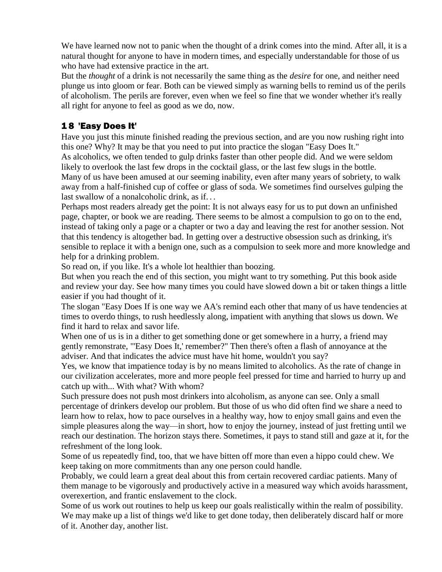We have learned now not to panic when the thought of a drink comes into the mind. After all, it is a natural thought for anyone to have in modern times, and especially understandable for those of us who have had extensive practice in the art.

But the *thought* of a drink is not necessarily the same thing as the *desire* for one, and neither need plunge us into gloom or fear. Both can be viewed simply as warning bells to remind us of the perils of alcoholism. The perils are forever, even when we feel so fine that we wonder whether it's really all right for anyone to feel as good as we do, now.

## 1 8 'Easy Does It'

Have you just this minute finished reading the previous section, and are you now rushing right into this one? Why? It may be that you need to put into practice the slogan "Easy Does It." As alcoholics, we often tended to gulp drinks faster than other people did. And we were seldom likely to overlook the last few drops in the cocktail glass, or the last few slugs in the bottle. Many of us have been amused at our seeming inability, even after many years of sobriety, to walk away from a half-finished cup of coffee or glass of soda. We sometimes find ourselves gulping the last swallow of a nonalcoholic drink, as if...

Perhaps most readers already get the point: It is not always easy for us to put down an unfinished page, chapter, or book we are reading. There seems to be almost a compulsion to go on to the end, instead of taking only a page or a chapter or two a day and leaving the rest for another session. Not that this tendency is altogether bad. In getting over a destructive obsession such as drinking, it's sensible to replace it with a benign one, such as a compulsion to seek more and more knowledge and help for a drinking problem.

So read on, if you like. It's a whole lot healthier than boozing.

But when you reach the end of this section, you might want to try something. Put this book aside and review your day. See how many times you could have slowed down a bit or taken things a little easier if you had thought of it.

The slogan "Easy Does If is one way we AA's remind each other that many of us have tendencies at times to overdo things, to rush heedlessly along, impatient with anything that slows us down. We find it hard to relax and savor life.

When one of us is in a dither to get something done or get somewhere in a hurry, a friend may gently remonstrate, "'Easy Does It,' remember?" Then there's often a flash of annoyance at the adviser. And that indicates the advice must have hit home, wouldn't you say?

Yes, we know that impatience today is by no means limited to alcoholics. As the rate of change in our civilization accelerates, more and more people feel pressed for time and harried to hurry up and catch up with... With what? With whom?

Such pressure does not push most drinkers into alcoholism, as anyone can see. Only a small percentage of drinkers develop our problem. But those of us who did often find we share a need to learn how to relax, how to pace ourselves in a healthy way, how to enjoy small gains and even the simple pleasures along the way—in short, how to enjoy the journey, instead of just fretting until we reach our destination. The horizon stays there. Sometimes, it pays to stand still and gaze at it, for the refreshment of the long look.

Some of us repeatedly find, too, that we have bitten off more than even a hippo could chew. We keep taking on more commitments than any one person could handle.

Probably, we could learn a great deal about this from certain recovered cardiac patients. Many of them manage to be vigorously and productively active in a measured way which avoids harassment, overexertion, and frantic enslavement to the clock.

Some of us work out routines to help us keep our goals realistically within the realm of possibility. We may make up a list of things we'd like to get done today, then deliberately discard half or more of it. Another day, another list.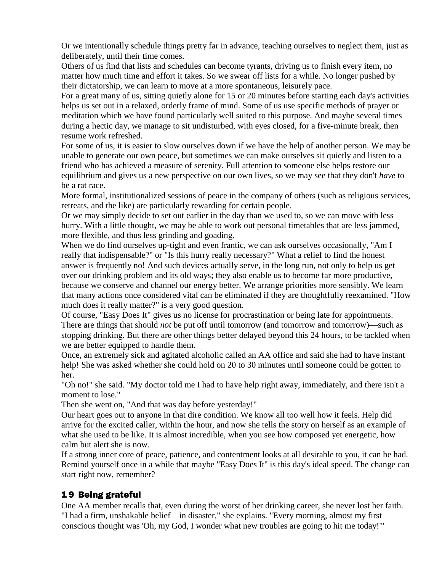Or we intentionally schedule things pretty far in advance, teaching ourselves to neglect them, just as deliberately, until their time comes.

Others of us find that lists and schedules can become tyrants, driving us to finish every item, no matter how much time and effort it takes. So we swear off lists for a while. No longer pushed by their dictatorship, we can learn to move at a more spontaneous, leisurely pace.

For a great many of us, sitting quietly alone for 15 or 20 minutes before starting each day's activities helps us set out in a relaxed, orderly frame of mind. Some of us use specific methods of prayer or meditation which we have found particularly well suited to this purpose. And maybe several times during a hectic day, we manage to sit undisturbed, with eyes closed, for a five-minute break, then resume work refreshed.

For some of us, it is easier to slow ourselves down if we have the help of another person. We may be unable to generate our own peace, but sometimes we can make ourselves sit quietly and listen to a friend who has achieved a measure of serenity. Full attention to someone else helps restore our equilibrium and gives us a new perspective on our own lives, so we may see that they don't *have* to be a rat race.

More formal, institutionalized sessions of peace in the company of others (such as religious services, retreats, and the like) are particularly rewarding for certain people.

Or we may simply decide to set out earlier in the day than we used to, so we can move with less hurry. With a little thought, we may be able to work out personal timetables that are less jammed, more flexible, and thus less grinding and goading.

When we do find ourselves up-tight and even frantic, we can ask ourselves occasionally, "Am I really that indispensable?" or "Is this hurry really necessary?" What a relief to find the honest answer is frequently no! And such devices actually serve, in the long run, not only to help us get over our drinking problem and its old ways; they also enable us to become far more productive, because we conserve and channel our energy better. We arrange priorities more sensibly. We learn that many actions once considered vital can be eliminated if they are thoughtfully reexamined. "How much does it really matter?" is a very good question.

Of course, "Easy Does It" gives us no license for procrastination or being late for appointments. There are things that should *not* be put off until tomorrow (and tomorrow and tomorrow)—such as stopping drinking. But there are other things better delayed beyond this 24 hours, to be tackled when we are better equipped to handle them.

Once, an extremely sick and agitated alcoholic called an AA office and said she had to have instant help! She was asked whether she could hold on 20 to 30 minutes until someone could be gotten to her.

"Oh no!" she said. "My doctor told me I had to have help right away, immediately, and there isn't a moment to lose."

Then she went on, "And that was day before yesterday!"

Our heart goes out to anyone in that dire condition. We know all too well how it feels. Help did arrive for the excited caller, within the hour, and now she tells the story on herself as an example of what she used to be like. It is almost incredible, when you see how composed yet energetic, how calm but alert she is now.

If a strong inner core of peace, patience, and contentment looks at all desirable to you, it can be had. Remind yourself once in a while that maybe "Easy Does It" is this day's ideal speed. The change can start right now, remember?

## 1 9 Being grateful

One AA member recalls that, even during the worst of her drinking career, she never lost her faith. "I had a firm, unshakable belief—in disaster," she explains. "Every morning, almost my first conscious thought was 'Oh, my God, I wonder what new troubles are going to hit me today!'"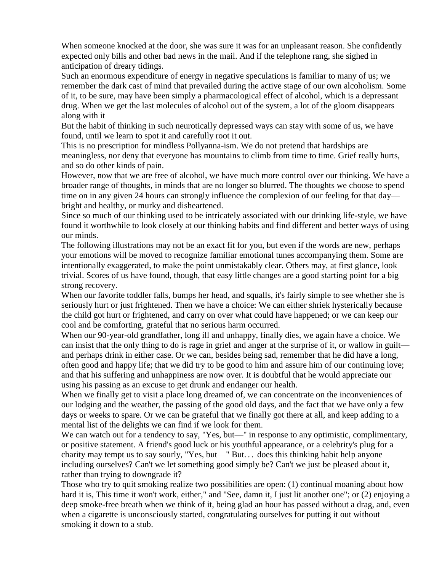When someone knocked at the door, she was sure it was for an unpleasant reason. She confidently expected only bills and other bad news in the mail. And if the telephone rang, she sighed in anticipation of dreary tidings.

Such an enormous expenditure of energy in negative speculations is familiar to many of us; we remember the dark cast of mind that prevailed during the active stage of our own alcoholism. Some of it, to be sure, may have been simply a pharmacological effect of alcohol, which is a depressant drug. When we get the last molecules of alcohol out of the system, a lot of the gloom disappears along with it

But the habit of thinking in such neurotically depressed ways can stay with some of us, we have found, until we learn to spot it and carefully root it out.

This is no prescription for mindless Pollyanna-ism. We do not pretend that hardships are meaningless, nor deny that everyone has mountains to climb from time to time. Grief really hurts, and so do other kinds of pain.

However, now that we are free of alcohol, we have much more control over our thinking. We have a broader range of thoughts, in minds that are no longer so blurred. The thoughts we choose to spend time on in any given 24 hours can strongly influence the complexion of our feeling for that day bright and healthy, or murky and disheartened.

Since so much of our thinking used to be intricately associated with our drinking life-style, we have found it worthwhile to look closely at our thinking habits and find different and better ways of using our minds.

The following illustrations may not be an exact fit for you, but even if the words are new, perhaps your emotions will be moved to recognize familiar emotional tunes accompanying them. Some are intentionally exaggerated, to make the point unmistakably clear. Others may, at first glance, look trivial. Scores of us have found, though, that easy little changes are a good starting point for a big strong recovery.

When our favorite toddler falls, bumps her head, and squalls, it's fairly simple to see whether she is seriously hurt or just frightened. Then we have a choice: We can either shriek hysterically because the child got hurt or frightened, and carry on over what could have happened; or we can keep our cool and be comforting, grateful that no serious harm occurred.

When our 90-year-old grandfather, long ill and unhappy, finally dies, we again have a choice. We can insist that the only thing to do is rage in grief and anger at the surprise of it, or wallow in guilt and perhaps drink in either case. Or we can, besides being sad, remember that he did have a long, often good and happy life; that we did try to be good to him and assure him of our continuing love; and that his suffering and unhappiness are now over. It is doubtful that he would appreciate our using his passing as an excuse to get drunk and endanger our health.

When we finally get to visit a place long dreamed of, we can concentrate on the inconveniences of our lodging and the weather, the passing of the good old days, and the fact that we have only a few days or weeks to spare. Or we can be grateful that we finally got there at all, and keep adding to a mental list of the delights we can find if we look for them.

We can watch out for a tendency to say, "Yes, but—" in response to any optimistic, complimentary, or positive statement. A friend's good luck or his youthful appearance, or a celebrity's plug for a charity may tempt us to say sourly, "Yes, but—" But... does this thinking habit help anyone including ourselves? Can't we let something good simply be? Can't we just be pleased about it, rather than trying to downgrade it?

Those who try to quit smoking realize two possibilities are open: (1) continual moaning about how hard it is, This time it won't work, either," and "See, damn it, I just lit another one"; or (2) enjoying a deep smoke-free breath when we think of it, being glad an hour has passed without a drag, and, even when a cigarette is unconsciously started, congratulating ourselves for putting it out without smoking it down to a stub.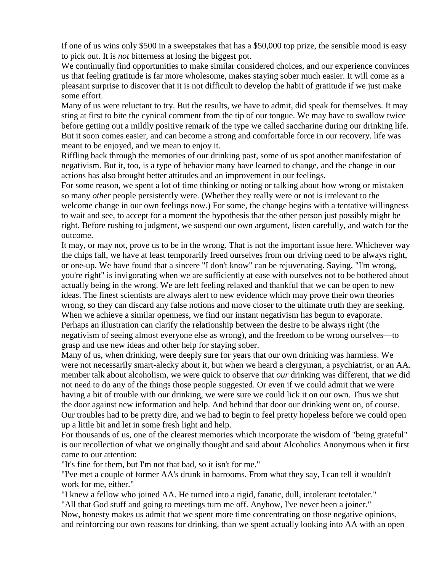If one of us wins only \$500 in a sweepstakes that has a \$50,000 top prize, the sensible mood is easy to pick out. It is *not* bitterness at losing the biggest pot.

We continually find opportunities to make similar considered choices, and our experience convinces us that feeling gratitude is far more wholesome, makes staying sober much easier. It will come as a pleasant surprise to discover that it is not difficult to develop the habit of gratitude if we just make some effort.

Many of us were reluctant to try. But the results, we have to admit, did speak for themselves. It may sting at first to bite the cynical comment from the tip of our tongue. We may have to swallow twice before getting out a mildly positive remark of the type we called saccharine during our drinking life. But it soon comes easier, and can become a strong and comfortable force in our recovery. life was meant to be enjoyed, and we mean to enjoy it.

Riffling back through the memories of our drinking past, some of us spot another manifestation of negativism. But it, too, is a type of behavior many have learned to change, and the change in our actions has also brought better attitudes and an improvement in our feelings.

For some reason, we spent a lot of time thinking or noting or talking about how wrong or mistaken so many *other* people persistently were. (Whether they really were or not is irrelevant to the welcome change in our own feelings now.) For some, the change begins with a tentative willingness to wait and see, to accept for a moment the hypothesis that the other person just possibly might be right. Before rushing to judgment, we suspend our own argument, listen carefully, and watch for the outcome.

It may, or may not, prove us to be in the wrong. That is not the important issue here. Whichever way the chips fall, we have at least temporarily freed ourselves from our driving need to be always right, or one-up. We have found that a sincere "I don't know" can be rejuvenating. Saying, "I'm wrong, you're right" is invigorating when we are sufficiently at ease with ourselves not to be bothered about actually being in the wrong. We are left feeling relaxed and thankful that we can be open to new ideas. The finest scientists are always alert to new evidence which may prove their own theories wrong, so they can discard any false notions and move closer to the ultimate truth they are seeking. When we achieve a similar openness, we find our instant negativism has begun to evaporate. Perhaps an illustration can clarify the relationship between the desire to be always right (the negativism of seeing almost everyone else as wrong), and the freedom to be wrong ourselves—to grasp and use new ideas and other help for staying sober.

Many of us, when drinking, were deeply sure for years that our own drinking was harmless. We were not necessarily smart-alecky about it, but when we heard a clergyman, a psychiatrist, or an AA. member talk about alcoholism, we were quick to observe that *our* drinking was different, that *we* did not need to do any of the things those people suggested. Or even if we could admit that we were having a bit of trouble with our drinking, we were sure we could lick it on our own. Thus we shut the door against new information and help. And behind that door our drinking went on, of course. Our troubles had to be pretty dire, and we had to begin to feel pretty hopeless before we could open up a little bit and let in some fresh light and help.

For thousands of us, one of the clearest memories which incorporate the wisdom of "being grateful" is our recollection of what we originally thought and said about Alcoholics Anonymous when it first came to our attention:

"It's fine for them, but I'm not that bad, so it isn't for me."

"I've met a couple of former AA's drunk in barrooms. From what they say, I can tell it wouldn't work for me, either."

"I knew a fellow who joined AA. He turned into a rigid, fanatic, dull, intolerant teetotaler."

"All that God stuff and going to meetings turn me off. Anyhow, I've never been a joiner."

Now, honesty makes us admit that we spent more time concentrating on those negative opinions, and reinforcing our own reasons for drinking, than we spent actually looking into AA with an open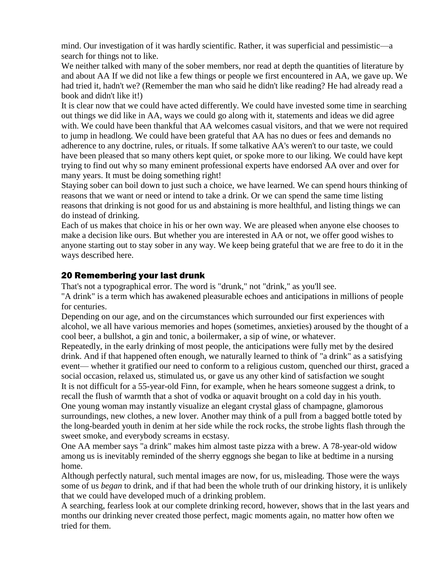mind. Our investigation of it was hardly scientific. Rather, it was superficial and pessimistic—a search for things not to like.

We neither talked with many of the sober members, nor read at depth the quantities of literature by and about AA If we did not like a few things or people we first encountered in AA, we gave up. We had tried it, hadn't we? (Remember the man who said he didn't like reading? He had already read a book and didn't like it!)

It is clear now that we could have acted differently. We could have invested some time in searching out things we did like in AA, ways we could go along with it, statements and ideas we did agree with. We could have been thankful that AA welcomes casual visitors, and that we were not required to jump in headlong. We could have been grateful that AA has no dues or fees and demands no adherence to any doctrine, rules, or rituals. If some talkative AA's weren't to our taste, we could have been pleased that so many others kept quiet, or spoke more to our liking. We could have kept trying to find out why so many eminent professional experts have endorsed AA over and over for many years. It must be doing something right!

Staying sober can boil down to just such a choice, we have learned. We can spend hours thinking of reasons that we want or need or intend to take a drink. Or we can spend the same time listing reasons that drinking is not good for us and abstaining is more healthful, and listing things we can do instead of drinking.

Each of us makes that choice in his or her own way. We are pleased when anyone else chooses to make a decision like ours. But whether you are interested in AA or not, we offer good wishes to anyone starting out to stay sober in any way. We keep being grateful that we are free to do it in the ways described here.

## 20 Remembering your last drunk

That's not a typographical error. The word is "drunk," not "drink," as you'll see.

"A drink" is a term which has awakened pleasurable echoes and anticipations in millions of people for centuries.

Depending on our age, and on the circumstances which surrounded our first experiences with alcohol, we all have various memories and hopes (sometimes, anxieties) aroused by the thought of a cool beer, a bullshot, a gin and tonic, a boilermaker, a sip of wine, or whatever.

Repeatedly, in the early drinking of most people, the anticipations were fully met by the desired drink. And if that happened often enough, we naturally learned to think of "a drink" as a satisfying event— whether it gratified our need to conform to a religious custom, quenched our thirst, graced a social occasion, relaxed us, stimulated us, or gave us any other kind of satisfaction we sought It is not difficult for a 55-year-old Finn, for example, when he hears someone suggest a drink, to recall the flush of warmth that a shot of vodka or aquavit brought on a cold day in his youth. One young woman may instantly visualize an elegant crystal glass of champagne, glamorous surroundings, new clothes, a new lover. Another may think of a pull from a bagged bottle toted by the long-bearded youth in denim at her side while the rock rocks, the strobe lights flash through the sweet smoke, and everybody screams in ecstasy.

One AA member says "a drink" makes him almost taste pizza with a brew. A 78-year-old widow among us is inevitably reminded of the sherry eggnogs she began to like at bedtime in a nursing home.

Although perfectly natural, such mental images are now, for us, misleading. Those were the ways some of us *began* to drink, and if that had been the whole truth of our drinking history, it is unlikely that we could have developed much of a drinking problem.

A searching, fearless look at our complete drinking record, however, shows that in the last years and months our drinking never created those perfect, magic moments again, no matter how often we tried for them.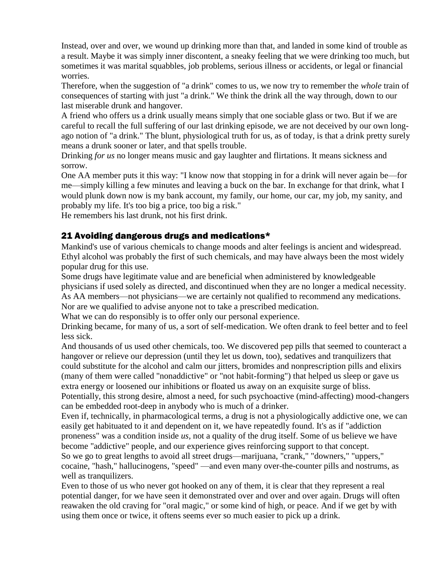Instead, over and over, we wound up drinking more than that, and landed in some kind of trouble as a result. Maybe it was simply inner discontent, a sneaky feeling that we were drinking too much, but sometimes it was marital squabbles, job problems, serious illness or accidents, or legal or financial worries.

Therefore, when the suggestion of "a drink" comes to us, we now try to remember the *whole* train of consequences of starting with just "a drink." We think the drink all the way through, down to our last miserable drunk and hangover.

A friend who offers us a drink usually means simply that one sociable glass or two. But if we are careful to recall the full suffering of our last drinking episode, we are not deceived by our own longago notion of "a drink." The blunt, physiological truth for us, as of today, is that a drink pretty surely means a drunk sooner or later, and that spells trouble.

Drinking *for us* no longer means music and gay laughter and flirtations. It means sickness and sorrow.

One AA member puts it this way: "I know now that stopping in for a drink will never again be—for me—simply killing a few minutes and leaving a buck on the bar. In exchange for that drink, what I would plunk down now is my bank account, my family, our home, our car, my job, my sanity, and probably my life. It's too big a price, too big a risk."

He remembers his last drunk, not his first drink.

#### 21 Avoiding dangerous drugs and medications\*

Mankind's use of various chemicals to change moods and alter feelings is ancient and widespread. Ethyl alcohol was probably the first of such chemicals, and may have always been the most widely popular drug for this use.

Some drugs have legitimate value and are beneficial when administered by knowledgeable physicians if used solely as directed, and discontinued when they are no longer a medical necessity. As AA members—not physicians—we are certainly not qualified to recommend any medications. Nor are we qualified to advise anyone not to take a prescribed medication.

What we can do responsibly is to offer only our personal experience.

Drinking became, for many of us, a sort of self-medication. We often drank to feel better and to feel less sick.

And thousands of us used other chemicals, too. We discovered pep pills that seemed to counteract a hangover or relieve our depression (until they let us down, too), sedatives and tranquilizers that could substitute for the alcohol and calm our jitters, bromides and nonprescription pills and elixirs (many of them were called "nonaddictive" or "not habit-forming") that helped us sleep or gave us extra energy or loosened our inhibitions or floated us away on an exquisite surge of bliss.

Potentially, this strong desire, almost a need, for such psychoactive (mind-affecting) mood-changers can be embedded root-deep in anybody who is much of a drinker.

Even if, technically, in pharmacological terms, a drug is not a physiologically addictive one, we can easily get habituated to it and dependent on it, we have repeatedly found. It's as if "addiction proneness" was a condition inside *us,* not a quality of the drug itself. Some of us believe we have become "addictive" people, and our experience gives reinforcing support to that concept.

So we go to great lengths to avoid all street drugs—marijuana, "crank," "downers," "uppers," cocaine, "hash," hallucinogens, "speed" —and even many over-the-counter pills and nostrums, as well as tranquilizers.

Even to those of us who never got hooked on any of them, it is clear that they represent a real potential danger, for we have seen it demonstrated over and over and over again. Drugs will often reawaken the old craving for "oral magic," or some kind of high, or peace. And if we get by with using them once or twice, it oftens seems ever so much easier to pick up a drink.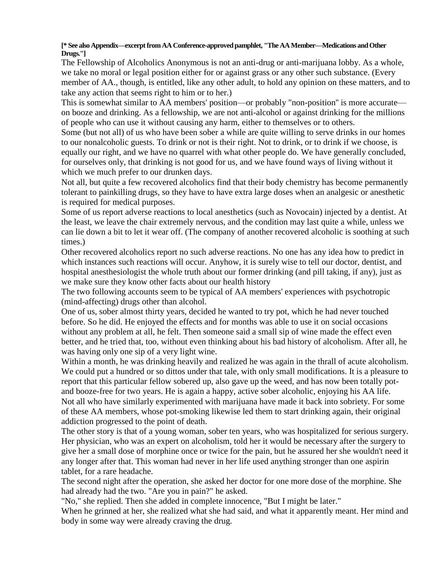#### **[\* See also Appendix—excerpt from AA Conference-approved pamphlet, "The AA Member—Medications and Other Drugs."]**

The Fellowship of Alcoholics Anonymous is not an anti-drug or anti-marijuana lobby. As a whole, we take no moral or legal position either for or against grass or any other such substance. (Every member of AA., though, is entitled, like any other adult, to hold any opinion on these matters, and to take any action that seems right to him or to her.)

This is somewhat similar to AA members' position—or probably "non-position'' is more accurate on booze and drinking. As a fellowship, we are not anti-alcohol or against drinking for the millions of people who can use it without causing any harm, either to themselves or to others.

Some (but not all) of us who have been sober a while are quite willing to serve drinks in our homes to our nonalcoholic guests. To drink or not is their right. Not to drink, or to drink if we choose, is equally our right, and we have no quarrel with what other people do. We have generally concluded, for ourselves only, that drinking is not good for us, and we have found ways of living without it which we much prefer to our drunken days.

Not all, but quite a few recovered alcoholics find that their body chemistry has become permanently tolerant to painkilling drugs, so they have to have extra large doses when an analgesic or anesthetic is required for medical purposes.

Some of us report adverse reactions to local anesthetics (such as Novocain) injected by a dentist. At the least, we leave the chair extremely nervous, and the condition may last quite a while, unless we can lie down a bit to let it wear off. (The company of another recovered alcoholic is soothing at such times.)

Other recovered alcoholics report no such adverse reactions. No one has any idea how to predict in which instances such reactions will occur. Anyhow, it is surely wise to tell our doctor, dentist, and hospital anesthesiologist the whole truth about our former drinking (and pill taking, if any), just as we make sure they know other facts about our health history

The two following accounts seem to be typical of AA members' experiences with psychotropic (mind-affecting) drugs other than alcohol.

One of us, sober almost thirty years, decided he wanted to try pot, which he had never touched before. So he did. He enjoyed the effects and for months was able to use it on social occasions without any problem at all, he felt. Then someone said a small sip of wine made the effect even better, and he tried that, too, without even thinking about his bad history of alcoholism. After all, he was having only one sip of a very light wine.

Within a month, he was drinking heavily and realized he was again in the thrall of acute alcoholism. We could put a hundred or so dittos under that tale, with only small modifications. It is a pleasure to report that this particular fellow sobered up, also gave up the weed, and has now been totally potand booze-free for two years. He is again a happy, active sober alcoholic, enjoying his AA life. Not all who have similarly experimented with marijuana have made it back into sobriety. For some of these AA members, whose pot-smoking likewise led them to start drinking again, their original addiction progressed to the point of death.

The other story is that of a young woman, sober ten years, who was hospitalized for serious surgery. Her physician, who was an expert on alcoholism, told her it would be necessary after the surgery to give her a small dose of morphine once or twice for the pain, but he assured her she wouldn't need it any longer after that. This woman had never in her life used anything stronger than one aspirin tablet, for a rare headache.

The second night after the operation, she asked her doctor for one more dose of the morphine. She had already had the two. "Are you in pain?" he asked.

"No," she replied. Then she added in complete innocence, "But I might be later."

When he grinned at her, she realized what she had said, and what it apparently meant. Her mind and body in some way were already craving the drug.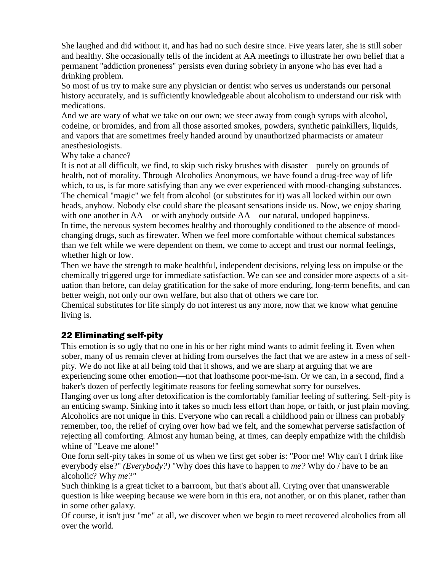She laughed and did without it, and has had no such desire since. Five years later, she is still sober and healthy. She occasionally tells of the incident at AA meetings to illustrate her own belief that a permanent "addiction proneness" persists even during sobriety in anyone who has ever had a drinking problem.

So most of us try to make sure any physician or dentist who serves us understands our personal history accurately, and is sufficiently knowledgeable about alcoholism to understand our risk with medications.

And we are wary of what we take on our own; we steer away from cough syrups with alcohol, codeine, or bromides, and from all those assorted smokes, powders, synthetic painkillers, liquids, and vapors that are sometimes freely handed around by unauthorized pharmacists or amateur anesthesiologists.

Why take a chance?

It is not at all difficult, we find, to skip such risky brushes with disaster—purely on grounds of health, not of morality. Through Alcoholics Anonymous, we have found a drug-free way of life which, to us, is far more satisfying than any we ever experienced with mood-changing substances. The chemical "magic" we felt from alcohol (or substitutes for it) was all locked within our own heads, anyhow. Nobody else could share the pleasant sensations inside us. Now, we enjoy sharing with one another in AA—or with anybody outside AA—our natural, undoped happiness. In time, the nervous system becomes healthy and thoroughly conditioned to the absence of moodchanging drugs, such as firewater. When we feel more comfortable without chemical substances than we felt while we were dependent on them, we come to accept and trust our normal feelings, whether high or low.

Then we have the strength to make healthful, independent decisions, relying less on impulse or the chemically triggered urge for immediate satisfaction. We can see and consider more aspects of a situation than before, can delay gratification for the sake of more enduring, long-term benefits, and can better weigh, not only our own welfare, but also that of others we care for.

Chemical substitutes for life simply do not interest us any more, now that we know what genuine living is.

## 22 Eliminating self-pity

This emotion is so ugly that no one in his or her right mind wants to admit feeling it. Even when sober, many of us remain clever at hiding from ourselves the fact that we are astew in a mess of selfpity. We do not like at all being told that it shows, and we are sharp at arguing that we are experiencing some other emotion—not that loathsome poor-me-ism. Or we can, in a second, find a baker's dozen of perfectly legitimate reasons for feeling somewhat sorry for ourselves.

Hanging over us long after detoxification is the comfortably familiar feeling of suffering. Self-pity is an enticing swamp. Sinking into it takes so much less effort than hope, or faith, or just plain moving. Alcoholics are not unique in this. Everyone who can recall a childhood pain or illness can probably remember, too, the relief of crying over how bad we felt, and the somewhat perverse satisfaction of rejecting all comforting. Almost any human being, at times, can deeply empathize with the childish whine of "Leave me alone!"

One form self-pity takes in some of us when we first get sober is: "Poor me! Why can't I drink like everybody else?" *(Everybody?)* "Why does this have to happen to *me?* Why do / have to be an alcoholic? Why *me?"*

Such thinking is a great ticket to a barroom, but that's about all. Crying over that unanswerable question is like weeping because we were born in this era, not another, or on this planet, rather than in some other galaxy.

Of course, it isn't just "me" at all, we discover when we begin to meet recovered alcoholics from all over the world.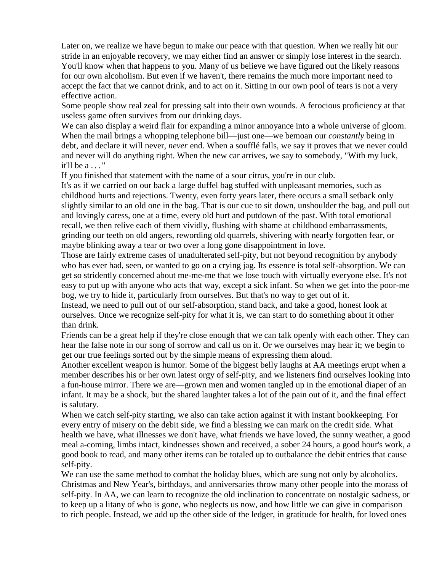Later on, we realize we have begun to make our peace with that question. When we really hit our stride in an enjoyable recovery, we may either find an answer or simply lose interest in the search. You'll know when that happens to you. Many of us believe we have figured out the likely reasons for our own alcoholism. But even if we haven't, there remains the much more important need to accept the fact that we cannot drink, and to act on it. Sitting in our own pool of tears is not a very effective action.

Some people show real zeal for pressing salt into their own wounds. A ferocious proficiency at that useless game often survives from our drinking days.

We can also display a weird flair for expanding a minor annoyance into a whole universe of gloom. When the mail brings a whopping telephone bill—just one—we bemoan our *constantly* being in debt, and declare it will never, *never* end. When a soufflé falls, we say it proves that we never could and never will do anything right. When the new car arrives, we say to somebody, "With my luck, it'll be a ..."

If you finished that statement with the name of a sour citrus, you're in our club.

It's as if we carried on our back a large duffel bag stuffed with unpleasant memories, such as childhood hurts and rejections. Twenty, even forty years later, there occurs a small setback only slightly similar to an old one in the bag. That is our cue to sit down, unshoulder the bag, and pull out and lovingly caress, one at a time, every old hurt and putdown of the past. With total emotional recall, we then relive each of them vividly, flushing with shame at childhood embarrassments, grinding our teeth on old angers, rewording old quarrels, shivering with nearly forgotten fear, or maybe blinking away a tear or two over a long gone disappointment in love.

Those are fairly extreme cases of unadulterated self-pity, but not beyond recognition by anybody who has ever had, seen, or wanted to go on a crying jag. Its essence is total self-absorption. We can get so stridently concerned about me-me-me that we lose touch with virtually everyone else. It's not easy to put up with anyone who acts that way, except a sick infant. So when we get into the poor-me bog, we try to hide it, particularly from ourselves. But that's no way to get out of it.

Instead, we need to pull out of our self-absorption, stand back, and take a good, honest look at ourselves. Once we recognize self-pity for what it is, we can start to do something about it other than drink.

Friends can be a great help if they're close enough that we can talk openly with each other. They can hear the false note in our song of sorrow and call us on it. Or we ourselves may hear it; we begin to get our true feelings sorted out by the simple means of expressing them aloud.

Another excellent weapon is humor. Some of the biggest belly laughs at AA meetings erupt when a member describes his or her own latest orgy of self-pity, and we listeners find ourselves looking into a fun-house mirror. There we are—grown men and women tangled up in the emotional diaper of an infant. It may be a shock, but the shared laughter takes a lot of the pain out of it, and the final effect is salutary.

When we catch self-pity starting, we also can take action against it with instant bookkeeping. For every entry of misery on the debit side, we find a blessing we can mark on the credit side. What health we have, what illnesses we don't have, what friends we have loved, the sunny weather, a good meal a-coming, limbs intact, kindnesses shown and received, a sober 24 hours, a good hour's work, a good book to read, and many other items can be totaled up to outbalance the debit entries that cause self-pity.

We can use the same method to combat the holiday blues, which are sung not only by alcoholics. Christmas and New Year's, birthdays, and anniversaries throw many other people into the morass of self-pity. In AA, we can learn to recognize the old inclination to concentrate on nostalgic sadness, or to keep up a litany of who is gone, who neglects us now, and how little we can give in comparison to rich people. Instead, we add up the other side of the ledger, in gratitude for health, for loved ones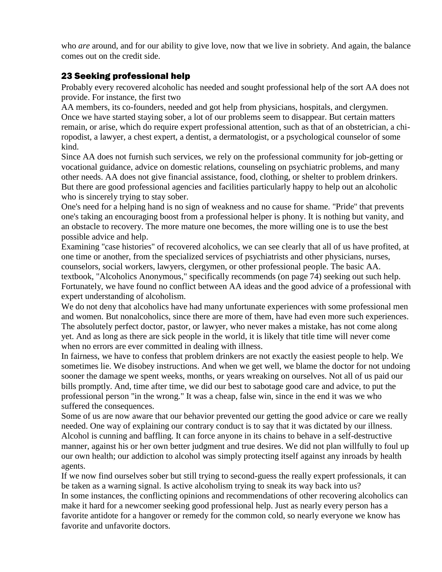who *are* around, and for our ability to give love, now that we live in sobriety. And again, the balance comes out on the credit side.

## 23 Seeking professional help

Probably every recovered alcoholic has needed and sought professional help of the sort AA does not provide. For instance, the first two

AA members, its co-founders, needed and got help from physicians, hospitals, and clergymen. Once we have started staying sober, a lot of our problems seem to disappear. But certain matters remain, or arise, which do require expert professional attention, such as that of an obstetrician, a chiropodist, a lawyer, a chest expert, a dentist, a dermatologist, or a psychological counselor of some kind.

Since AA does not furnish such services, we rely on the professional community for job-getting or vocational guidance, advice on domestic relations, counseling on psychiatric problems, and many other needs. AA does not give financial assistance, food, clothing, or shelter to problem drinkers. But there are good professional agencies and facilities particularly happy to help out an alcoholic who is sincerely trying to stay sober.

One's need for a helping hand is no sign of weakness and no cause for shame. "Pride'' that prevents one's taking an encouraging boost from a professional helper is phony. It is nothing but vanity, and an obstacle to recovery. The more mature one becomes, the more willing one is to use the best possible advice and help.

Examining "case histories" of recovered alcoholics, we can see clearly that all of us have profited, at one time or another, from the specialized services of psychiatrists and other physicians, nurses, counselors, social workers, lawyers, clergymen, or other professional people. The basic AA. textbook, "Alcoholics Anonymous," specifically recommends (on page 74) seeking out such help. Fortunately, we have found no conflict between AA ideas and the good advice of a professional with expert understanding of alcoholism.

We do not deny that alcoholics have had many unfortunate experiences with some professional men and women. But nonalcoholics, since there are more of them, have had even more such experiences. The absolutely perfect doctor, pastor, or lawyer, who never makes a mistake, has not come along yet. And as long as there are sick people in the world, it is likely that title time will never come when no errors are ever committed in dealing with illness.

In fairness, we have to confess that problem drinkers are not exactly the easiest people to help. We sometimes lie. We disobey instructions. And when we get well, we blame the doctor for not undoing sooner the damage we spent weeks, months, or years wreaking on ourselves. Not all of us paid our bills promptly. And, time after time, we did our best to sabotage good care and advice, to put the professional person "in the wrong." It was a cheap, false win, since in the end it was we who suffered the consequences.

Some of us are now aware that our behavior prevented our getting the good advice or care we really needed. One way of explaining our contrary conduct is to say that it was dictated by our illness. Alcohol is cunning and baffling. It can force anyone in its chains to behave in a self-destructive manner, against his or her own better judgment and true desires. We did not plan willfully to foul up our own health; our addiction to alcohol was simply protecting itself against any inroads by health agents.

If we now find ourselves sober but still trying to second-guess the really expert professionals, it can be taken as a warning signal. Is active alcoholism trying to sneak its way back into us? In some instances, the conflicting opinions and recommendations of other recovering alcoholics can make it hard for a newcomer seeking good professional help. Just as nearly every person has a favorite antidote for a hangover or remedy for the common cold, so nearly everyone we know has favorite and unfavorite doctors.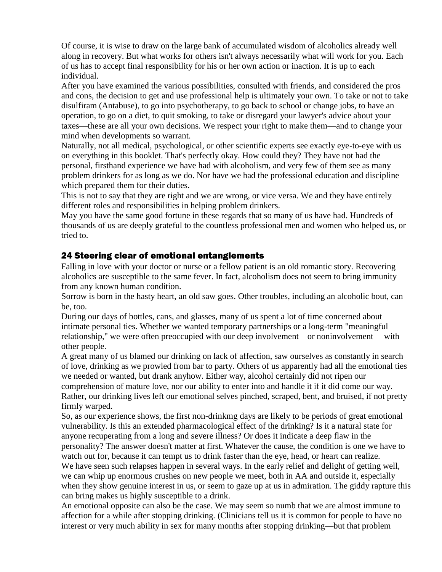Of course, it is wise to draw on the large bank of accumulated wisdom of alcoholics already well along in recovery. But what works for others isn't always necessarily what will work for you. Each of us has to accept final responsibility for his or her own action or inaction. It is up to each individual.

After you have examined the various possibilities, consulted with friends, and considered the pros and cons, the decision to get and use professional help is ultimately your own. To take or not to take disulfiram (Antabuse), to go into psychotherapy, to go back to school or change jobs, to have an operation, to go on a diet, to quit smoking, to take or disregard your lawyer's advice about your taxes—these are all your own decisions. We respect your right to make them—and to change your mind when developments so warrant.

Naturally, not all medical, psychological, or other scientific experts see exactly eye-to-eye with us on everything in this booklet. That's perfectly okay. How could they? They have not had the personal, firsthand experience we have had with alcoholism, and very few of them see as many problem drinkers for as long as we do. Nor have we had the professional education and discipline which prepared them for their duties.

This is not to say that they are right and we are wrong, or vice versa. We and they have entirely different roles and responsibilities in helping problem drinkers.

May you have the same good fortune in these regards that so many of us have had. Hundreds of thousands of us are deeply grateful to the countless professional men and women who helped us, or tried to.

## 24 Steering clear of emotional entanglements

Falling in love with your doctor or nurse or a fellow patient is an old romantic story. Recovering alcoholics are susceptible to the same fever. In fact, alcoholism does not seem to bring immunity from any known human condition.

Sorrow is born in the hasty heart, an old saw goes. Other troubles, including an alcoholic bout, can be, too.

During our days of bottles, cans, and glasses, many of us spent a lot of time concerned about intimate personal ties. Whether we wanted temporary partnerships or a long-term "meaningful relationship," we were often preoccupied with our deep involvement—or noninvolvement —with other people.

A great many of us blamed our drinking on lack of affection, saw ourselves as constantly in search of love, drinking as we prowled from bar to party. Others of us apparently had all the emotional ties we needed or wanted, but drank anyhow. Either way, alcohol certainly did not ripen our comprehension of mature love, nor our ability to enter into and handle it if it did come our way. Rather, our drinking lives left our emotional selves pinched, scraped, bent, and bruised, if not pretty firmly warped.

So, as our experience shows, the first non-drinkmg days are likely to be periods of great emotional vulnerability. Is this an extended pharmacological effect of the drinking? Is it a natural state for anyone recuperating from a long and severe illness? Or does it indicate a deep flaw in the personality? The answer doesn't matter at first. Whatever the cause, the condition is one we have to watch out for, because it can tempt us to drink faster than the eye, head, or heart can realize. We have seen such relapses happen in several ways. In the early relief and delight of getting well, we can whip up enormous crushes on new people we meet, both in AA and outside it, especially when they show genuine interest in us, or seem to gaze up at us in admiration. The giddy rapture this can bring makes us highly susceptible to a drink.

An emotional opposite can also be the case. We may seem so numb that we are almost immune to affection for a while after stopping drinking. (Clinicians tell us it is common for people to have no interest or very much ability in sex for many months after stopping drinking—but that problem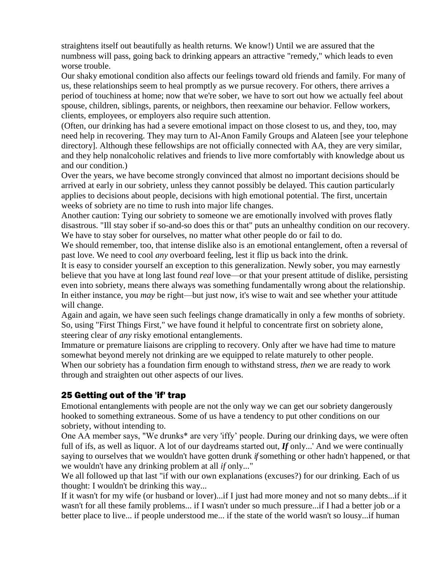straightens itself out beautifully as health returns. We know!) Until we are assured that the numbness will pass, going back to drinking appears an attractive "remedy," which leads to even worse trouble.

Our shaky emotional condition also affects our feelings toward old friends and family. For many of us, these relationships seem to heal promptly as we pursue recovery. For others, there arrives a period of touchiness at home; now that we're sober, we have to sort out how we actually feel about spouse, children, siblings, parents, or neighbors, then reexamine our behavior. Fellow workers, clients, employees, or employers also require such attention.

(Often, our drinking has had a severe emotional impact on those closest to us, and they, too, may need help in recovering. They may turn to Al-Anon Family Groups and Alateen [see your telephone directory]. Although these fellowships are not officially connected with AA, they are very similar, and they help nonalcoholic relatives and friends to live more comfortably with knowledge about us and our condition.)

Over the years, we have become strongly convinced that almost no important decisions should be arrived at early in our sobriety, unless they cannot possibly be delayed. This caution particularly applies to decisions about people, decisions with high emotional potential. The first, uncertain weeks of sobriety are no time to rush into major life changes.

Another caution: Tying our sobriety to someone we are emotionally involved with proves flatly disastrous. "Ill stay sober if so-and-so does this or that" puts an unhealthy condition on our recovery. We have to stay sober for ourselves, no matter what other people do or fail to do.

We should remember, too, that intense dislike also is an emotional entanglement, often a reversal of past love. We need to cool *any* overboard feeling, lest it flip us back into the drink.

It is easy to consider yourself an exception to this generalization. Newly sober, you may earnestly believe that you have at long last found *real* love—or that your present attitude of dislike, persisting even into sobriety, means there always was something fundamentally wrong about the relationship. In either instance, you *may* be right—but just now, it's wise to wait and see whether your attitude will change.

Again and again, we have seen such feelings change dramatically in only a few months of sobriety. So, using "First Things First," we have found it helpful to concentrate first on sobriety alone, steering clear of *any* risky emotional entanglements.

Immature or premature liaisons are crippling to recovery. Only after we have had time to mature somewhat beyond merely not drinking are we equipped to relate maturely to other people. When our sobriety has a foundation firm enough to withstand stress, *then* we are ready to work through and straighten out other aspects of our lives.

## 25 Getting out of the 'if' trap

Emotional entanglements with people are not the only way we can get our sobriety dangerously hooked to something extraneous. Some of us have a tendency to put other conditions on our sobriety, without intending to.

One AA member says, "We drunks\* are very 'iffy' people. During our drinking days, we were often full of ifs, as well as liquor. A lot of our daydreams started out, *If* only...' And we were continually saying to ourselves that we wouldn't have gotten drunk *if*something or other hadn't happened, or that we wouldn't have any drinking problem at all *if* only..."

We all followed up that last "if with our own explanations (excuses?) for our drinking. Each of us thought: I wouldn't be drinking this way...

If it wasn't for my wife (or husband or lover)...if I just had more money and not so many debts...if it wasn't for all these family problems... if I wasn't under so much pressure...if I had a better job or a better place to live... if people understood me... if the state of the world wasn't so lousy...if human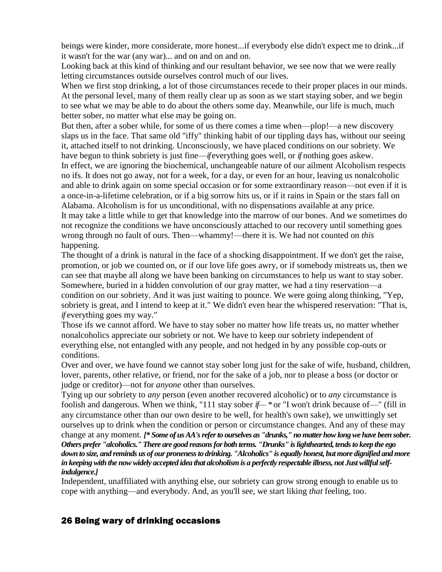beings were kinder, more considerate, more honest...if everybody else didn't expect me to drink...if it wasn't for the war (any war)... and on and on and on.

Looking back at this kind of thinking and our resultant behavior, we see now that we were really letting circumstances outside ourselves control much of our lives.

When we first stop drinking, a lot of those circumstances recede to their proper places in our minds. At the personal level, many of them really clear up as soon as we start staying sober, and we begin to see what we may be able to do about the others some day. Meanwhile, our life is much, much better sober, no matter what else may be going on.

But then, after a sober while, for some of us there comes a time when—plop!—a new discovery slaps us in the face. That same old "iffy" thinking habit of our tippling days has, without our seeing it, attached itself to not drinking. Unconsciously, we have placed conditions on our sobriety. We have begun to think sobriety is just fine—*if* everything goes well, or *if* nothing goes askew. In effect, we are ignoring the biochemical, unchangeable nature of our ailment Alcoholism respects no ifs. It does not go away, not for a week, for a day, or even for an hour, leaving us nonalcoholic and able to drink again on some special occasion or for some extraordinary reason—not even if it is a once-in-a-lifetime celebration, or if a big sorrow hits us, or if it rains in Spain or the stars fall on Alabama. Alcoholism is for us unconditional, with no dispensations available at any price. It may take a little while to get that knowledge into the marrow of our bones. And we sometimes do not recognize the conditions we have unconsciously attached to our recovery until something goes wrong through no fault of ours. Then—whammy!—there it is. We had not counted on *this*  happening.

The thought of a drink is natural in the face of a shocking disappointment. If we don't get the raise, promotion, or job we counted on, or if our love life goes awry, or if somebody mistreats us, then we can see that maybe all along we have been banking on circumstances to help us want to stay sober. Somewhere, buried in a hidden convolution of our gray matter, we had a tiny reservation—a condition on our sobriety. And it was just waiting to pounce. We were going along thinking, "Yep, sobriety is great, and I intend to keep at it." We didn't even hear the whispered reservation: "That is, *if* everything goes my way."

Those ifs we cannot afford. We have to stay sober no matter how life treats us, no matter whether nonalcoholics appreciate our sobriety or not. We have to keep our sobriety independent of everything else, not entangled with any people, and not hedged in by any possible cop-outs or conditions.

Over and over, we have found we cannot stay sober long just for the sake of wife, husband, children, lover, parents, other relative, or friend, nor for the sake of a job, nor to please a boss (or doctor or judge or creditor)—not for *anyone* other than ourselves.

Tying up our sobriety to *any* person (even another recovered alcoholic) or to *any* circumstance is foolish and dangerous. When we think, "111 stay sober *if— \** or "I won't drink because of—" (fill in any circumstance other than our own desire to be well, for health's own sake), we unwittingly set ourselves up to drink when the condition or person or circumstance changes. And any of these may change at any moment. *[\* Some of us AA's refer to ourselves as "drunks," no matter how long we have been sober. Others prefer "alcoholics." There are good reasons for both terms. "Drunks" is lighthearted, tends to keep the ego down to size, and reminds us of our proneness to drinking. "Alcoholics" is equally honest, but more dignified and more in keeping with the now widely accepted idea that alcoholism is a perfectly respectable illness, not Just willful selfindulgence.]*

Independent, unaffiliated with anything else, our sobriety can grow strong enough to enable us to cope with anything—and everybody. And, as you'll see, we start liking *that* feeling, too.

## 26 Being wary of drinking occasions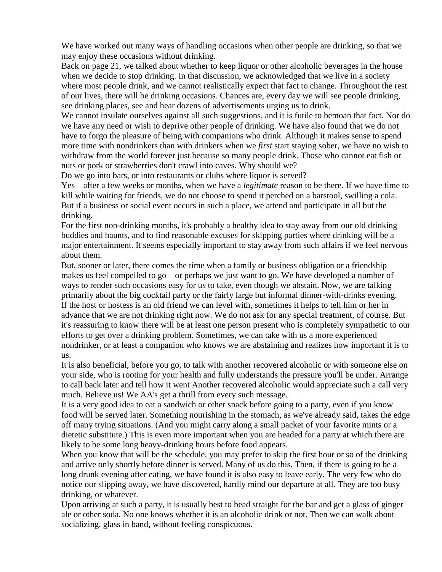We have worked out many ways of handling occasions when other people are drinking, so that we may enjoy these occasions without drinking.

Back on page 21, we talked about whether to keep liquor or other alcoholic beverages in the house when we decide to stop drinking. In that discussion, we acknowledged that we live in a society where most people drink, and we cannot realistically expect that fact to change. Throughout the rest of our lives, there will be drinking occasions. Chances are, every day we will see people drinking, see drinking places, see and hear dozens of advertisements urging us to drink.

We cannot insulate ourselves against all such suggestions, and it is futile to bemoan that fact. Nor do we have any need or wish to deprive other people of drinking. We have also found that we do not have to forgo the pleasure of being with companions who drink. Although it makes sense to spend more time with nondrinkers than with drinkers when we *first* start staying sober, we have no wish to withdraw from the world forever just because so many people drink. Those who cannot eat fish or nuts or pork or strawberries don't crawl into caves. Why should we?

Do we go into bars, or into restaurants or clubs where liquor is served?

Yes—after a few weeks or months, when we have a *legitimate* reason to be there. If we have time to kill while waiting for friends, we do not choose to spend it perched on a barstool, swilling a cola. But if a business or social event occurs in such a place, we attend and participate in all but the drinking.

For the first non-drinking months, it's probably a healthy idea to stay away from our old drinking buddies and haunts, and to find reasonable excuses for skipping parties where drinking will be a major entertainment. It seems especially important to stay away from such affairs if we feel nervous about them.

But, sooner or later, there comes the time when a family or business obligation or a friendship makes us feel compelled to go—or perhaps we just want to go. We have developed a number of ways to render such occasions easy for us to take, even though we abstain. Now, we are talking primarily about the big cocktail party or the fairly large but informal dinner-with-drinks evening. If the host or hostess is an old friend we can level with, sometimes it helps to tell him or her in advance that we are not drinking right now. We do not ask for any special treatment, of course. But it's reassuring to know there will be at least one person present who is completely sympathetic to our efforts to get over a drinking problem. Sometimes, we can take with us a more experienced nondrinker, or at least a companion who knows we are abstaining and realizes how important it is to us.

It is also beneficial, before you go, to talk with another recovered alcoholic or with someone else on your side, who is rooting for your health and fully understands the pressure you'll be under. Arrange to call back later and tell how it went Another recovered alcoholic would appreciate such a call very much. Believe us! We AA's get a thrill from every such message.

It is a very good idea to eat a sandwich or other snack before going to a party, even if you know food will be served later. Something nourishing in the stomach, as we've already said, takes the edge off many trying situations. (And you might carry along a small packet of your favorite mints or a dietetic substitute.) This is even more important when you are headed for a party at which there are likely to be some long heavy-drinking hours before food appears.

When you know that will be the schedule, you may prefer to skip the first hour or so of the drinking and arrive only shortly before dinner is served. Many of us do this. Then, if there is going to be a long drunk evening after eating, we have found it is also easy to leave early. The very few who do notice our slipping away, we have discovered, hardly mind our departure at all. They are too busy drinking, or whatever.

Upon arriving at such a party, it is usually best to bead straight for the bar and get a glass of ginger ale or other soda. No one knows whether it is an alcoholic drink or not. Then we can walk about socializing, glass in band, without feeling conspicuous.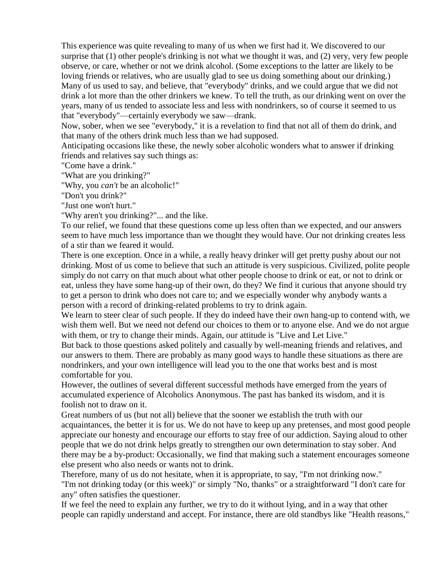This experience was quite revealing to many of us when we first had it. We discovered to our surprise that (1) other people's drinking is not what we thought it was, and (2) very, very few people observe, or care, whether or not we drink alcohol. (Some exceptions to the latter are likely to be loving friends or relatives, who are usually glad to see us doing something about our drinking.) Many of us used to say, and believe, that "everybody" drinks, and we could argue that we did not drink a lot more than the other drinkers we knew. To tell the truth, as our drinking went on over the years, many of us tended to associate less and less with nondrinkers, so of course it seemed to us that "everybody"—certainly everybody we saw—drank.

Now, sober, when we see "everybody," it is a revelation to find that not all of them do drink, and that many of the others drink much less than we had supposed.

Anticipating occasions like these, the newly sober alcoholic wonders what to answer if drinking friends and relatives say such things as:

"Come have a drink.''

"What are you drinking?"

"Why, you *can't* be an alcoholic!"

"Don't you drink?"

"Just one won't hurt."

"Why aren't you drinking?"... and the like.

To our relief, we found that these questions come up less often than we expected, and our answers seem to have much less importance than we thought they would have. Our not drinking creates less of a stir than we feared it would.

There is one exception. Once in a while, a really heavy drinker will get pretty pushy about our not drinking. Most of us come to believe that such an attitude is very suspicious. Civilized, polite people simply do not carry on that much about what other people choose to drink or eat, or not to drink or eat, unless they have some hang-up of their own, do they? We find it curious that anyone should try to get a person to drink who does not care to; and we especially wonder why anybody wants a person with a record of drinking-related problems to try to drink again.

We learn to steer clear of such people. If they do indeed have their own hang-up to contend with, we wish them well. But we need not defend our choices to them or to anyone else. And we do not argue with them, or try to change their minds. Again, our attitude is "Live and Let Live."

But back to those questions asked politely and casually by well-meaning friends and relatives, and our answers to them. There are probably as many good ways to handle these situations as there are nondrinkers, and your own intelligence will lead you to the one that works best and is most comfortable for you.

However, the outlines of several different successful methods have emerged from the years of accumulated experience of Alcoholics Anonymous. The past has banked its wisdom, and it is foolish not to draw on it.

Great numbers of us (but not all) believe that the sooner we establish the truth with our acquaintances, the better it is for us. We do not have to keep up any pretenses, and most good people appreciate our honesty and encourage our efforts to stay free of our addiction. Saying aloud to other people that we do not drink helps greatly to strengthen our own determination to stay sober. And there may be a by-product: Occasionally, we find that making such a statement encourages someone else present who also needs or wants not to drink.

Therefore, many of us do not hesitate, when it is appropriate, to say, "I'm not drinking now." "I'm not drinking today (or this week)" or simply "No, thanks" or a straightforward "I don't care for any" often satisfies the questioner.

If we feel the need to explain any further, we try to do it without lying, and in a way that other people can rapidly understand and accept. For instance, there are old standbys like "Health reasons,"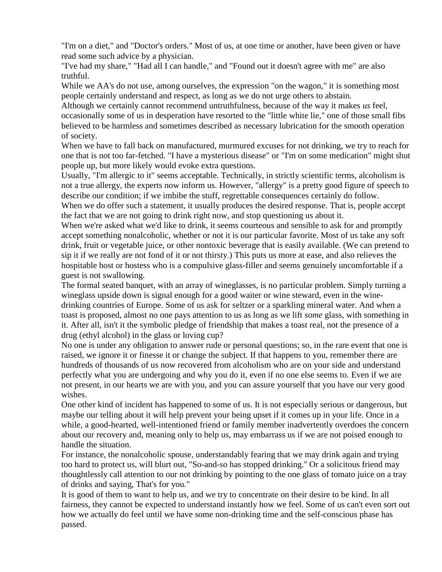"I'm on a diet," and "Doctor's orders." Most of us, at one time or another, have been given or have read some such advice by a physician.

"I've had my share," "Had all I can handle," and "Found out it doesn't agree with me" are also truthful.

While we AA's do not use, among ourselves, the expression "on the wagon," it is something most people certainly understand and respect, as long as we do not urge others to abstain.

Although we certainly cannot recommend untruthfulness, because of the way it makes *us* feel, occasionally some of us in desperation have resorted to the "little white lie," one of those small fibs believed to be harmless and sometimes described as necessary lubrication for the smooth operation of society.

When we have to fall back on manufactured, murmured excuses for not drinking, we try to reach for one that is not too far-fetched. "I have a mysterious disease" or "I'm on some medication" might shut people up, but more likely would evoke extra questions.

Usually, "I'm allergic to it" seems acceptable. Technically, in strictly scientific terms, alcoholism is not a true allergy, the experts now inform us. However, "allergy" is a pretty good figure of speech to describe our condition; if we imbibe the stuff, regrettable consequences certainly do follow.

When we do offer such a statement, it usually produces the desired response. That is, people accept the fact that we are not going to drink right now, and stop questioning us about it.

When we're asked what we'd like to drink, it seems courteous and sensible to ask for and promptly accept something nonalcoholic, whether or not it is our particular favorite. Most of us take any soft drink, fruit or vegetable juice, or other nontoxic beverage that is easily available. (We can pretend to sip it if we really are not fond of it or not thirsty.) This puts us more at ease, and also relieves the hospitable host or hostess who is a compulsive glass-filler and seems genuinely uncomfortable if a guest is not swallowing.

The formal seated banquet, with an array of wineglasses, is no particular problem. Simply turning a wineglass upside down is signal enough for a good waiter or wine steward, even in the winedrinking countries of Europe. Some of us ask for seltzer or a sparkling mineral water. And when a toast is proposed, almost no one pays attention to us as long as we lift *some* glass, with something in it. After all, isn't it the symbolic pledge of friendship that makes a toast real, not the presence of a drug (ethyl alcohol) in the glass or loving cup?

No one is under any obligation to answer rude or personal questions; so, in the rare event that one is raised, we ignore it or finesse it or change the subject. If that happens to you, remember there are hundreds of thousands of us now recovered from alcoholism who are on your side and understand perfectly what you are undergoing and why you do it, even if no one else seems to. Even if we are not present, in our hearts we are with you, and you can assure yourself that you have our very good wishes.

One other kind of incident has happened to some of us. It is not especially serious or dangerous, but maybe our telling about it will help prevent your being upset if it comes up in your life. Once in a while, a good-hearted, well-intentioned friend or family member inadvertently overdoes the concern about our recovery and, meaning only to help us, may embarrass us if we are not poised enough to handle the situation.

For instance, the nonalcoholic spouse, understandably fearing that we may drink again and trying too hard to protect us, will blurt out, "So-and-so has stopped drinking.'' Or a solicitous friend may thoughtlessly call attention to our not drinking by pointing to the one glass of tomato juice on a tray of drinks and saying, That's for you."

It is good of them to want to help us, and we try to concentrate on their desire to be kind. In all fairness, they cannot be expected to understand instantly how we feel. Some of us can't even sort out how we actually do feel until we have some non-drinking time and the self-conscious phase has passed.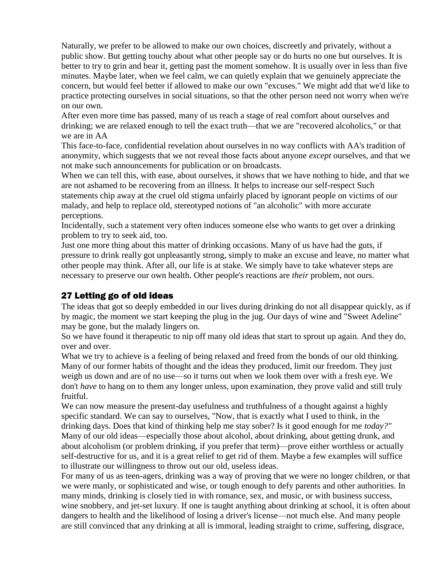Naturally, we prefer to be allowed to make our own choices, discreetly and privately, without a public show. But getting touchy about what other people say or do hurts no one but ourselves. It is better to try to grin and bear it, getting past the moment somehow. It is usually over in less than five minutes. Maybe later, when we feel calm, we can quietly explain that we genuinely appreciate the concern, but would feel better if allowed to make our own "excuses." We might add that we'd like to practice protecting ourselves in social situations, so that the other person need not worry when we're on our own.

After even more time has passed, many of us reach a stage of real comfort about ourselves and drinking; we are relaxed enough to tell the exact truth—that we are "recovered alcoholics," or that we are in AA

This face-to-face, confidential revelation about ourselves in no way conflicts with AA's tradition of anonymity, which suggests that we not reveal those facts about anyone *except* ourselves, and that we not make such announcements for publication or on broadcasts.

When we can tell this, with ease, about ourselves, it shows that we have nothing to hide, and that we are not ashamed to be recovering from an illness. It helps to increase our self-respect Such statements chip away at the cruel old stigma unfairly placed by ignorant people on victims of our malady, and help to replace old, stereotyped notions of "an alcoholic" with more accurate perceptions.

Incidentally, such a statement very often induces someone else who wants to get over a drinking problem to try to seek aid, too.

Just one more thing about this matter of drinking occasions. Many of us have had the guts, if pressure to drink really got unpleasantly strong, simply to make an excuse and leave, no matter what other people may think. After all, our life is at stake. We simply have to take whatever steps are necessary to preserve our own health. Other people's reactions are *their* problem, not ours.

## 27 Letting go of old ideas

The ideas that got so deeply embedded in our lives during drinking do not all disappear quickly, as if by magic, the moment we start keeping the plug in the jug. Our days of wine and "Sweet Adeline" may be gone, but the malady lingers on.

So we have found it therapeutic to nip off many old ideas that start to sprout up again. And they do, over and over.

What we try to achieve is a feeling of being relaxed and freed from the bonds of our old thinking. Many of our former habits of thought and the ideas they produced, limit our freedom. They just weigh us down and are of no use—so it turns out when we look them over with a fresh eye. We don't *have* to hang on to them any longer unless, upon examination, they prove valid and still truly fruitful.

We can now measure the present-day usefulness and truthfulness of a thought against a highly specific standard. We can say to ourselves, "Now, that is exactly what I used to think, in the drinking days. Does that kind of thinking help me stay sober? Is it good enough for me *today?"* Many of our old ideas—especially those about alcohol, about drinking, about getting drunk, and about alcoholism (or problem drinking, if you prefer that term)—prove either worthless or actually self-destructive for us, and it is a great relief to get rid of them. Maybe a few examples will suffice to illustrate our willingness to throw out our old, useless ideas.

For many of us as teen-agers, drinking was a way of proving that we were no longer children, or that we were manly, or sophisticated and wise, or tough enough to defy parents and other authorities. In many minds, drinking is closely tied in with romance, sex, and music, or with business success, wine snobbery, and jet-set luxury. If one is taught anything about drinking at school, it is often about dangers to health and the likelihood of losing a driver's license—not much else. And many people are still convinced that any drinking at all is immoral, leading straight to crime, suffering, disgrace,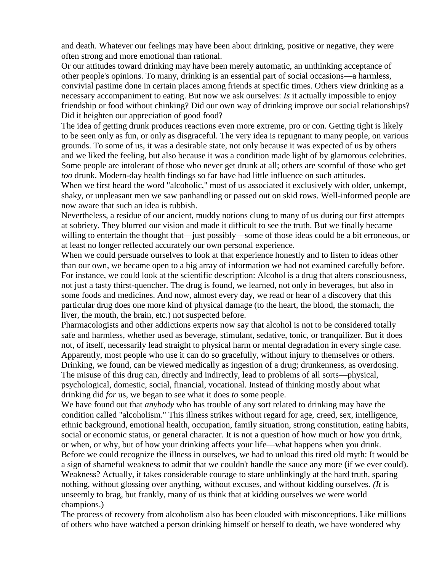and death. Whatever our feelings may have been about drinking, positive or negative, they were often strong and more emotional than rational.

Or our attitudes toward drinking may have been merely automatic, an unthinking acceptance of other people's opinions. To many, drinking is an essential part of social occasions—a harmless, convivial pastime done in certain places among friends at specific times. Others view drinking as a necessary accompaniment to eating. But now we ask ourselves: *Is* it actually impossible to enjoy friendship or food without chinking? Did our own way of drinking improve our social relationships? Did it heighten our appreciation of good food?

The idea of getting drunk produces reactions even more extreme, pro or con. Getting tight is likely to be seen only as fun, or only as disgraceful. The very idea is repugnant to many people, on various grounds. To some of us, it was a desirable state, not only because it was expected of us by others and we liked the feeling, but also because it was a condition made light of by glamorous celebrities. Some people are intolerant of those who never get drunk at all; others are scornful of those who get *too* drunk. Modern-day health findings so far have had little influence on such attitudes.

When we first heard the word "alcoholic," most of us associated it exclusively with older, unkempt, shaky, or unpleasant men we saw panhandling or passed out on skid rows. Well-informed people are now aware that such an idea is rubbish.

Nevertheless, a residue of our ancient, muddy notions clung to many of us during our first attempts at sobriety. They blurred our vision and made it difficult to see the truth. But we finally became willing to entertain the thought that—just possibly—some of those ideas could be a bit erroneous, or at least no longer reflected accurately our own personal experience.

When we could persuade ourselves to look at that experience honestly and to listen to ideas other than our own, we became open to a big array of information we had not examined carefully before. For instance, we could look at the scientific description: Alcohol is a drug that alters consciousness, not just a tasty thirst-quencher. The drug is found, we learned, not only in beverages, but also in some foods and medicines. And now, almost every day, we read or hear of a discovery that this particular drug does one more kind of physical damage (to the heart, the blood, the stomach, the liver, the mouth, the brain, etc.) not suspected before.

Pharmacologists and other addictions experts now say that alcohol is not to be considered totally safe and harmless, whether used as beverage, stimulant, sedative, tonic, or tranquilizer. But it does not, of itself, necessarily lead straight to physical harm or mental degradation in every single case. Apparently, most people who use it can do so gracefully, without injury to themselves or others. Drinking, we found, can be viewed medically as ingestion of a drug; drunkenness, as overdosing. The misuse of this drug can, directly and indirectly, lead to problems of all sorts—physical, psychological, domestic, social, financial, vocational. Instead of thinking mostly about what drinking did *for* us, we began to see what it does *to* some people.

We have found out that *anybody* who has trouble of any sort related to drinking may have the condition called "alcoholism." This illness strikes without regard for age, creed, sex, intelligence, ethnic background, emotional health, occupation, family situation, strong constitution, eating habits, social or economic status, or general character. It is not a question of how much or how you drink, or when, or why, but of how your drinking affects your life—what happens when you drink. Before we could recognize the illness in ourselves, we had to unload this tired old myth: It would be a sign of shameful weakness to admit that we couldn't handle the sauce any more (if we ever could). Weakness? Actually, it takes considerable courage to stare unblinkingly at the hard truth, sparing nothing, without glossing over anything, without excuses, and without kidding ourselves. *(It* is unseemly to brag, but frankly, many of us think that at kidding ourselves we were world champions.)

The process of recovery from alcoholism also has been clouded with misconceptions. Like millions of others who have watched a person drinking himself or herself to death, we have wondered why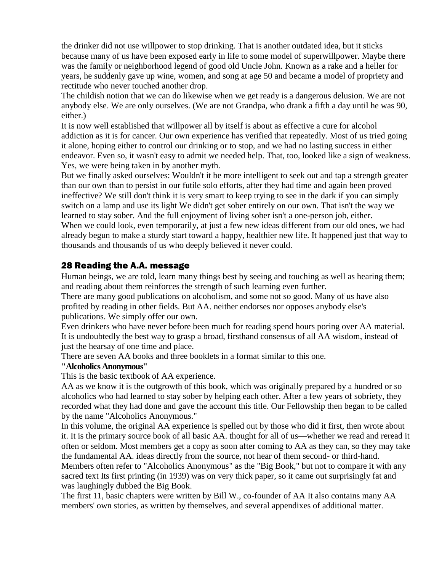the drinker did not use willpower to stop drinking. That is another outdated idea, but it sticks because many of us have been exposed early in life to some model of superwillpower. Maybe there was the family or neighborhood legend of good old Uncle John. Known as a rake and a heller for years, he suddenly gave up wine, women, and song at age 50 and became a model of propriety and rectitude who never touched another drop.

The childish notion that we can do likewise when we get ready is a dangerous delusion. We are not anybody else. We are only ourselves. (We are not Grandpa, who drank a fifth a day until he was 90, either.)

It is now well established that willpower all by itself is about as effective a cure for alcohol addiction as it is for cancer. Our own experience has verified that repeatedly. Most of us tried going it alone, hoping either to control our drinking or to stop, and we had no lasting success in either endeavor. Even so, it wasn't easy to admit we needed help. That, too, looked like a sign of weakness. Yes, we were being taken in by another myth.

But we finally asked ourselves: Wouldn't it be more intelligent to seek out and tap a strength greater than our own than to persist in our futile solo efforts, after they had time and again been proved ineffective? We still don't think it is very smart to keep trying to see in the dark if you can simply switch on a lamp and use its light We didn't get sober entirely on our own. That isn't the way we learned to stay sober. And the full enjoyment of living sober isn't a one-person job, either. When we could look, even temporarily, at just a few new ideas different from our old ones, we had already begun to make a sturdy start toward a happy, healthier new life. It happened just that way to thousands and thousands of us who deeply believed it never could.

## 28 Reading the A.A. message

Human beings, we are told, learn many things best by seeing and touching as well as hearing them; and reading about them reinforces the strength of such learning even further.

There are many good publications on alcoholism, and some not so good. Many of us have also profited by reading in other fields. But AA. neither endorses nor opposes anybody else's publications. We simply offer our own.

Even drinkers who have never before been much for reading spend hours poring over AA material. It is undoubtedly the best way to grasp a broad, firsthand consensus of all AA wisdom, instead of just the hearsay of one time and place.

There are seven AA books and three booklets in a format similar to this one.

#### **"Alcoholics Anonymous''**

This is the basic textbook of AA experience.

AA as we know it is the outgrowth of this book, which was originally prepared by a hundred or so alcoholics who had learned to stay sober by helping each other. After a few years of sobriety, they recorded what they had done and gave the account this title. Our Fellowship then began to be called by the name "Alcoholics Anonymous."

In this volume, the original AA experience is spelled out by those who did it first, then wrote about it. It is the primary source book of all basic AA. thought for all of us—whether we read and reread it often or seldom. Most members get a copy as soon after coming to AA as they can, so they may take the fundamental AA. ideas directly from the source, not hear of them second- or third-hand.

Members often refer to "Alcoholics Anonymous" as the "Big Book," but not to compare it with any sacred text Its first printing (in 1939) was on very thick paper, so it came out surprisingly fat and was laughingly dubbed the Big Book.

The first 11, basic chapters were written by Bill W., co-founder of AA It also contains many AA members' own stories, as written by themselves, and several appendixes of additional matter.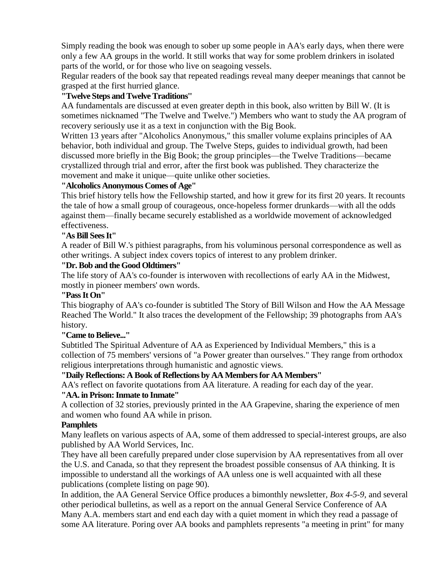Simply reading the book was enough to sober up some people in AA's early days, when there were only a few AA groups in the world. It still works that way for some problem drinkers in isolated parts of the world, or for those who live on seagoing vessels.

Regular readers of the book say that repeated readings reveal many deeper meanings that cannot be grasped at the first hurried glance.

#### **"Twelve Steps and Twelve Traditions''**

AA fundamentals are discussed at even greater depth in this book, also written by Bill W. (It is sometimes nicknamed "The Twelve and Twelve.") Members who want to study the AA program of recovery seriously use it as a text in conjunction with the Big Book.

Written 13 years after "Alcoholics Anonymous," this smaller volume explains principles of AA behavior, both individual and group. The Twelve Steps, guides to individual growth, had been discussed more briefly in the Big Book; the group principles—the Twelve Traditions—became crystallized through trial and error, after the first book was published. They characterize the movement and make it unique—quite unlike other societies.

#### **"Alcoholics Anonymous Comes of Age"**

This brief history tells how the Fellowship started, and how it grew for its first 20 years. It recounts the tale of how a small group of courageous, once-hopeless former drunkards—with all the odds against them—finally became securely established as a worldwide movement of acknowledged effectiveness.

#### **"As Bill Sees It"**

A reader of Bill W.'s pithiest paragraphs, from his voluminous personal correspondence as well as other writings. A subject index covers topics of interest to any problem drinker.

#### **"Dr. Bob and the Good Oldtimers"**

The life story of AA's co-founder is interwoven with recollections of early AA in the Midwest,

mostly in pioneer members' own words.

#### **"Pass It On"**

This biography of AA's co-founder is subtitled The Story of Bill Wilson and How the AA Message Reached The World." It also traces the development of the Fellowship; 39 photographs from AA's history.

#### **"Came to Believe..."**

Subtitled The Spiritual Adventure of AA as Experienced by Individual Members," this is a collection of 75 members' versions of "a Power greater than ourselves." They range from orthodox religious interpretations through humanistic and agnostic views.

#### **"Daily Reflections: A Book of Reflections by AA Members for AA Members"**

AA's reflect on favorite quotations from AA literature. A reading for each day of the year.

## **"AA. in Prison: Inmate to Inmate"**

A collection of 32 stories, previously printed in the AA Grapevine, sharing the experience of men and women who found AA while in prison.

#### **Pamphlets**

Many leaflets on various aspects of AA, some of them addressed to special-interest groups, are also published by AA World Services, Inc.

They have all been carefully prepared under close supervision by AA representatives from all over the U.S. and Canada, so that they represent the broadest possible consensus of AA thinking. It is impossible to understand all the workings of AA unless one is well acquainted with all these publications (complete listing on page 90).

In addition, the AA General Service Office produces a bimonthly newsletter, *Box 4-5-9,* and several other periodical bulletins, as well as a report on the annual General Service Conference of AA Many A.A. members start and end each day with a quiet moment in which they read a passage of some AA literature. Poring over AA books and pamphlets represents "a meeting in print" for many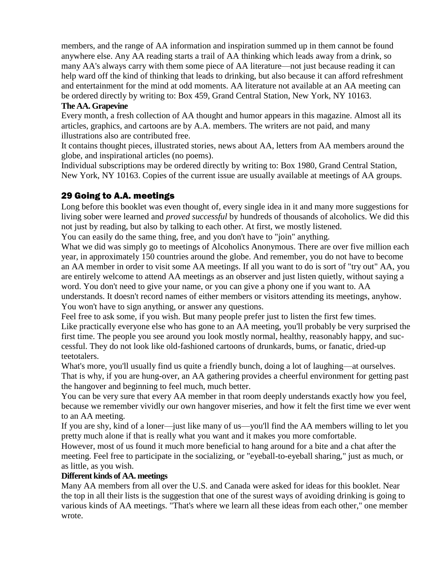members, and the range of AA information and inspiration summed up in them cannot be found anywhere else. Any AA reading starts a trail of AA thinking which leads away from a drink, so many AA's always carry with them some piece of AA literature—not just because reading it can help ward off the kind of thinking that leads to drinking, but also because it can afford refreshment and entertainment for the mind at odd moments. AA literature not available at an AA meeting can be ordered directly by writing to: Box 459, Grand Central Station, New York, NY 10163.

#### **The AA. Grapevine**

Every month, a fresh collection of AA thought and humor appears in this magazine. Almost all its articles, graphics, and cartoons are by A.A. members. The writers are not paid, and many illustrations also are contributed free.

It contains thought pieces, illustrated stories, news about AA, letters from AA members around the globe, and inspirational articles (no poems).

Individual subscriptions may be ordered directly by writing to: Box 1980, Grand Central Station, New York, NY 10163. Copies of the current issue are usually available at meetings of AA groups.

## 29 Going to A.A. meetings

Long before this booklet was even thought of, every single idea in it and many more suggestions for living sober were learned and *proved successful* by hundreds of thousands of alcoholics. We did this not just by reading, but also by talking to each other. At first, we mostly listened.

You can easily do the same thing, free, and you don't have to "join" anything.

What we did was simply go to meetings of Alcoholics Anonymous. There are over five million each year, in approximately 150 countries around the globe. And remember, you do not have to become an AA member in order to visit some AA meetings. If all you want to do is sort of "try out" AA, you are entirely welcome to attend AA meetings as an observer and just listen quietly, without saying a word. You don't need to give your name, or you can give a phony one if you want to. AA understands. It doesn't record names of either members or visitors attending its meetings, anyhow. You won't have to sign anything, or answer any questions.

Feel free to ask some, if you wish. But many people prefer just to listen the first few times.

Like practically everyone else who has gone to an AA meeting, you'll probably be very surprised the first time. The people you see around you look mostly normal, healthy, reasonably happy, and successful. They do not look like old-fashioned cartoons of drunkards, bums, or fanatic, dried-up teetotalers.

What's more, you'll usually find us quite a friendly bunch, doing a lot of laughing—at ourselves. That is why, if you are hung-over, an AA gathering provides a cheerful environment for getting past the hangover and beginning to feel much, much better.

You can be very sure that every AA member in that room deeply understands exactly how you feel, because we remember vividly our own hangover miseries, and how it felt the first time we ever went to an AA meeting.

If you are shy, kind of a loner—just like many of us—you'll find the AA members willing to let you pretty much alone if that is really what you want and it makes you more comfortable.

However, most of us found it much more beneficial to hang around for a bite and a chat after the meeting. Feel free to participate in the socializing, or "eyeball-to-eyeball sharing," just as much, or as little, as you wish.

#### **Different kinds of AA. meetings**

Many AA members from all over the U.S. and Canada were asked for ideas for this booklet. Near the top in all their lists is the suggestion that one of the surest ways of avoiding drinking is going to various kinds of AA meetings. "That's where we learn all these ideas from each other," one member wrote.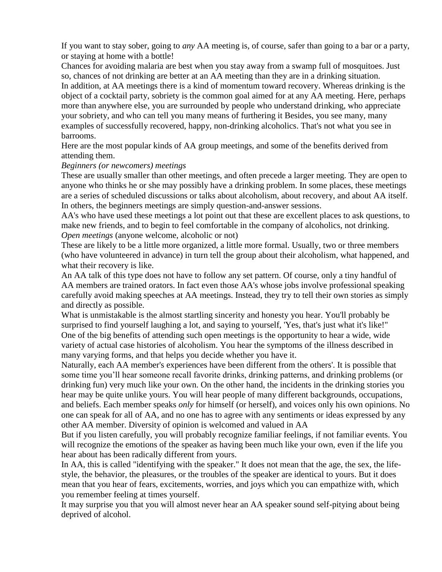If you want to stay sober, going to *any* AA meeting is, of course, safer than going to a bar or a party, or staying at home with a bottle!

Chances for avoiding malaria are best when you stay away from a swamp full of mosquitoes. Just so, chances of not drinking are better at an AA meeting than they are in a drinking situation. In addition, at AA meetings there is a kind of momentum toward recovery. Whereas drinking is the object of a cocktail party, sobriety is the common goal aimed for at any AA meeting. Here, perhaps more than anywhere else, you are surrounded by people who understand drinking, who appreciate your sobriety, and who can tell you many means of furthering it Besides, you see many, many examples of successfully recovered, happy, non-drinking alcoholics. That's not what you see in barrooms.

Here are the most popular kinds of AA group meetings, and some of the benefits derived from attending them.

#### *Beginners (or newcomers) meetings*

These are usually smaller than other meetings, and often precede a larger meeting. They are open to anyone who thinks he or she may possibly have a drinking problem. In some places, these meetings are a series of scheduled discussions or talks about alcoholism, about recovery, and about AA itself. In others, the beginners meetings are simply question-and-answer sessions.

AA's who have used these meetings a lot point out that these are excellent places to ask questions, to make new friends, and to begin to feel comfortable in the company of alcoholics, not drinking. *Open meetings* (anyone welcome, alcoholic or not)

These are likely to be a little more organized, a little more formal. Usually, two or three members (who have volunteered in advance) in turn tell the group about their alcoholism, what happened, and what their recovery is like.

An AA talk of this type does not have to follow any set pattern. Of course, only a tiny handful of AA members are trained orators. In fact even those AA's whose jobs involve professional speaking carefully avoid making speeches at AA meetings. Instead, they try to tell their own stories as simply and directly as possible.

What is unmistakable is the almost startling sincerity and honesty you hear. You'll probably be surprised to find yourself laughing a lot, and saying to yourself, 'Yes, that's just what it's like!" One of the big benefits of attending such open meetings is the opportunity to hear a wide, wide variety of actual case histories of alcoholism. You hear the symptoms of the illness described in many varying forms, and that helps you decide whether you have it.

Naturally, each AA member's experiences have been different from the others'. It is possible that some time you'll hear someone recall favorite drinks, drinking patterns, and drinking problems (or drinking fun) very much like your own. On the other hand, the incidents in the drinking stories you hear may be quite unlike yours. You will hear people of many different backgrounds, occupations, and beliefs. Each member speaks *only* for himself (or herself), and voices only his own opinions. No one can speak for all of AA, and no one has to agree with any sentiments or ideas expressed by any other AA member. Diversity of opinion is welcomed and valued in AA

But if you listen carefully, you will probably recognize familiar feelings, if not familiar events. You will recognize the emotions of the speaker as having been much like your own, even if the life you hear about has been radically different from yours.

In AA, this is called "identifying with the speaker." It does not mean that the age, the sex, the lifestyle, the behavior, the pleasures, or the troubles of the speaker are identical to yours. But it does mean that you hear of fears, excitements, worries, and joys which you can empathize with, which you remember feeling at times yourself.

It may surprise you that you will almost never hear an AA speaker sound self-pitying about being deprived of alcohol.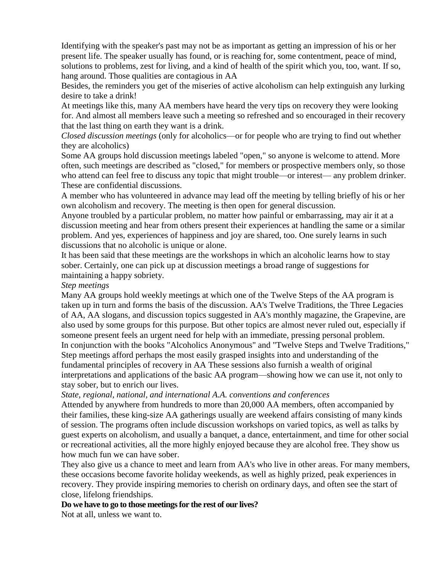Identifying with the speaker's past may not be as important as getting an impression of his or her present life. The speaker usually has found, or is reaching for, some contentment, peace of mind, solutions to problems, zest for living, and a kind of health of the spirit which you, too, want. If so, hang around. Those qualities are contagious in AA

Besides, the reminders you get of the miseries of active alcoholism can help extinguish any lurking desire to take a drink!

At meetings like this, many AA members have heard the very tips on recovery they were looking for. And almost all members leave such a meeting so refreshed and so encouraged in their recovery that the last thing on earth they want is a drink.

*Closed discussion meetings* (only for alcoholics—or for people who are trying to find out whether they are alcoholics)

Some AA groups hold discussion meetings labeled "open," so anyone is welcome to attend. More often, such meetings are described as "closed," for members or prospective members only, so those who attend can feel free to discuss any topic that might trouble—or interest— any problem drinker. These are confidential discussions.

A member who has volunteered in advance may lead off the meeting by telling briefly of his or her own alcoholism and recovery. The meeting is then open for general discussion.

Anyone troubled by a particular problem, no matter how painful or embarrassing, may air it at a discussion meeting and hear from others present their experiences at handling the same or a similar problem. And yes, experiences of happiness and joy are shared, too. One surely learns in such discussions that no alcoholic is unique or alone.

It has been said that these meetings are the workshops in which an alcoholic learns how to stay sober. Certainly, one can pick up at discussion meetings a broad range of suggestions for maintaining a happy sobriety.

#### *Step meetings*

Many AA groups hold weekly meetings at which one of the Twelve Steps of the AA program is taken up in turn and forms the basis of the discussion. AA's Twelve Traditions, the Three Legacies of AA, AA slogans, and discussion topics suggested in AA's monthly magazine, the Grapevine, are also used by some groups for this purpose. But other topics are almost never ruled out, especially if someone present feels an urgent need for help with an immediate, pressing personal problem. In conjunction with the books "Alcoholics Anonymous" and "Twelve Steps and Twelve Traditions," Step meetings afford perhaps the most easily grasped insights into and understanding of the fundamental principles of recovery in AA These sessions also furnish a wealth of original interpretations and applications of the basic AA program—showing how we can use it, not only to stay sober, but to enrich our lives.

*State, regional, national, and international A.A. conventions and conferences*

Attended by anywhere from hundreds to more than 20,000 AA members, often accompanied by their families, these king-size AA gatherings usually are weekend affairs consisting of many kinds of session. The programs often include discussion workshops on varied topics, as well as talks by guest experts on alcoholism, and usually a banquet, a dance, entertainment, and time for other social or recreational activities, all the more highly enjoyed because they are alcohol free. They show us how much fun we can have sober.

They also give us a chance to meet and learn from AA's who live in other areas. For many members, these occasions become favorite holiday weekends, as well as highly prized, peak experiences in recovery. They provide inspiring memories to cherish on ordinary days, and often see the start of close, lifelong friendships.

#### **Do we have to go to those meetings for the rest of our lives?**

Not at all, unless we want to.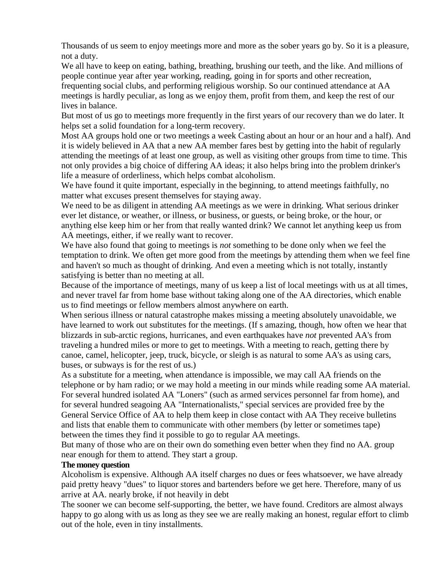Thousands of us seem to enjoy meetings more and more as the sober years go by. So it is a pleasure, not a duty.

We all have to keep on eating, bathing, breathing, brushing our teeth, and the like. And millions of people continue year after year working, reading, going in for sports and other recreation, frequenting social clubs, and performing religious worship. So our continued attendance at AA meetings is hardly peculiar, as long as we enjoy them, profit from them, and keep the rest of our lives in balance.

But most of us go to meetings more frequently in the first years of our recovery than we do later. It helps set a solid foundation for a long-term recovery.

Most AA groups hold one or two meetings a week Casting about an hour or an hour and a half). And it is widely believed in AA that a new AA member fares best by getting into the habit of regularly attending the meetings of at least one group, as well as visiting other groups from time to time. This not only provides a big choice of differing AA ideas; it also helps bring into the problem drinker's life a measure of orderliness, which helps combat alcoholism.

We have found it quite important, especially in the beginning, to attend meetings faithfully, no matter what excuses present themselves for staying away.

We need to be as diligent in attending AA meetings as we were in drinking. What serious drinker ever let distance, or weather, or illness, or business, or guests, or being broke, or the hour, or anything else keep him or her from that really wanted drink? We cannot let anything keep us from AA meetings, either, if we really want to recover.

We have also found that going to meetings is *not* something to be done only when we feel the temptation to drink. We often get more good from the meetings by attending them when we feel fine and haven't so much as thought of drinking. And even a meeting which is not totally, instantly satisfying is better than no meeting at all.

Because of the importance of meetings, many of us keep a list of local meetings with us at all times, and never travel far from home base without taking along one of the AA directories, which enable us to find meetings or fellow members almost anywhere on earth.

When serious illness or natural catastrophe makes missing a meeting absolutely unavoidable, we have learned to work out substitutes for the meetings. (If s amazing, though, how often we hear that blizzards in sub-arctic regions, hurricanes, and even earthquakes have *not* prevented AA's from traveling a hundred miles or more to get to meetings. With a meeting to reach, getting there by canoe, camel, helicopter, jeep, truck, bicycle, or sleigh is as natural to some AA's as using cars, buses, or subways is for the rest of us.)

As a substitute for a meeting, when attendance is impossible, we may call AA friends on the telephone or by ham radio; or we may hold a meeting in our minds while reading some AA material. For several hundred isolated AA "Loners" (such as armed services personnel far from home), and for several hundred seagoing AA "Internationalists," special services are provided free by the General Service Office of AA to help them keep in close contact with AA They receive bulletins and lists that enable them to communicate with other members (by letter or sometimes tape) between the times they find it possible to go to regular AA meetings.

But many of those who are on their own do something even better when they find no AA. group near enough for them to attend. They start a group.

#### **The money question**

Alcoholism is expensive. Although AA itself charges no dues or fees whatsoever, we have already paid pretty heavy "dues" to liquor stores and bartenders before we get here. Therefore, many of us arrive at AA. nearly broke, if not heavily in debt

The sooner we can become self-supporting, the better, we have found. Creditors are almost always happy to go along with us as long as they see we are really making an honest, regular effort to climb out of the hole, even in tiny installments.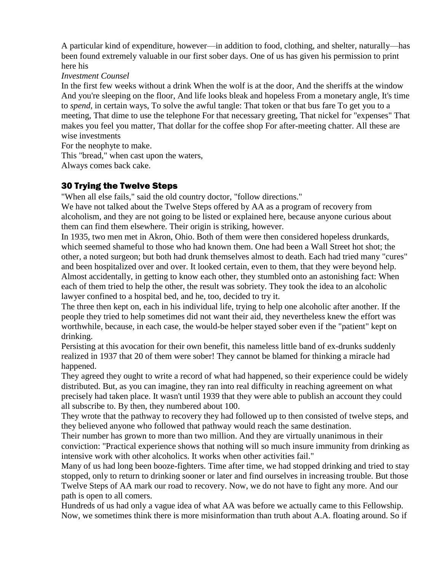A particular kind of expenditure, however—in addition to food, clothing, and shelter, naturally—has been found extremely valuable in our first sober days. One of us has given his permission to print here his

#### *Investment Counsel*

In the first few weeks without a drink When the wolf is at the door, And the sheriffs at the window And you're sleeping on the floor, And life looks bleak and hopeless From a monetary angle, It's time to *spend,* in certain ways, To solve the awful tangle: That token or that bus fare To get you to a meeting, That dime to use the telephone For that necessary greeting, That nickel for "expenses" That makes you feel you matter, That dollar for the coffee shop For after-meeting chatter. All these are wise investments

For the neophyte to make.

This "bread," when cast upon the waters, Always comes back cake.

## 30 Trying the Twelve Steps

"When all else fails," said the old country doctor, "follow directions."

We have not talked about the Twelve Steps offered by AA as a program of recovery from alcoholism, and they are not going to be listed or explained here, because anyone curious about them can find them elsewhere. Their origin is striking, however.

In 1935, two men met in Akron, Ohio. Both of them were then considered hopeless drunkards, which seemed shameful to those who had known them. One had been a Wall Street hot shot; the other, a noted surgeon; but both had drunk themselves almost to death. Each had tried many "cures" and been hospitalized over and over. It looked certain, even to them, that they were beyond help. Almost accidentally, in getting to know each other, they stumbled onto an astonishing fact: When each of them tried to help the other, the result was sobriety. They took the idea to an alcoholic lawyer confined to a hospital bed, and he, too, decided to try it.

The three then kept on, each in his individual life, trying to help one alcoholic after another. If the people they tried to help sometimes did not want their aid, they nevertheless knew the effort was worthwhile, because, in each case, the would-be helper stayed sober even if the "patient" kept on drinking.

Persisting at this avocation for their own benefit, this nameless little band of ex-drunks suddenly realized in 1937 that 20 of them were sober! They cannot be blamed for thinking a miracle had happened.

They agreed they ought to write a record of what had happened, so their experience could be widely distributed. But, as you can imagine, they ran into real difficulty in reaching agreement on what precisely had taken place. It wasn't until 1939 that they were able to publish an account they could all subscribe to. By then, they numbered about 100.

They wrote that the pathway to recovery they had followed up to then consisted of twelve steps, and they believed anyone who followed that pathway would reach the same destination.

Their number has grown to more than two million. And they are virtually unanimous in their conviction: "Practical experience shows that nothing will so much insure immunity from drinking as intensive work with other alcoholics. It works when other activities fail."

Many of us had long been booze-fighters. Time after time, we had stopped drinking and tried to stay stopped, only to return to drinking sooner or later and find ourselves in increasing trouble. But those Twelve Steps of AA mark our road to recovery. Now, we do not have to fight any more. And our path is open to all comers.

Hundreds of us had only a vague idea of what AA was before we actually came to this Fellowship. Now, we sometimes think there is more misinformation than truth about A.A. floating around. So if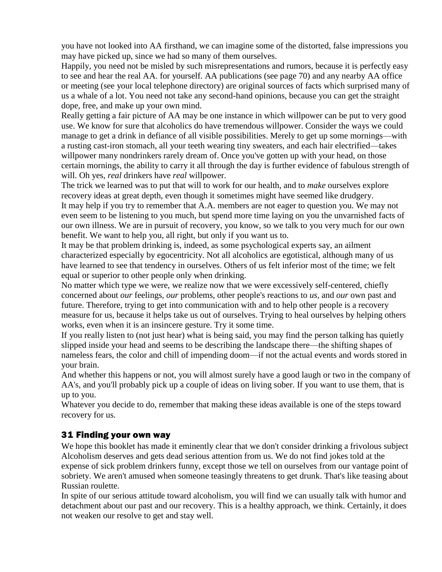you have not looked into AA firsthand, we can imagine some of the distorted, false impressions you may have picked up, since we had so many of them ourselves.

Happily, you need not be misled by such misrepresentations and rumors, because it is perfectly easy to see and hear the real AA. for yourself. AA publications (see page 70) and any nearby AA office or meeting (see your local telephone directory) are original sources of facts which surprised many of us a whale of a lot. You need not take any second-hand opinions, because you can get the straight dope, free, and make up your own mind.

Really getting a fair picture of AA may be one instance in which willpower can be put to very good use. We know for sure that alcoholics do have tremendous willpower. Consider the ways we could manage to get a drink in defiance of all visible possibilities. Merely to get up some mornings—with a rusting cast-iron stomach, all your teeth wearing tiny sweaters, and each hair electrified—takes willpower many nondrinkers rarely dream of. Once you've gotten up with your head, on those certain mornings, the ability to carry it all through the day is further evidence of fabulous strength of will. Oh yes, *real* drinkers have *real* willpower.

The trick we learned was to put that will to work for our health, and to *make* ourselves explore recovery ideas at great depth, even though it sometimes might have seemed like drudgery.

It may help if you try to remember that A.A. members are not eager to question you. We may not even seem to be listening to you much, but spend more time laying on you the unvarnished facts of our own illness. We are in pursuit of recovery, you know, so we talk to you very much for our own benefit. We want to help you, all right, but only if you want us to.

It may be that problem drinking is, indeed, as some psychological experts say, an ailment characterized especially by egocentricity. Not all alcoholics are egotistical, although many of us have learned to see that tendency in ourselves. Others of us felt inferior most of the time; we felt equal or superior to other people only when drinking.

No matter which type we were, we realize now that we were excessively self-centered, chiefly concerned about *our* feelings, *our* problems, other people's reactions to *us,* and *our* own past and future. Therefore, trying to get into communication with and to help other people is a recovery measure for us, because it helps take us out of ourselves. Trying to heal ourselves by helping others works, even when it is an insincere gesture. Try it some time.

If you really listen to (not just hear) what is being said, you may find the person talking has quietly slipped inside your head and seems to be describing the landscape there—the shifting shapes of nameless fears, the color and chill of impending doom—if not the actual events and words stored in your brain.

And whether this happens or not, you will almost surely have a good laugh or two in the company of AA's, and you'll probably pick up a couple of ideas on living sober. If you want to use them, that is up to you.

Whatever you decide to do, remember that making these ideas available is one of the steps toward recovery for us.

## 31 Finding your own way

We hope this booklet has made it eminently clear that we don't consider drinking a frivolous subject Alcoholism deserves and gets dead serious attention from us. We do not find jokes told at the expense of sick problem drinkers funny, except those we tell on ourselves from our vantage point of sobriety. We aren't amused when someone teasingly threatens to get drunk. That's like teasing about Russian roulette.

In spite of our serious attitude toward alcoholism, you will find we can usually talk with humor and detachment about our past and our recovery. This is a healthy approach, we think. Certainly, it does not weaken our resolve to get and stay well.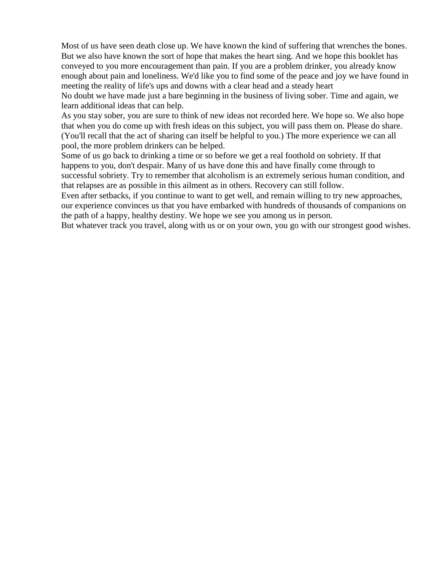Most of us have seen death close up. We have known the kind of suffering that wrenches the bones. But we also have known the sort of hope that makes the heart sing. And we hope this booklet has conveyed to you more encouragement than pain. If you are a problem drinker, you already know enough about pain and loneliness. We'd like you to find some of the peace and joy we have found in meeting the reality of life's ups and downs with a clear head and a steady heart No doubt we have made just a bare beginning in the business of living sober. Time and again, we

learn additional ideas that can help.

As you stay sober, you are sure to think of new ideas not recorded here. We hope so. We also hope that when you do come up with fresh ideas on this subject, you will pass them on. Please do share. (You'll recall that the act of sharing can itself be helpful to you.) The more experience we can all pool, the more problem drinkers can be helped.

Some of us go back to drinking a time or so before we get a real foothold on sobriety. If that happens to you, don't despair. Many of us have done this and have finally come through to successful sobriety. Try to remember that alcoholism is an extremely serious human condition, and that relapses are as possible in this ailment as in others. Recovery can still follow.

Even after setbacks, if you continue to want to get well, and remain willing to try new approaches, our experience convinces us that you have embarked with hundreds of thousands of companions on the path of a happy, healthy destiny. We hope we see you among us in person.

But whatever track you travel, along with us or on your own, you go with our strongest good wishes.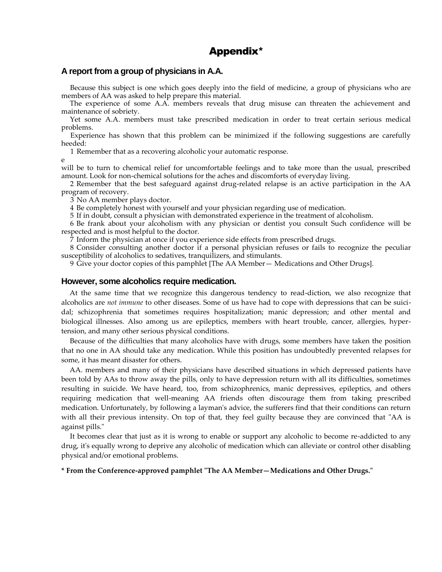# Appendix\*

#### **A report from a group of physicians in A.A.**

Because this subject is one which goes deeply into the field of medicine, a group of physicians who are members of AA was asked to help prepare this material.

The experience of some A.A. members reveals that drug misuse can threaten the achievement and maintenance of sobriety.

Yet some A.A. members must take prescribed medication in order to treat certain serious medical problems.

Experience has shown that this problem can be minimized if the following suggestions are carefully heeded:

1 Remember that as a recovering alcoholic your automatic response.

e

will be to turn to chemical relief for uncomfortable feelings and to take more than the usual, prescribed amount. Look for non-chemical solutions for the aches and discomforts of everyday living.

2 Remember that the best safeguard against drug-related relapse is an active participation in the AA program of recovery.

3 No AA member plays doctor.

4 Be completely honest with yourself and your physician regarding use of medication.

5 If in doubt, consult a physician with demonstrated experience in the treatment of alcoholism.

6 Be frank about your alcoholism with any physician or dentist you consult Such confidence will be respected and is most helpful to the doctor.

7 Inform the physician at once if you experience side effects from prescribed drugs.

8 Consider consulting another doctor if a personal physician refuses or fails to recognize the peculiar susceptibility of alcoholics to sedatives, tranquilizers, and stimulants.

9 Give your doctor copies of this pamphlet [The AA Member— Medications and Other Drugs].

#### **However, some alcoholics require medication.**

At the same time that we recognize this dangerous tendency to read-diction, we also recognize that alcoholics are *not immune* to other diseases. Some of us have had to cope with depressions that can be suicidal; schizophrenia that sometimes requires hospitalization; manic depression; and other mental and biological illnesses. Also among us are epileptics, members with heart trouble, cancer, allergies, hypertension, and many other serious physical conditions.

Because of the difficulties that many alcoholics have with drugs, some members have taken the position that no one in AA should take any medication. While this position has undoubtedly prevented relapses for some, it has meant disaster for others.

AA. members and many of their physicians have described situations in which depressed patients have been told by AAs to throw away the pills, only to have depression return with all its difficulties, sometimes resulting in suicide. We have heard, too, from schizophrenics, manic depressives, epileptics, and others requiring medication that well-meaning AA friends often discourage them from taking prescribed medication. Unfortunately, by following a layman's advice, the sufferers find that their conditions can return with all their previous intensity. On top of that, they feel guilty because they are convinced that "AA is against pills."

It becomes clear that just as it is wrong to enable or support any alcoholic to become re-addicted to any drug, it's equally wrong to deprive any alcoholic of medication which can alleviate or control other disabling physical and/or emotional problems.

**\* From the Conference-approved pamphlet "The AA Member—Medications and Other Drugs."**